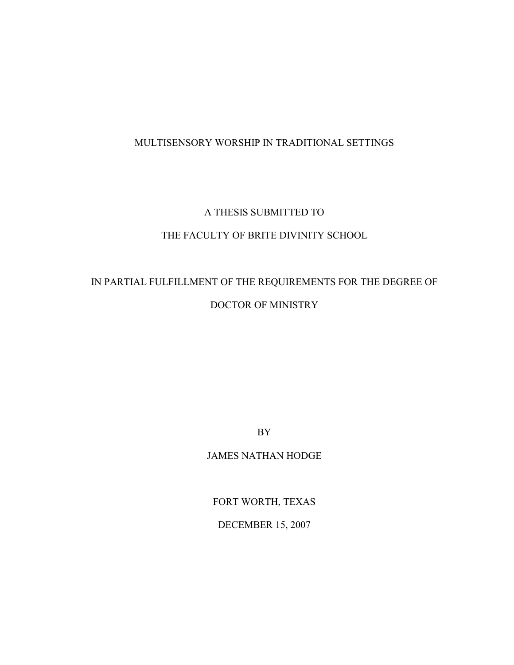## MULTISENSORY WORSHIP IN TRADITIONAL SETTINGS

## A THESIS SUBMITTED TO

## THE FACULTY OF BRITE DIVINITY SCHOOL

# IN PARTIAL FULFILLMENT OF THE REQUIREMENTS FOR THE DEGREE OF DOCTOR OF MINISTRY

BY

JAMES NATHAN HODGE

FORT WORTH, TEXAS

DECEMBER 15, 2007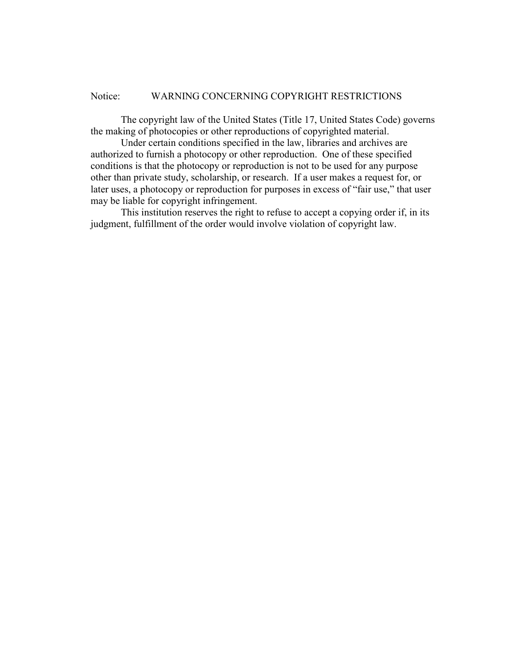#### Notice: WARNING CONCERNING COPYRIGHT RESTRICTIONS

 The copyright law of the United States (Title 17, United States Code) governs the making of photocopies or other reproductions of copyrighted material.

 Under certain conditions specified in the law, libraries and archives are authorized to furnish a photocopy or other reproduction. One of these specified conditions is that the photocopy or reproduction is not to be used for any purpose other than private study, scholarship, or research. If a user makes a request for, or later uses, a photocopy or reproduction for purposes in excess of "fair use," that user may be liable for copyright infringement.

 This institution reserves the right to refuse to accept a copying order if, in its judgment, fulfillment of the order would involve violation of copyright law.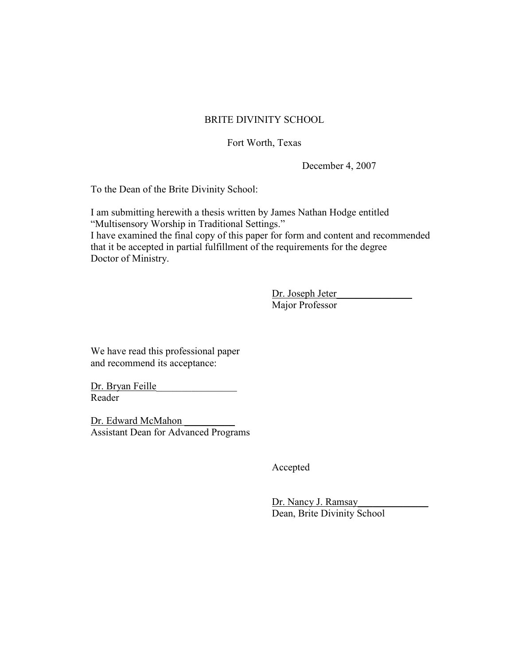## BRITE DIVINITY SCHOOL

## Fort Worth, Texas

December 4, 2007

To the Dean of the Brite Divinity School:

I am submitting herewith a thesis written by James Nathan Hodge entitled "Multisensory Worship in Traditional Settings." I have examined the final copy of this paper for form and content and recommended that it be accepted in partial fulfillment of the requirements for the degree

Doctor of Ministry.

 Dr. Joseph Jeter\_\_\_\_\_\_\_\_\_\_\_\_\_\_\_ Major Professor

We have read this professional paper and recommend its acceptance:

Dr. Bryan Feille\_\_\_\_\_\_\_\_\_\_\_\_\_\_\_\_ Reader

Dr. Edward McMahon \_\_\_\_\_\_\_\_\_\_ Assistant Dean for Advanced Programs

Accepted

Dr. Nancy J. Ramsay Dean, Brite Divinity School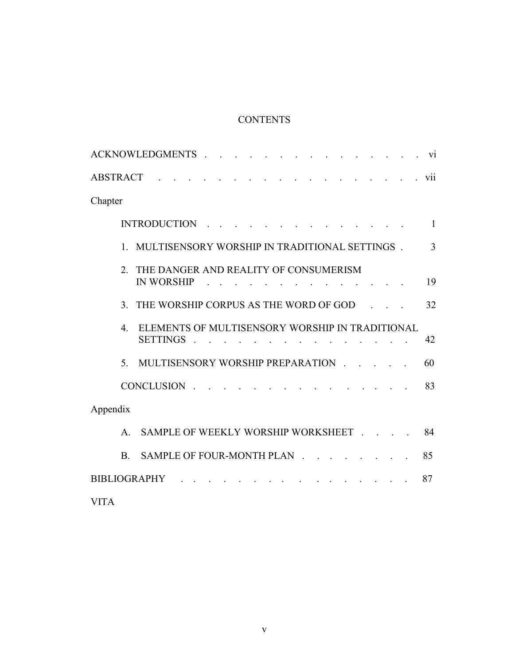# **CONTENTS**

| ACKNOWLEDGMENTS<br>and the contract of the contract of the contract of the contract of the contract of the contract of the contract of the contract of the contract of the contract of the contract of the contract of the contract of the contra<br>V1 |  |
|---------------------------------------------------------------------------------------------------------------------------------------------------------------------------------------------------------------------------------------------------------|--|
| <b>ABSTRACT</b><br><u>na kama sa sa sa sa sa sa sa sa sa sa sa</u><br>vii                                                                                                                                                                               |  |
| Chapter                                                                                                                                                                                                                                                 |  |
| INTRODUCTION<br>$\mathbf{1}$                                                                                                                                                                                                                            |  |
| 1. MULTISENSORY WORSHIP IN TRADITIONAL SETTINGS.<br>3                                                                                                                                                                                                   |  |
| THE DANGER AND REALITY OF CONSUMERISM<br>$2^{\circ}$<br>19<br><b>IN WORSHIP</b>                                                                                                                                                                         |  |
| THE WORSHIP CORPUS AS THE WORD OF GOD<br>32<br>$\mathcal{E}$                                                                                                                                                                                            |  |
| ELEMENTS OF MULTISENSORY WORSHIP IN TRADITIONAL<br>$\overline{4}$<br><b>SETTINGS</b><br>42                                                                                                                                                              |  |
| MULTISENSORY WORSHIP PREPARATION<br>5 <sub>1</sub><br>60                                                                                                                                                                                                |  |
| CONCLUSION<br>83                                                                                                                                                                                                                                        |  |
| Appendix                                                                                                                                                                                                                                                |  |
| SAMPLE OF WEEKLY WORSHIP WORKSHEET<br>84<br>$\mathsf{A}$                                                                                                                                                                                                |  |
| SAMPLE OF FOUR-MONTH PLAN<br>85<br><b>B</b> .                                                                                                                                                                                                           |  |
| <u> 1990 - Johann Stoff, martin sa</u><br><b>BIBLIOGRAPHY</b><br>87                                                                                                                                                                                     |  |
| <b>VITA</b>                                                                                                                                                                                                                                             |  |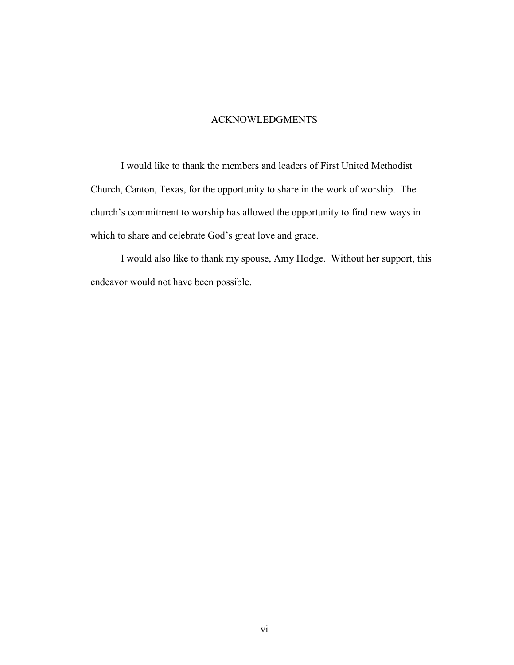#### ACKNOWLEDGMENTS

 I would like to thank the members and leaders of First United Methodist Church, Canton, Texas, for the opportunity to share in the work of worship. The church's commitment to worship has allowed the opportunity to find new ways in which to share and celebrate God's great love and grace.

 I would also like to thank my spouse, Amy Hodge. Without her support, this endeavor would not have been possible.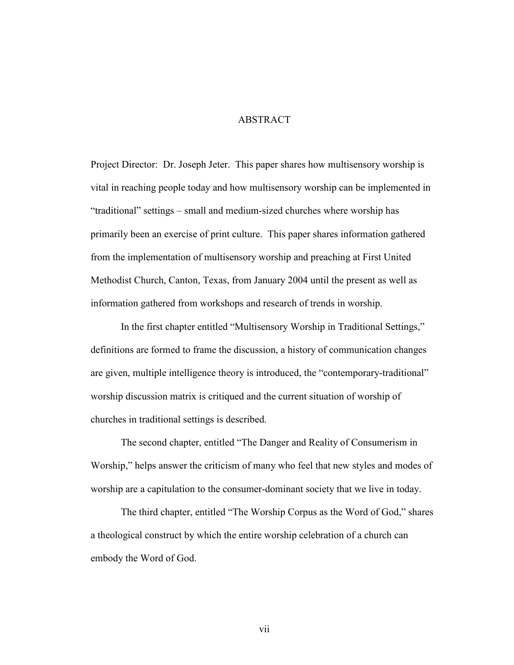#### ABSTRACT

Project Director: Dr. Joseph Jeter. This paper shares how multisensory worship is vital in reaching people today and how multisensory worship can be implemented in "traditional" settings – small and medium-sized churches where worship has primarily been an exercise of print culture. This paper shares information gathered from the implementation of multisensory worship and preaching at First United Methodist Church, Canton, Texas, from January 2004 until the present as well as information gathered from workshops and research of trends in worship.

 In the first chapter entitled "Multisensory Worship in Traditional Settings," definitions are formed to frame the discussion, a history of communication changes are given, multiple intelligence theory is introduced, the "contemporary-traditional" worship discussion matrix is critiqued and the current situation of worship of churches in traditional settings is described.

 The second chapter, entitled "The Danger and Reality of Consumerism in Worship," helps answer the criticism of many who feel that new styles and modes of worship are a capitulation to the consumer-dominant society that we live in today.

 The third chapter, entitled "The Worship Corpus as the Word of God," shares a theological construct by which the entire worship celebration of a church can embody the Word of God.

vii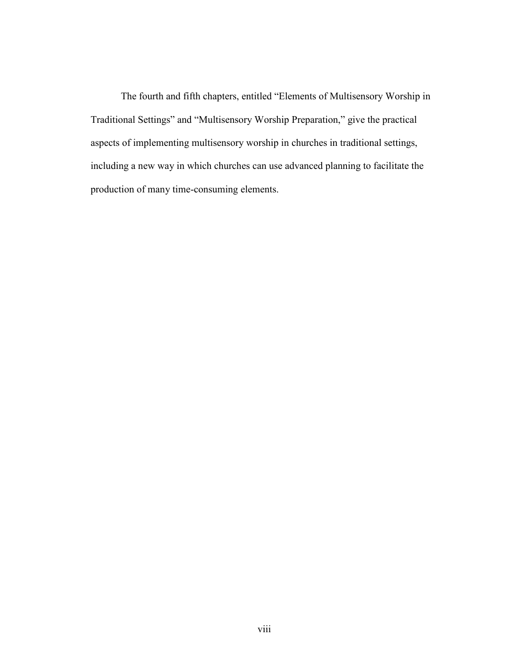The fourth and fifth chapters, entitled "Elements of Multisensory Worship in Traditional Settings" and "Multisensory Worship Preparation," give the practical aspects of implementing multisensory worship in churches in traditional settings, including a new way in which churches can use advanced planning to facilitate the production of many time-consuming elements.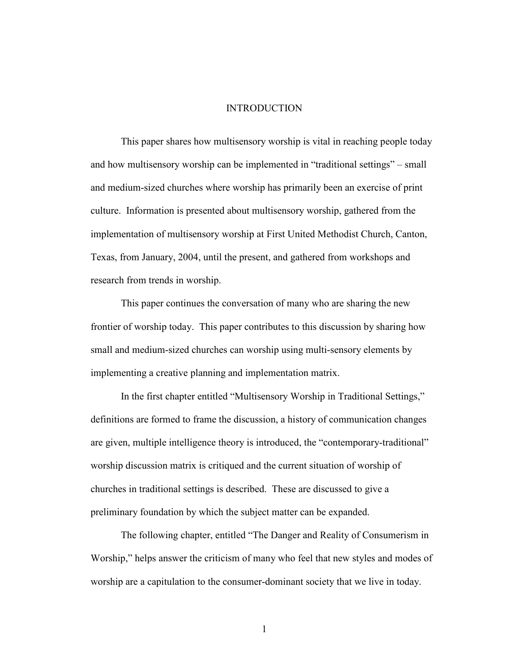#### INTRODUCTION

 This paper shares how multisensory worship is vital in reaching people today and how multisensory worship can be implemented in "traditional settings" – small and medium-sized churches where worship has primarily been an exercise of print culture. Information is presented about multisensory worship, gathered from the implementation of multisensory worship at First United Methodist Church, Canton, Texas, from January, 2004, until the present, and gathered from workshops and research from trends in worship.

 This paper continues the conversation of many who are sharing the new frontier of worship today. This paper contributes to this discussion by sharing how small and medium-sized churches can worship using multi-sensory elements by implementing a creative planning and implementation matrix.

 In the first chapter entitled "Multisensory Worship in Traditional Settings," definitions are formed to frame the discussion, a history of communication changes are given, multiple intelligence theory is introduced, the "contemporary-traditional" worship discussion matrix is critiqued and the current situation of worship of churches in traditional settings is described. These are discussed to give a preliminary foundation by which the subject matter can be expanded.

 The following chapter, entitled "The Danger and Reality of Consumerism in Worship," helps answer the criticism of many who feel that new styles and modes of worship are a capitulation to the consumer-dominant society that we live in today.

1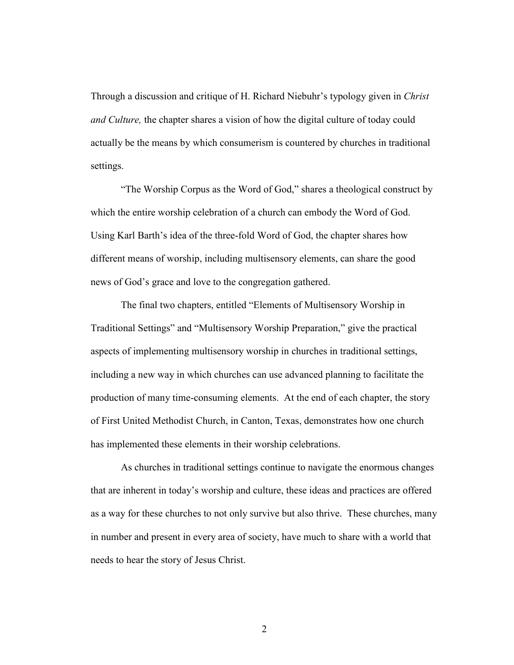Through a discussion and critique of H. Richard Niebuhr's typology given in Christ and Culture, the chapter shares a vision of how the digital culture of today could actually be the means by which consumerism is countered by churches in traditional settings.

 "The Worship Corpus as the Word of God," shares a theological construct by which the entire worship celebration of a church can embody the Word of God. Using Karl Barth's idea of the three-fold Word of God, the chapter shares how different means of worship, including multisensory elements, can share the good news of God's grace and love to the congregation gathered.

 The final two chapters, entitled "Elements of Multisensory Worship in Traditional Settings" and "Multisensory Worship Preparation," give the practical aspects of implementing multisensory worship in churches in traditional settings, including a new way in which churches can use advanced planning to facilitate the production of many time-consuming elements. At the end of each chapter, the story of First United Methodist Church, in Canton, Texas, demonstrates how one church has implemented these elements in their worship celebrations.

 As churches in traditional settings continue to navigate the enormous changes that are inherent in today's worship and culture, these ideas and practices are offered as a way for these churches to not only survive but also thrive. These churches, many in number and present in every area of society, have much to share with a world that needs to hear the story of Jesus Christ.

2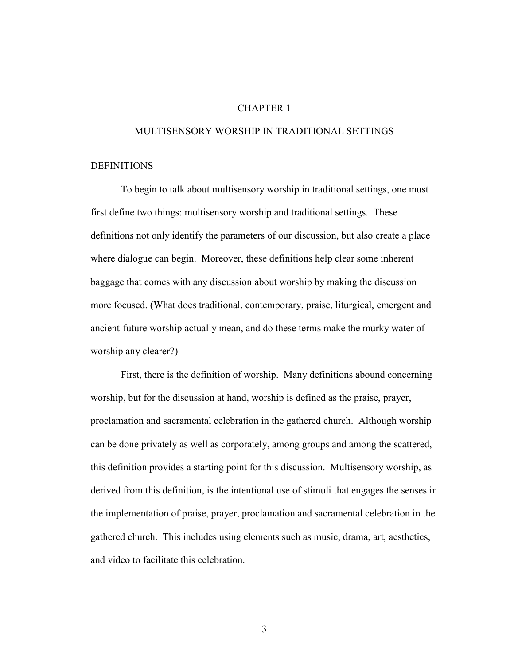#### CHAPTER 1

#### MULTISENSORY WORSHIP IN TRADITIONAL SETTINGS

#### DEFINITIONS

 To begin to talk about multisensory worship in traditional settings, one must first define two things: multisensory worship and traditional settings. These definitions not only identify the parameters of our discussion, but also create a place where dialogue can begin. Moreover, these definitions help clear some inherent baggage that comes with any discussion about worship by making the discussion more focused. (What does traditional, contemporary, praise, liturgical, emergent and ancient-future worship actually mean, and do these terms make the murky water of worship any clearer?)

 First, there is the definition of worship. Many definitions abound concerning worship, but for the discussion at hand, worship is defined as the praise, prayer, proclamation and sacramental celebration in the gathered church. Although worship can be done privately as well as corporately, among groups and among the scattered, this definition provides a starting point for this discussion. Multisensory worship, as derived from this definition, is the intentional use of stimuli that engages the senses in the implementation of praise, prayer, proclamation and sacramental celebration in the gathered church. This includes using elements such as music, drama, art, aesthetics, and video to facilitate this celebration.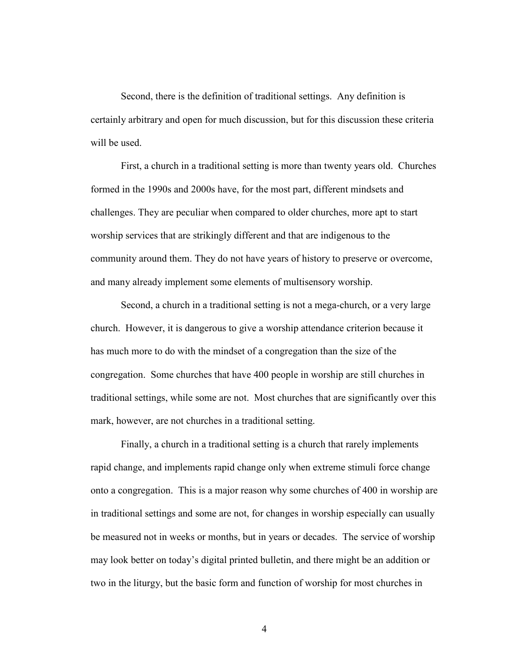Second, there is the definition of traditional settings. Any definition is certainly arbitrary and open for much discussion, but for this discussion these criteria will be used.

 First, a church in a traditional setting is more than twenty years old. Churches formed in the 1990s and 2000s have, for the most part, different mindsets and challenges. They are peculiar when compared to older churches, more apt to start worship services that are strikingly different and that are indigenous to the community around them. They do not have years of history to preserve or overcome, and many already implement some elements of multisensory worship.

 Second, a church in a traditional setting is not a mega-church, or a very large church. However, it is dangerous to give a worship attendance criterion because it has much more to do with the mindset of a congregation than the size of the congregation. Some churches that have 400 people in worship are still churches in traditional settings, while some are not. Most churches that are significantly over this mark, however, are not churches in a traditional setting.

 Finally, a church in a traditional setting is a church that rarely implements rapid change, and implements rapid change only when extreme stimuli force change onto a congregation. This is a major reason why some churches of 400 in worship are in traditional settings and some are not, for changes in worship especially can usually be measured not in weeks or months, but in years or decades. The service of worship may look better on today's digital printed bulletin, and there might be an addition or two in the liturgy, but the basic form and function of worship for most churches in

4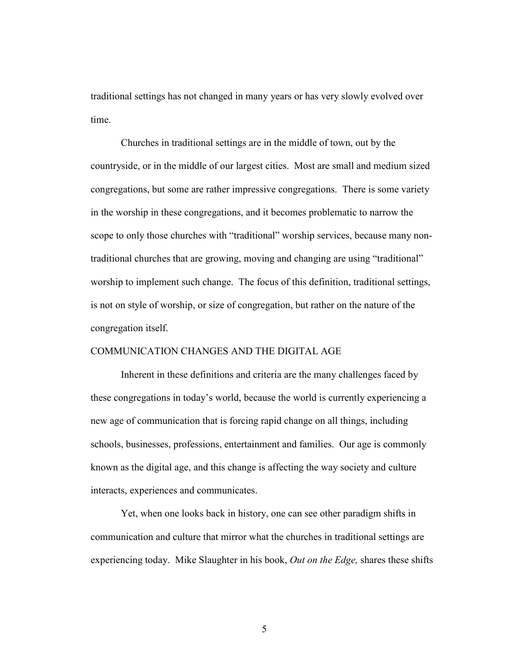traditional settings has not changed in many years or has very slowly evolved over time.

 Churches in traditional settings are in the middle of town, out by the countryside, or in the middle of our largest cities. Most are small and medium sized congregations, but some are rather impressive congregations. There is some variety in the worship in these congregations, and it becomes problematic to narrow the scope to only those churches with "traditional" worship services, because many nontraditional churches that are growing, moving and changing are using "traditional" worship to implement such change. The focus of this definition, traditional settings, is not on style of worship, or size of congregation, but rather on the nature of the congregation itself.

## COMMUNICATION CHANGES AND THE DIGITAL AGE

Inherent in these definitions and criteria are the many challenges faced by these congregations in today's world, because the world is currently experiencing a new age of communication that is forcing rapid change on all things, including schools, businesses, professions, entertainment and families. Our age is commonly known as the digital age, and this change is affecting the way society and culture interacts, experiences and communicates.

Yet, when one looks back in history, one can see other paradigm shifts in communication and culture that mirror what the churches in traditional settings are experiencing today. Mike Slaughter in his book, Out on the Edge, shares these shifts

5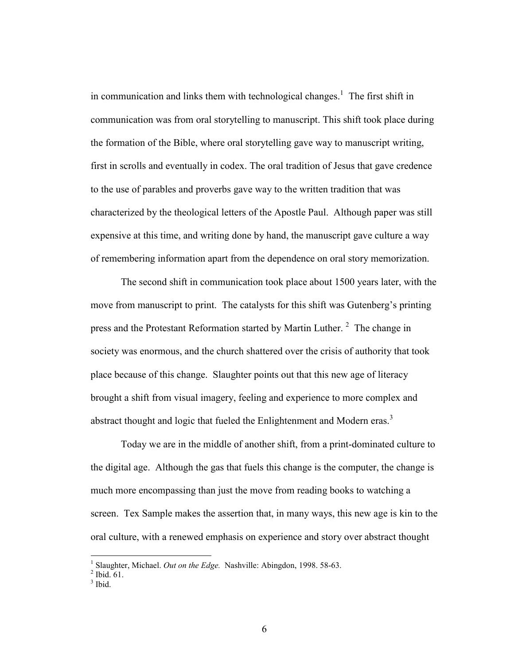in communication and links them with technological changes.<sup>1</sup> The first shift in communication was from oral storytelling to manuscript. This shift took place during the formation of the Bible, where oral storytelling gave way to manuscript writing, first in scrolls and eventually in codex. The oral tradition of Jesus that gave credence to the use of parables and proverbs gave way to the written tradition that was characterized by the theological letters of the Apostle Paul. Although paper was still expensive at this time, and writing done by hand, the manuscript gave culture a way of remembering information apart from the dependence on oral story memorization.

The second shift in communication took place about 1500 years later, with the move from manuscript to print. The catalysts for this shift was Gutenberg's printing press and the Protestant Reformation started by Martin Luther.<sup>2</sup> The change in society was enormous, and the church shattered over the crisis of authority that took place because of this change. Slaughter points out that this new age of literacy brought a shift from visual imagery, feeling and experience to more complex and abstract thought and logic that fueled the Enlightenment and Modern eras.<sup>3</sup>

Today we are in the middle of another shift, from a print-dominated culture to the digital age. Although the gas that fuels this change is the computer, the change is much more encompassing than just the move from reading books to watching a screen. Tex Sample makes the assertion that, in many ways, this new age is kin to the oral culture, with a renewed emphasis on experience and story over abstract thought

<sup>&</sup>lt;sup>1</sup> Slaughter, Michael. Out on the Edge. Nashville: Abingdon, 1998. 58-63.

 $<sup>2</sup>$  Ibid. 61.</sup>

 $3$  Ibid.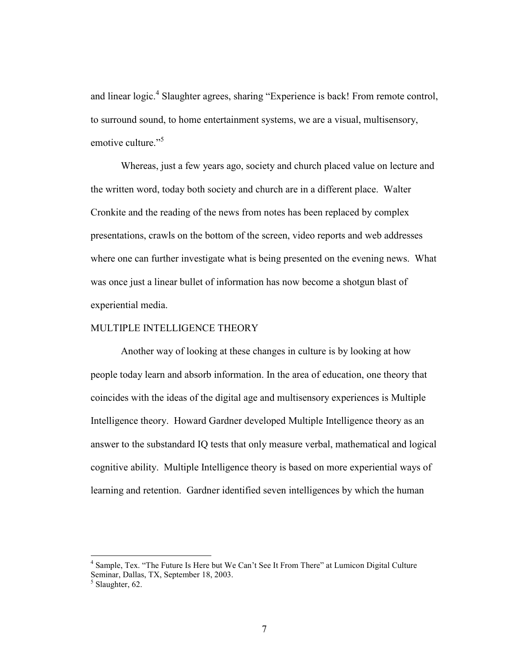and linear logic.<sup>4</sup> Slaughter agrees, sharing "Experience is back! From remote control, to surround sound, to home entertainment systems, we are a visual, multisensory, emotive culture."<sup>5</sup>

Whereas, just a few years ago, society and church placed value on lecture and the written word, today both society and church are in a different place. Walter Cronkite and the reading of the news from notes has been replaced by complex presentations, crawls on the bottom of the screen, video reports and web addresses where one can further investigate what is being presented on the evening news. What was once just a linear bullet of information has now become a shotgun blast of experiential media.

#### MULTIPLE INTELLIGENCE THEORY

 Another way of looking at these changes in culture is by looking at how people today learn and absorb information. In the area of education, one theory that coincides with the ideas of the digital age and multisensory experiences is Multiple Intelligence theory. Howard Gardner developed Multiple Intelligence theory as an answer to the substandard IQ tests that only measure verbal, mathematical and logical cognitive ability. Multiple Intelligence theory is based on more experiential ways of learning and retention. Gardner identified seven intelligences by which the human

<sup>&</sup>lt;sup>4</sup> Sample, Tex. "The Future Is Here but We Can't See It From There" at Lumicon Digital Culture Seminar, Dallas, TX, September 18, 2003.

<sup>&</sup>lt;sup>5</sup> Slaughter, 62.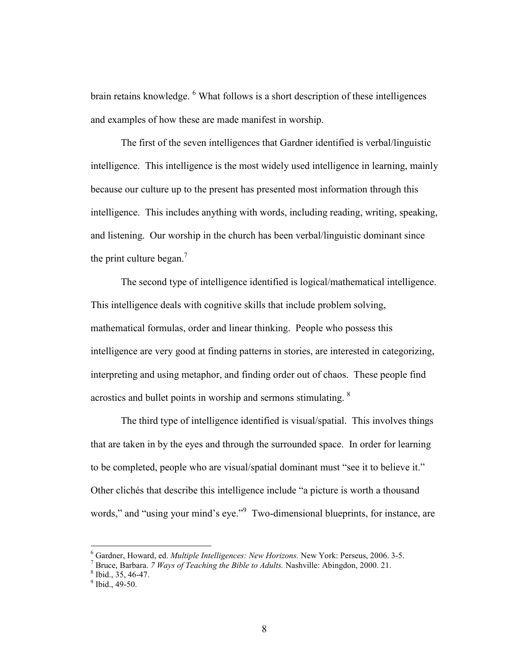brain retains knowledge. <sup>6</sup> What follows is a short description of these intelligences and examples of how these are made manifest in worship.

 The first of the seven intelligences that Gardner identified is verbal/linguistic intelligence. This intelligence is the most widely used intelligence in learning, mainly because our culture up to the present has presented most information through this intelligence. This includes anything with words, including reading, writing, speaking, and listening. Our worship in the church has been verbal/linguistic dominant since the print culture began. $<sup>7</sup>$ </sup>

 The second type of intelligence identified is logical/mathematical intelligence. This intelligence deals with cognitive skills that include problem solving, mathematical formulas, order and linear thinking. People who possess this intelligence are very good at finding patterns in stories, are interested in categorizing, interpreting and using metaphor, and finding order out of chaos. These people find acrostics and bullet points in worship and sermons stimulating. <sup>8</sup>

 The third type of intelligence identified is visual/spatial. This involves things that are taken in by the eyes and through the surrounded space. In order for learning to be completed, people who are visual/spatial dominant must "see it to believe it." Other clichés that describe this intelligence include "a picture is worth a thousand words," and "using your mind's eye."<sup>9</sup> Two-dimensional blueprints, for instance, are

 $6$  Gardner, Howard, ed. Multiple Intelligences: New Horizons. New York: Perseus, 2006. 3-5.

<sup>&</sup>lt;sup>7</sup> Bruce, Barbara. 7 *Ways of Teaching the Bible to Adults*. Nashville: Abingdon, 2000. 21.

 $<sup>8</sup>$  Ibid., 35, 46-47.</sup>

 $9^9$  Ibid., 49-50.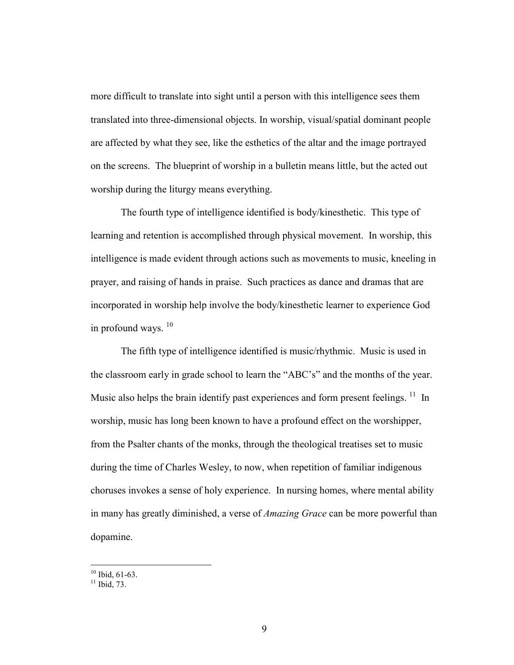more difficult to translate into sight until a person with this intelligence sees them translated into three-dimensional objects. In worship, visual/spatial dominant people are affected by what they see, like the esthetics of the altar and the image portrayed on the screens. The blueprint of worship in a bulletin means little, but the acted out worship during the liturgy means everything.

 The fourth type of intelligence identified is body/kinesthetic. This type of learning and retention is accomplished through physical movement. In worship, this intelligence is made evident through actions such as movements to music, kneeling in prayer, and raising of hands in praise. Such practices as dance and dramas that are incorporated in worship help involve the body/kinesthetic learner to experience God in profound ways.  $10$ 

 The fifth type of intelligence identified is music/rhythmic. Music is used in the classroom early in grade school to learn the "ABC's" and the months of the year. Music also helps the brain identify past experiences and form present feelings.  $^{11}$  In worship, music has long been known to have a profound effect on the worshipper, from the Psalter chants of the monks, through the theological treatises set to music during the time of Charles Wesley, to now, when repetition of familiar indigenous choruses invokes a sense of holy experience. In nursing homes, where mental ability in many has greatly diminished, a verse of *Amazing Grace* can be more powerful than dopamine.

 $10$  Ibid, 61-63.

 $11$  Ibid, 73.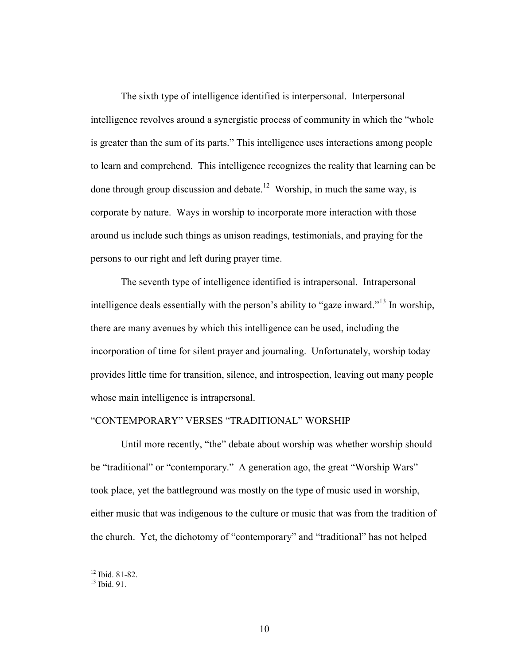The sixth type of intelligence identified is interpersonal. Interpersonal intelligence revolves around a synergistic process of community in which the "whole is greater than the sum of its parts." This intelligence uses interactions among people to learn and comprehend. This intelligence recognizes the reality that learning can be done through group discussion and debate.<sup>12</sup> Worship, in much the same way, is corporate by nature. Ways in worship to incorporate more interaction with those around us include such things as unison readings, testimonials, and praying for the persons to our right and left during prayer time.

 The seventh type of intelligence identified is intrapersonal. Intrapersonal intelligence deals essentially with the person's ability to "gaze inward."<sup>13</sup> In worship, there are many avenues by which this intelligence can be used, including the incorporation of time for silent prayer and journaling. Unfortunately, worship today provides little time for transition, silence, and introspection, leaving out many people whose main intelligence is intrapersonal.

### "CONTEMPORARY" VERSES "TRADITIONAL" WORSHIP

 Until more recently, "the" debate about worship was whether worship should be "traditional" or "contemporary." A generation ago, the great "Worship Wars" took place, yet the battleground was mostly on the type of music used in worship, either music that was indigenous to the culture or music that was from the tradition of the church. Yet, the dichotomy of "contemporary" and "traditional" has not helped

 $12$  Ibid. 81-82.

 $^{13}$  Ibid. 91.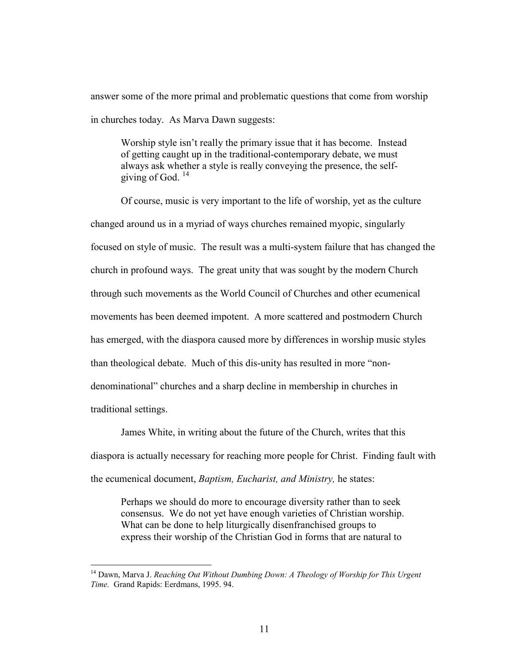answer some of the more primal and problematic questions that come from worship in churches today. As Marva Dawn suggests:

Worship style isn't really the primary issue that it has become. Instead of getting caught up in the traditional-contemporary debate, we must always ask whether a style is really conveying the presence, the selfgiving of God.  $14$ 

 Of course, music is very important to the life of worship, yet as the culture changed around us in a myriad of ways churches remained myopic, singularly focused on style of music. The result was a multi-system failure that has changed the church in profound ways. The great unity that was sought by the modern Church through such movements as the World Council of Churches and other ecumenical movements has been deemed impotent. A more scattered and postmodern Church has emerged, with the diaspora caused more by differences in worship music styles than theological debate. Much of this dis-unity has resulted in more "nondenominational" churches and a sharp decline in membership in churches in traditional settings.

 James White, in writing about the future of the Church, writes that this diaspora is actually necessary for reaching more people for Christ. Finding fault with the ecumenical document, Baptism, Eucharist, and Ministry, he states:

Perhaps we should do more to encourage diversity rather than to seek consensus. We do not yet have enough varieties of Christian worship. What can be done to help liturgically disenfranchised groups to express their worship of the Christian God in forms that are natural to

l

 $14$  Dawn, Marva J. Reaching Out Without Dumbing Down: A Theology of Worship for This Urgent Time. Grand Rapids: Eerdmans, 1995. 94.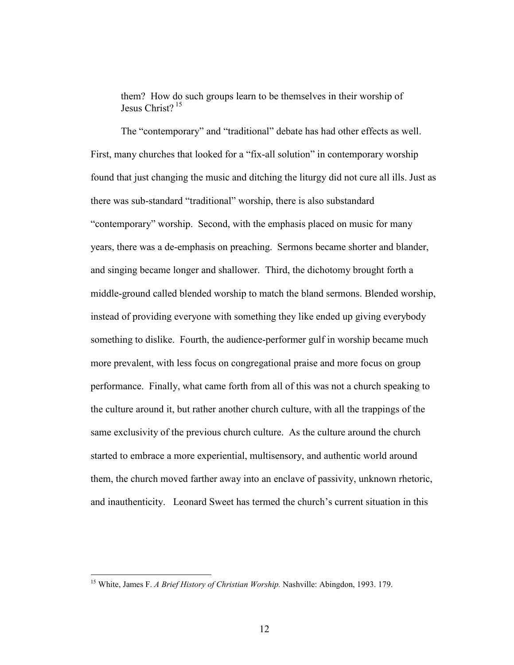them? How do such groups learn to be themselves in their worship of Iesus Christ $2^{15}$ 

 The "contemporary" and "traditional" debate has had other effects as well. First, many churches that looked for a "fix-all solution" in contemporary worship found that just changing the music and ditching the liturgy did not cure all ills. Just as there was sub-standard "traditional" worship, there is also substandard "contemporary" worship. Second, with the emphasis placed on music for many years, there was a de-emphasis on preaching. Sermons became shorter and blander, and singing became longer and shallower. Third, the dichotomy brought forth a middle-ground called blended worship to match the bland sermons. Blended worship, instead of providing everyone with something they like ended up giving everybody something to dislike. Fourth, the audience-performer gulf in worship became much more prevalent, with less focus on congregational praise and more focus on group performance. Finally, what came forth from all of this was not a church speaking to the culture around it, but rather another church culture, with all the trappings of the same exclusivity of the previous church culture. As the culture around the church started to embrace a more experiential, multisensory, and authentic world around them, the church moved farther away into an enclave of passivity, unknown rhetoric, and inauthenticity. Leonard Sweet has termed the church's current situation in this

<sup>&</sup>lt;sup>15</sup> White, James F. A Brief History of Christian Worship. Nashville: Abingdon, 1993. 179.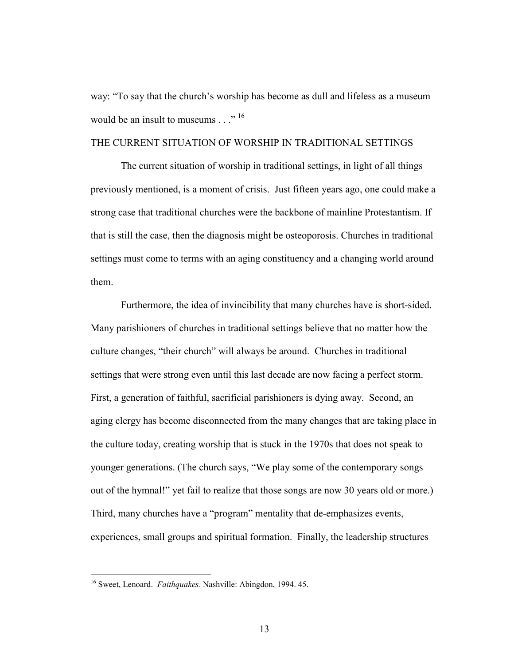way: "To say that the church's worship has become as dull and lifeless as a museum would be an insult to museums  $\ldots$ <sup>" 16</sup>

#### THE CURRENT SITUATION OF WORSHIP IN TRADITIONAL SETTINGS

 The current situation of worship in traditional settings, in light of all things previously mentioned, is a moment of crisis. Just fifteen years ago, one could make a strong case that traditional churches were the backbone of mainline Protestantism. If that is still the case, then the diagnosis might be osteoporosis. Churches in traditional settings must come to terms with an aging constituency and a changing world around them.

 Furthermore, the idea of invincibility that many churches have is short-sided. Many parishioners of churches in traditional settings believe that no matter how the culture changes, "their church" will always be around. Churches in traditional settings that were strong even until this last decade are now facing a perfect storm. First, a generation of faithful, sacrificial parishioners is dying away. Second, an aging clergy has become disconnected from the many changes that are taking place in the culture today, creating worship that is stuck in the 1970s that does not speak to younger generations. (The church says, "We play some of the contemporary songs out of the hymnal!" yet fail to realize that those songs are now 30 years old or more.) Third, many churches have a "program" mentality that de-emphasizes events, experiences, small groups and spiritual formation. Finally, the leadership structures

<sup>&</sup>lt;sup>16</sup> Sweet, Lenoard. Faithquakes. Nashville: Abingdon, 1994. 45.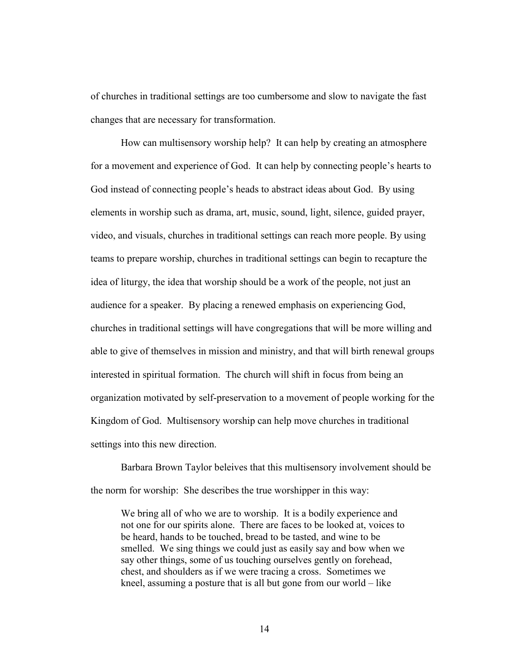of churches in traditional settings are too cumbersome and slow to navigate the fast changes that are necessary for transformation.

 How can multisensory worship help? It can help by creating an atmosphere for a movement and experience of God. It can help by connecting people's hearts to God instead of connecting people's heads to abstract ideas about God. By using elements in worship such as drama, art, music, sound, light, silence, guided prayer, video, and visuals, churches in traditional settings can reach more people. By using teams to prepare worship, churches in traditional settings can begin to recapture the idea of liturgy, the idea that worship should be a work of the people, not just an audience for a speaker. By placing a renewed emphasis on experiencing God, churches in traditional settings will have congregations that will be more willing and able to give of themselves in mission and ministry, and that will birth renewal groups interested in spiritual formation. The church will shift in focus from being an organization motivated by self-preservation to a movement of people working for the Kingdom of God. Multisensory worship can help move churches in traditional settings into this new direction.

 Barbara Brown Taylor beleives that this multisensory involvement should be the norm for worship: She describes the true worshipper in this way:

We bring all of who we are to worship. It is a bodily experience and not one for our spirits alone. There are faces to be looked at, voices to be heard, hands to be touched, bread to be tasted, and wine to be smelled. We sing things we could just as easily say and bow when we say other things, some of us touching ourselves gently on forehead, chest, and shoulders as if we were tracing a cross. Sometimes we kneel, assuming a posture that is all but gone from our world – like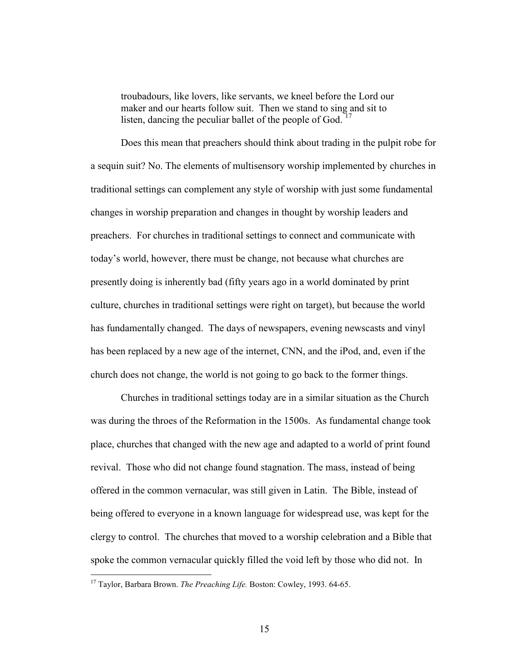troubadours, like lovers, like servants, we kneel before the Lord our maker and our hearts follow suit. Then we stand to sing and sit to listen, dancing the peculiar ballet of the people of God.  $17$ 

Does this mean that preachers should think about trading in the pulpit robe for a sequin suit? No. The elements of multisensory worship implemented by churches in traditional settings can complement any style of worship with just some fundamental changes in worship preparation and changes in thought by worship leaders and preachers. For churches in traditional settings to connect and communicate with today's world, however, there must be change, not because what churches are presently doing is inherently bad (fifty years ago in a world dominated by print culture, churches in traditional settings were right on target), but because the world has fundamentally changed. The days of newspapers, evening newscasts and vinyl has been replaced by a new age of the internet, CNN, and the iPod, and, even if the church does not change, the world is not going to go back to the former things.

 Churches in traditional settings today are in a similar situation as the Church was during the throes of the Reformation in the 1500s. As fundamental change took place, churches that changed with the new age and adapted to a world of print found revival. Those who did not change found stagnation. The mass, instead of being offered in the common vernacular, was still given in Latin. The Bible, instead of being offered to everyone in a known language for widespread use, was kept for the clergy to control. The churches that moved to a worship celebration and a Bible that spoke the common vernacular quickly filled the void left by those who did not. In

<sup>&</sup>lt;sup>17</sup> Taylor, Barbara Brown. The Preaching Life. Boston: Cowley, 1993. 64-65.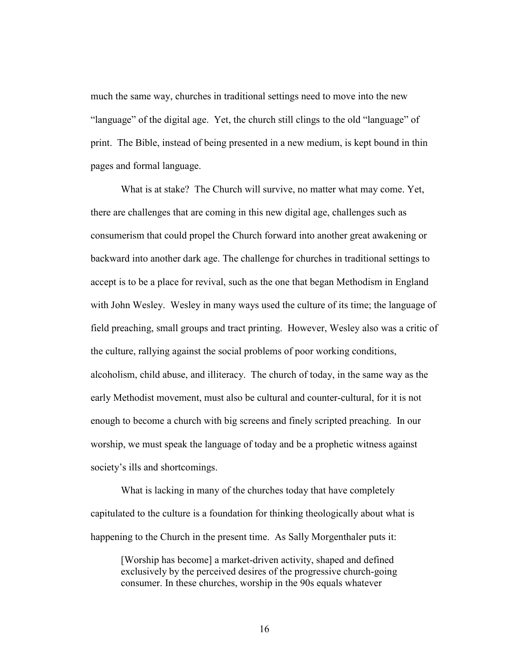much the same way, churches in traditional settings need to move into the new "language" of the digital age. Yet, the church still clings to the old "language" of print. The Bible, instead of being presented in a new medium, is kept bound in thin pages and formal language.

 What is at stake? The Church will survive, no matter what may come. Yet, there are challenges that are coming in this new digital age, challenges such as consumerism that could propel the Church forward into another great awakening or backward into another dark age. The challenge for churches in traditional settings to accept is to be a place for revival, such as the one that began Methodism in England with John Wesley. Wesley in many ways used the culture of its time; the language of field preaching, small groups and tract printing. However, Wesley also was a critic of the culture, rallying against the social problems of poor working conditions, alcoholism, child abuse, and illiteracy. The church of today, in the same way as the early Methodist movement, must also be cultural and counter-cultural, for it is not enough to become a church with big screens and finely scripted preaching. In our worship, we must speak the language of today and be a prophetic witness against society's ills and shortcomings.

 What is lacking in many of the churches today that have completely capitulated to the culture is a foundation for thinking theologically about what is happening to the Church in the present time. As Sally Morgenthaler puts it:

[Worship has become] a market-driven activity, shaped and defined exclusively by the perceived desires of the progressive church-going consumer. In these churches, worship in the 90s equals whatever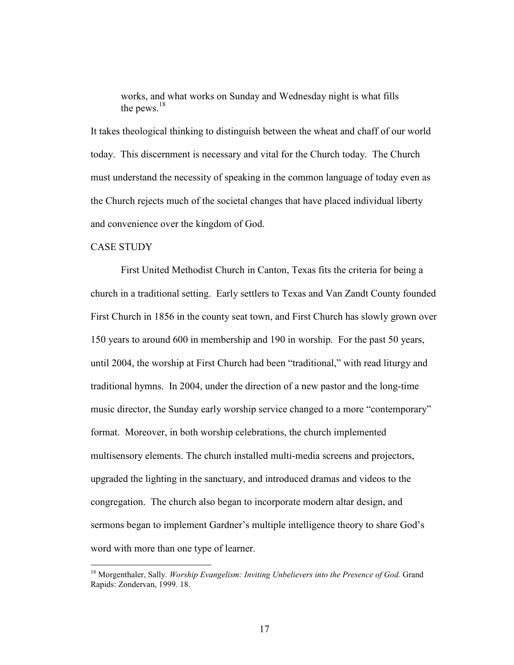works, and what works on Sunday and Wednesday night is what fills the pews.<sup>18</sup>

It takes theological thinking to distinguish between the wheat and chaff of our world today. This discernment is necessary and vital for the Church today. The Church must understand the necessity of speaking in the common language of today even as the Church rejects much of the societal changes that have placed individual liberty and convenience over the kingdom of God.

#### CASE STUDY

l

 First United Methodist Church in Canton, Texas fits the criteria for being a church in a traditional setting. Early settlers to Texas and Van Zandt County founded First Church in 1856 in the county seat town, and First Church has slowly grown over 150 years to around 600 in membership and 190 in worship. For the past 50 years, until 2004, the worship at First Church had been "traditional," with read liturgy and traditional hymns. In 2004, under the direction of a new pastor and the long-time music director, the Sunday early worship service changed to a more "contemporary" format. Moreover, in both worship celebrations, the church implemented multisensory elements. The church installed multi-media screens and projectors, upgraded the lighting in the sanctuary, and introduced dramas and videos to the congregation. The church also began to incorporate modern altar design, and sermons began to implement Gardner's multiple intelligence theory to share God's word with more than one type of learner.

 $18$  Morgenthaler, Sally. *Worship Evangelism: Inviting Unbelievers into the Presence of God.* Grand Rapids: Zondervan, 1999. 18.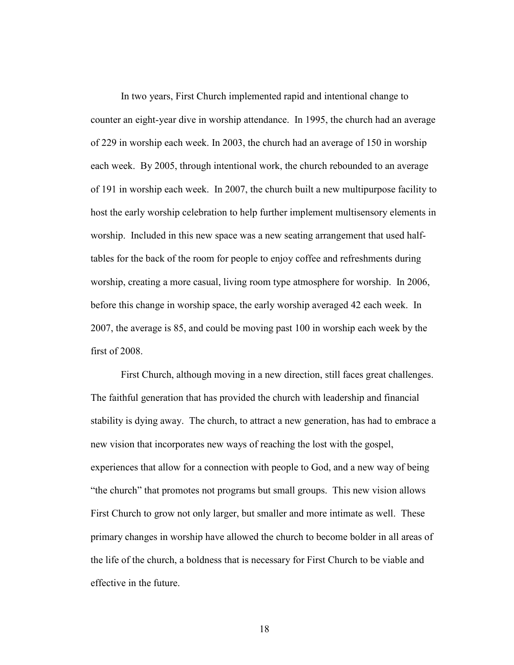In two years, First Church implemented rapid and intentional change to counter an eight-year dive in worship attendance. In 1995, the church had an average of 229 in worship each week. In 2003, the church had an average of 150 in worship each week. By 2005, through intentional work, the church rebounded to an average of 191 in worship each week. In 2007, the church built a new multipurpose facility to host the early worship celebration to help further implement multisensory elements in worship. Included in this new space was a new seating arrangement that used halftables for the back of the room for people to enjoy coffee and refreshments during worship, creating a more casual, living room type atmosphere for worship. In 2006, before this change in worship space, the early worship averaged 42 each week. In 2007, the average is 85, and could be moving past 100 in worship each week by the first of 2008.

 First Church, although moving in a new direction, still faces great challenges. The faithful generation that has provided the church with leadership and financial stability is dying away. The church, to attract a new generation, has had to embrace a new vision that incorporates new ways of reaching the lost with the gospel, experiences that allow for a connection with people to God, and a new way of being "the church" that promotes not programs but small groups. This new vision allows First Church to grow not only larger, but smaller and more intimate as well. These primary changes in worship have allowed the church to become bolder in all areas of the life of the church, a boldness that is necessary for First Church to be viable and effective in the future.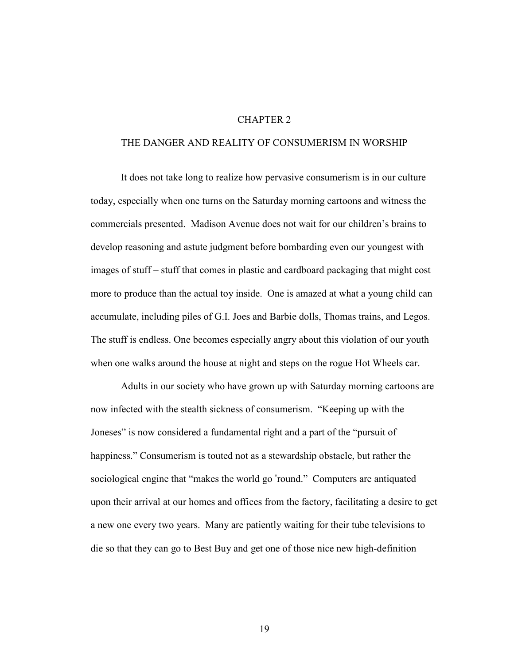#### CHAPTER 2

#### THE DANGER AND REALITY OF CONSUMERISM IN WORSHIP

 It does not take long to realize how pervasive consumerism is in our culture today, especially when one turns on the Saturday morning cartoons and witness the commercials presented. Madison Avenue does not wait for our children's brains to develop reasoning and astute judgment before bombarding even our youngest with images of stuff – stuff that comes in plastic and cardboard packaging that might cost more to produce than the actual toy inside. One is amazed at what a young child can accumulate, including piles of G.I. Joes and Barbie dolls, Thomas trains, and Legos. The stuff is endless. One becomes especially angry about this violation of our youth when one walks around the house at night and steps on the rogue Hot Wheels car.

 Adults in our society who have grown up with Saturday morning cartoons are now infected with the stealth sickness of consumerism. "Keeping up with the Joneses" is now considered a fundamental right and a part of the "pursuit of happiness." Consumerism is touted not as a stewardship obstacle, but rather the sociological engine that "makes the world go 'round." Computers are antiquated upon their arrival at our homes and offices from the factory, facilitating a desire to get a new one every two years. Many are patiently waiting for their tube televisions to die so that they can go to Best Buy and get one of those nice new high-definition

19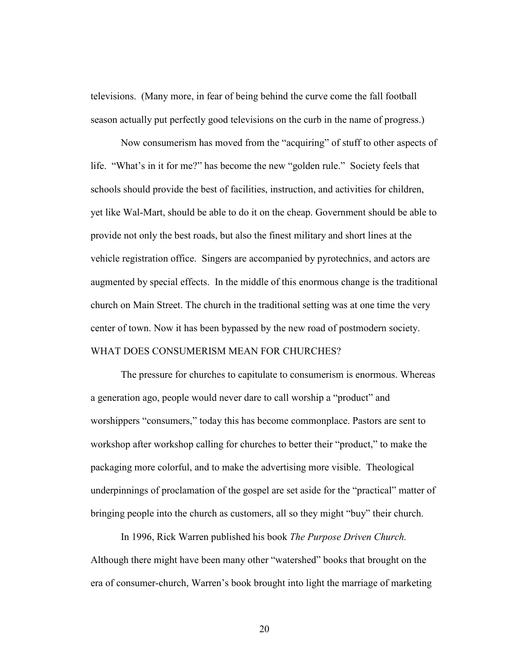televisions. (Many more, in fear of being behind the curve come the fall football season actually put perfectly good televisions on the curb in the name of progress.)

 Now consumerism has moved from the "acquiring" of stuff to other aspects of life. "What's in it for me?" has become the new "golden rule." Society feels that schools should provide the best of facilities, instruction, and activities for children, yet like Wal-Mart, should be able to do it on the cheap. Government should be able to provide not only the best roads, but also the finest military and short lines at the vehicle registration office. Singers are accompanied by pyrotechnics, and actors are augmented by special effects. In the middle of this enormous change is the traditional church on Main Street. The church in the traditional setting was at one time the very center of town. Now it has been bypassed by the new road of postmodern society. WHAT DOES CONSUMERISM MEAN FOR CHURCHES?

 The pressure for churches to capitulate to consumerism is enormous. Whereas a generation ago, people would never dare to call worship a "product" and worshippers "consumers," today this has become commonplace. Pastors are sent to workshop after workshop calling for churches to better their "product," to make the packaging more colorful, and to make the advertising more visible. Theological underpinnings of proclamation of the gospel are set aside for the "practical" matter of bringing people into the church as customers, all so they might "buy" their church.

 In 1996, Rick Warren published his book The Purpose Driven Church. Although there might have been many other "watershed" books that brought on the era of consumer-church, Warren's book brought into light the marriage of marketing

20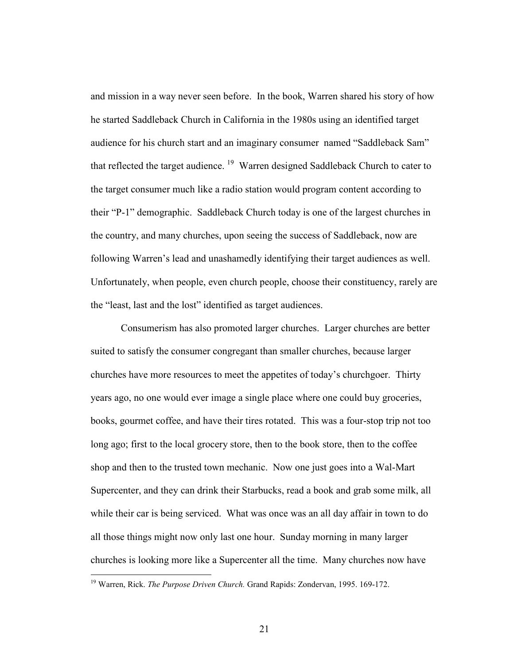and mission in a way never seen before. In the book, Warren shared his story of how he started Saddleback Church in California in the 1980s using an identified target audience for his church start and an imaginary consumer named "Saddleback Sam" that reflected the target audience.<sup>19</sup> Warren designed Saddleback Church to cater to the target consumer much like a radio station would program content according to their "P-1" demographic. Saddleback Church today is one of the largest churches in the country, and many churches, upon seeing the success of Saddleback, now are following Warren's lead and unashamedly identifying their target audiences as well. Unfortunately, when people, even church people, choose their constituency, rarely are the "least, last and the lost" identified as target audiences.

 Consumerism has also promoted larger churches. Larger churches are better suited to satisfy the consumer congregant than smaller churches, because larger churches have more resources to meet the appetites of today's churchgoer. Thirty years ago, no one would ever image a single place where one could buy groceries, books, gourmet coffee, and have their tires rotated. This was a four-stop trip not too long ago; first to the local grocery store, then to the book store, then to the coffee shop and then to the trusted town mechanic. Now one just goes into a Wal-Mart Supercenter, and they can drink their Starbucks, read a book and grab some milk, all while their car is being serviced. What was once was an all day affair in town to do all those things might now only last one hour. Sunday morning in many larger churches is looking more like a Supercenter all the time. Many churches now have

<sup>&</sup>lt;sup>19</sup> Warren, Rick. The Purpose Driven Church. Grand Rapids: Zondervan, 1995. 169-172.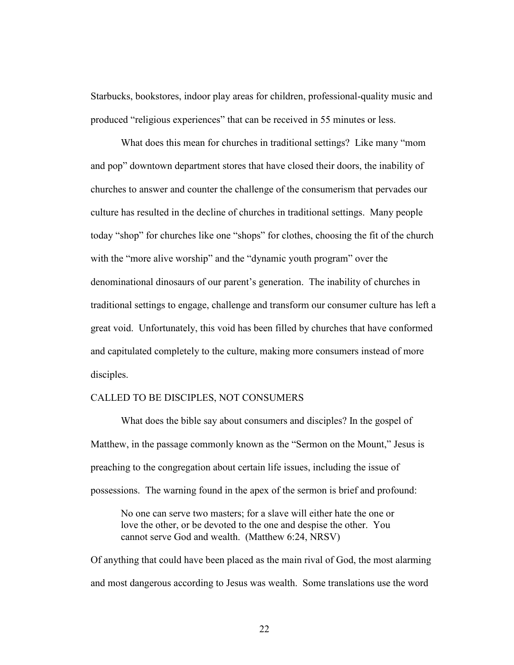Starbucks, bookstores, indoor play areas for children, professional-quality music and produced "religious experiences" that can be received in 55 minutes or less.

 What does this mean for churches in traditional settings? Like many "mom and pop" downtown department stores that have closed their doors, the inability of churches to answer and counter the challenge of the consumerism that pervades our culture has resulted in the decline of churches in traditional settings. Many people today "shop" for churches like one "shops" for clothes, choosing the fit of the church with the "more alive worship" and the "dynamic youth program" over the denominational dinosaurs of our parent's generation. The inability of churches in traditional settings to engage, challenge and transform our consumer culture has left a great void. Unfortunately, this void has been filled by churches that have conformed and capitulated completely to the culture, making more consumers instead of more disciples.

#### CALLED TO BE DISCIPLES, NOT CONSUMERS

 What does the bible say about consumers and disciples? In the gospel of Matthew, in the passage commonly known as the "Sermon on the Mount," Jesus is preaching to the congregation about certain life issues, including the issue of possessions. The warning found in the apex of the sermon is brief and profound:

No one can serve two masters; for a slave will either hate the one or love the other, or be devoted to the one and despise the other. You cannot serve God and wealth. (Matthew 6:24, NRSV)

Of anything that could have been placed as the main rival of God, the most alarming and most dangerous according to Jesus was wealth. Some translations use the word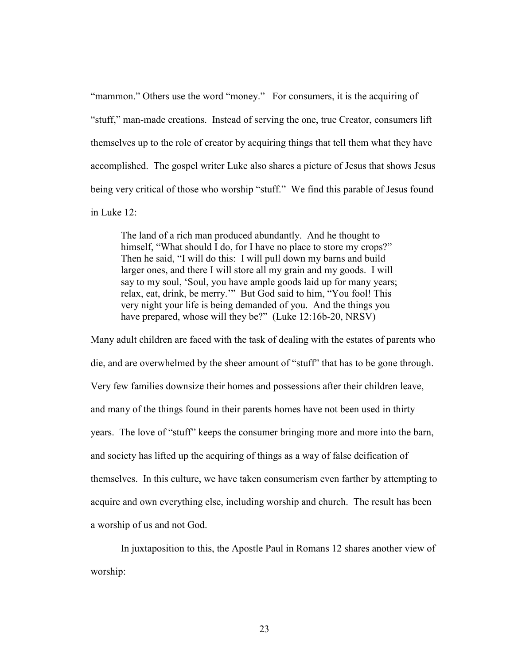"mammon." Others use the word "money." For consumers, it is the acquiring of "stuff," man-made creations. Instead of serving the one, true Creator, consumers lift themselves up to the role of creator by acquiring things that tell them what they have accomplished. The gospel writer Luke also shares a picture of Jesus that shows Jesus being very critical of those who worship "stuff." We find this parable of Jesus found in Luke 12:

The land of a rich man produced abundantly. And he thought to himself, "What should I do, for I have no place to store my crops?" Then he said, "I will do this: I will pull down my barns and build larger ones, and there I will store all my grain and my goods. I will say to my soul, 'Soul, you have ample goods laid up for many years; relax, eat, drink, be merry.'" But God said to him, "You fool! This very night your life is being demanded of you. And the things you have prepared, whose will they be?" (Luke 12:16b-20, NRSV)

Many adult children are faced with the task of dealing with the estates of parents who die, and are overwhelmed by the sheer amount of "stuff" that has to be gone through. Very few families downsize their homes and possessions after their children leave, and many of the things found in their parents homes have not been used in thirty years. The love of "stuff" keeps the consumer bringing more and more into the barn, and society has lifted up the acquiring of things as a way of false deification of themselves. In this culture, we have taken consumerism even farther by attempting to acquire and own everything else, including worship and church. The result has been a worship of us and not God.

 In juxtaposition to this, the Apostle Paul in Romans 12 shares another view of worship: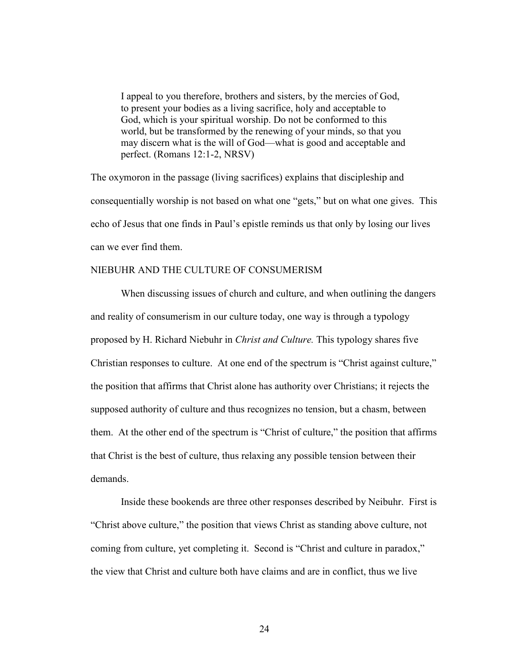I appeal to you therefore, brothers and sisters, by the mercies of God, to present your bodies as a living sacrifice, holy and acceptable to God, which is your spiritual worship. Do not be conformed to this world, but be transformed by the renewing of your minds, so that you may discern what is the will of God—what is good and acceptable and perfect. (Romans 12:1-2, NRSV)

The oxymoron in the passage (living sacrifices) explains that discipleship and consequentially worship is not based on what one "gets," but on what one gives. This echo of Jesus that one finds in Paul's epistle reminds us that only by losing our lives can we ever find them.

## NIEBUHR AND THE CULTURE OF CONSUMERISM

 When discussing issues of church and culture, and when outlining the dangers and reality of consumerism in our culture today, one way is through a typology proposed by H. Richard Niebuhr in *Christ and Culture*. This typology shares five Christian responses to culture. At one end of the spectrum is "Christ against culture," the position that affirms that Christ alone has authority over Christians; it rejects the supposed authority of culture and thus recognizes no tension, but a chasm, between them. At the other end of the spectrum is "Christ of culture," the position that affirms that Christ is the best of culture, thus relaxing any possible tension between their demands.

 Inside these bookends are three other responses described by Neibuhr. First is "Christ above culture," the position that views Christ as standing above culture, not coming from culture, yet completing it. Second is "Christ and culture in paradox," the view that Christ and culture both have claims and are in conflict, thus we live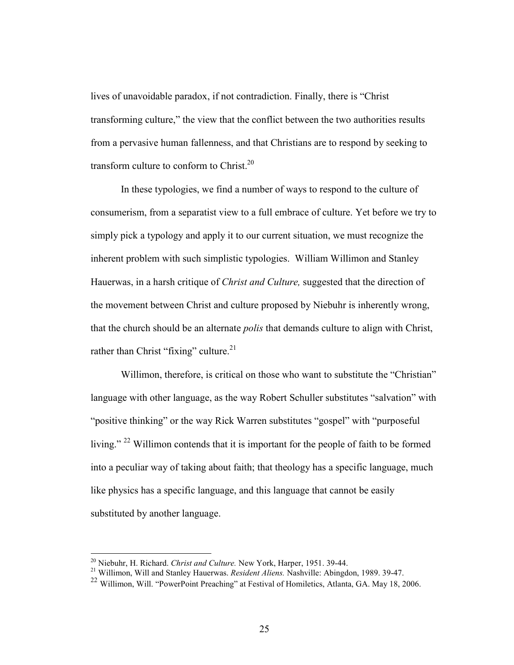lives of unavoidable paradox, if not contradiction. Finally, there is "Christ transforming culture," the view that the conflict between the two authorities results from a pervasive human fallenness, and that Christians are to respond by seeking to transform culture to conform to Christ.<sup>20</sup>

 In these typologies, we find a number of ways to respond to the culture of consumerism, from a separatist view to a full embrace of culture. Yet before we try to simply pick a typology and apply it to our current situation, we must recognize the inherent problem with such simplistic typologies. William Willimon and Stanley Hauerwas, in a harsh critique of *Christ and Culture*, suggested that the direction of the movement between Christ and culture proposed by Niebuhr is inherently wrong, that the church should be an alternate *polis* that demands culture to align with Christ, rather than Christ "fixing" culture.<sup>21</sup>

Willimon, therefore, is critical on those who want to substitute the "Christian" language with other language, as the way Robert Schuller substitutes "salvation" with "positive thinking" or the way Rick Warren substitutes "gospel" with "purposeful living." <sup>22</sup> Willimon contends that it is important for the people of faith to be formed into a peculiar way of taking about faith; that theology has a specific language, much like physics has a specific language, and this language that cannot be easily substituted by another language.

 $^{20}$  Niebuhr, H. Richard. Christ and Culture. New York, Harper, 1951, 39-44.

<sup>&</sup>lt;sup>21</sup> Willimon, Will and Stanley Hauerwas. Resident Aliens. Nashville: Abingdon, 1989. 39-47.

<sup>22</sup> Willimon, Will. "PowerPoint Preaching" at Festival of Homiletics, Atlanta, GA. May 18, 2006.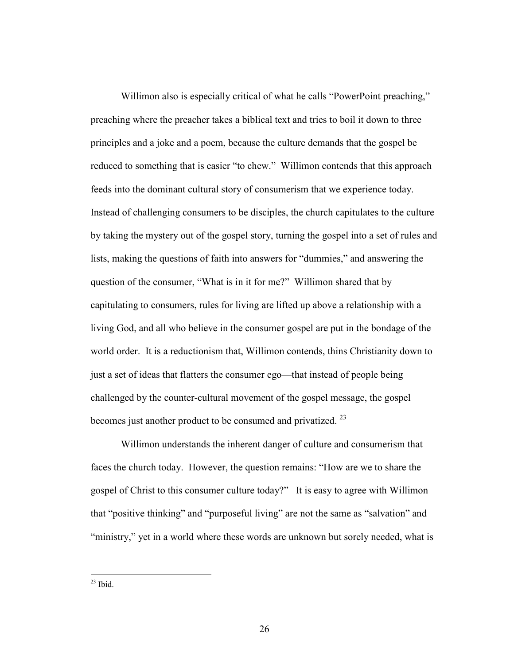Willimon also is especially critical of what he calls "PowerPoint preaching," preaching where the preacher takes a biblical text and tries to boil it down to three principles and a joke and a poem, because the culture demands that the gospel be reduced to something that is easier "to chew." Willimon contends that this approach feeds into the dominant cultural story of consumerism that we experience today. Instead of challenging consumers to be disciples, the church capitulates to the culture by taking the mystery out of the gospel story, turning the gospel into a set of rules and lists, making the questions of faith into answers for "dummies," and answering the question of the consumer, "What is in it for me?" Willimon shared that by capitulating to consumers, rules for living are lifted up above a relationship with a living God, and all who believe in the consumer gospel are put in the bondage of the world order. It is a reductionism that, Willimon contends, thins Christianity down to just a set of ideas that flatters the consumer ego—that instead of people being challenged by the counter-cultural movement of the gospel message, the gospel becomes just another product to be consumed and privatized.<sup>23</sup>

 Willimon understands the inherent danger of culture and consumerism that faces the church today. However, the question remains: "How are we to share the gospel of Christ to this consumer culture today?" It is easy to agree with Willimon that "positive thinking" and "purposeful living" are not the same as "salvation" and "ministry," yet in a world where these words are unknown but sorely needed, what is

 $\overline{a}$  $^{23}$  Ibid.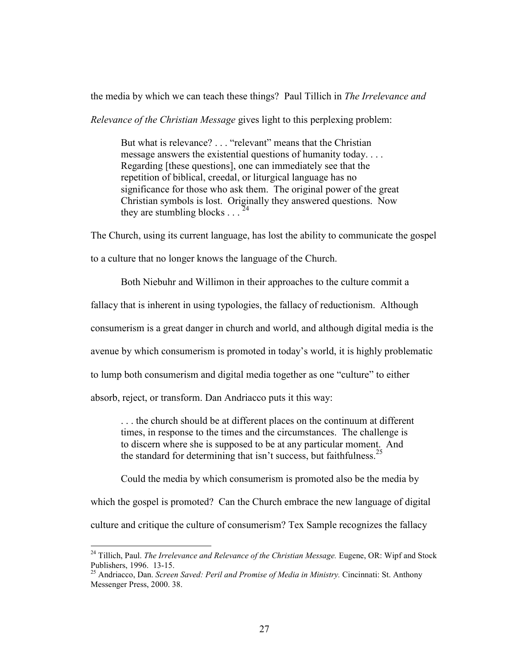the media by which we can teach these things? Paul Tillich in The Irrelevance and

Relevance of the Christian Message gives light to this perplexing problem:

But what is relevance? . . . "relevant" means that the Christian message answers the existential questions of humanity today. . . . Regarding [these questions], one can immediately see that the repetition of biblical, creedal, or liturgical language has no significance for those who ask them. The original power of the great Christian symbols is lost. Originally they answered questions. Now they are stumbling blocks  $\ldots$ <sup>24</sup>

The Church, using its current language, has lost the ability to communicate the gospel

to a culture that no longer knows the language of the Church.

Both Niebuhr and Willimon in their approaches to the culture commit a

fallacy that is inherent in using typologies, the fallacy of reductionism. Although

consumerism is a great danger in church and world, and although digital media is the

avenue by which consumerism is promoted in today's world, it is highly problematic

to lump both consumerism and digital media together as one "culture" to either

absorb, reject, or transform. Dan Andriacco puts it this way:

 $\overline{a}$ 

. . . the church should be at different places on the continuum at different times, in response to the times and the circumstances. The challenge is to discern where she is supposed to be at any particular moment. And the standard for determining that isn't success, but faithfulness.<sup>25</sup>

Could the media by which consumerism is promoted also be the media by which the gospel is promoted? Can the Church embrace the new language of digital culture and critique the culture of consumerism? Tex Sample recognizes the fallacy

<sup>&</sup>lt;sup>24</sup> Tillich, Paul. *The Irrelevance and Relevance of the Christian Message*. Eugene, OR: Wipf and Stock Publishers, 1996. 13-15.

<sup>25</sup> Andriacco, Dan. Screen Saved: Peril and Promise of Media in Ministry. Cincinnati: St. Anthony Messenger Press, 2000. 38.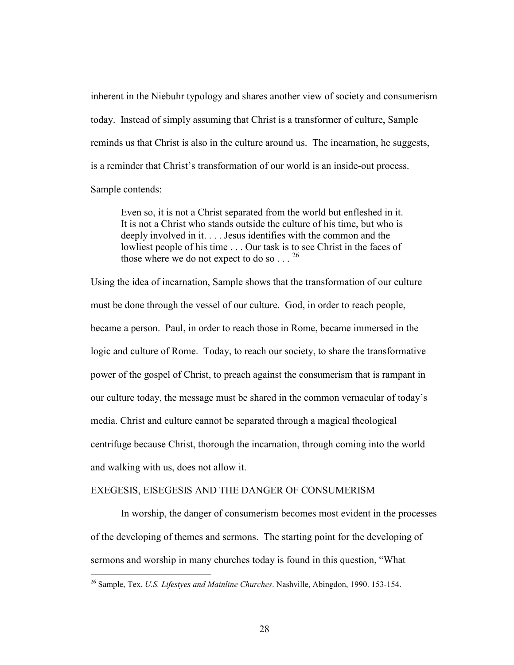inherent in the Niebuhr typology and shares another view of society and consumerism today. Instead of simply assuming that Christ is a transformer of culture, Sample reminds us that Christ is also in the culture around us. The incarnation, he suggests, is a reminder that Christ's transformation of our world is an inside-out process. Sample contends:

Even so, it is not a Christ separated from the world but enfleshed in it. It is not a Christ who stands outside the culture of his time, but who is deeply involved in it. . . . Jesus identifies with the common and the lowliest people of his time . . . Our task is to see Christ in the faces of those where we do not expect to do so  $\ldots$ . <sup>26</sup>

Using the idea of incarnation, Sample shows that the transformation of our culture must be done through the vessel of our culture. God, in order to reach people, became a person. Paul, in order to reach those in Rome, became immersed in the logic and culture of Rome. Today, to reach our society, to share the transformative power of the gospel of Christ, to preach against the consumerism that is rampant in our culture today, the message must be shared in the common vernacular of today's media. Christ and culture cannot be separated through a magical theological centrifuge because Christ, thorough the incarnation, through coming into the world and walking with us, does not allow it.

#### EXEGESIS, EISEGESIS AND THE DANGER OF CONSUMERISM

 In worship, the danger of consumerism becomes most evident in the processes of the developing of themes and sermons. The starting point for the developing of sermons and worship in many churches today is found in this question, "What

<sup>&</sup>lt;sup>26</sup> Sample, Tex. U.S. Lifestyes and Mainline Churches. Nashville, Abingdon, 1990. 153-154.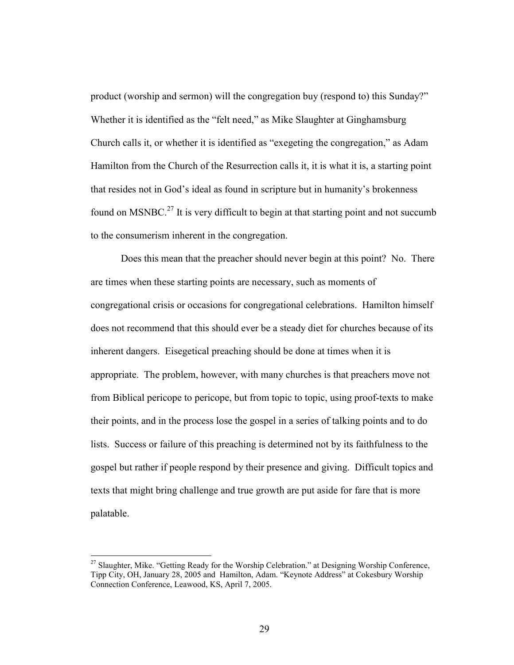product (worship and sermon) will the congregation buy (respond to) this Sunday?" Whether it is identified as the "felt need," as Mike Slaughter at Ginghamsburg Church calls it, or whether it is identified as "exegeting the congregation," as Adam Hamilton from the Church of the Resurrection calls it, it is what it is, a starting point that resides not in God's ideal as found in scripture but in humanity's brokenness found on MSNBC.<sup>27</sup> It is very difficult to begin at that starting point and not succumb to the consumerism inherent in the congregation.

 Does this mean that the preacher should never begin at this point? No. There are times when these starting points are necessary, such as moments of congregational crisis or occasions for congregational celebrations. Hamilton himself does not recommend that this should ever be a steady diet for churches because of its inherent dangers. Eisegetical preaching should be done at times when it is appropriate. The problem, however, with many churches is that preachers move not from Biblical pericope to pericope, but from topic to topic, using proof-texts to make their points, and in the process lose the gospel in a series of talking points and to do lists. Success or failure of this preaching is determined not by its faithfulness to the gospel but rather if people respond by their presence and giving. Difficult topics and texts that might bring challenge and true growth are put aside for fare that is more palatable.

 $\overline{a}$ 

<sup>&</sup>lt;sup>27</sup> Slaughter, Mike. "Getting Ready for the Worship Celebration." at Designing Worship Conference, Tipp City, OH, January 28, 2005 and Hamilton, Adam. "Keynote Address" at Cokesbury Worship Connection Conference, Leawood, KS, April 7, 2005.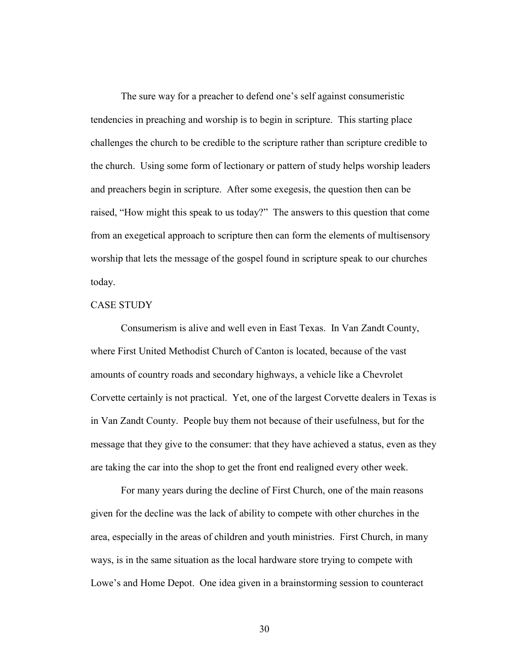The sure way for a preacher to defend one's self against consumeristic tendencies in preaching and worship is to begin in scripture. This starting place challenges the church to be credible to the scripture rather than scripture credible to the church. Using some form of lectionary or pattern of study helps worship leaders and preachers begin in scripture. After some exegesis, the question then can be raised, "How might this speak to us today?" The answers to this question that come from an exegetical approach to scripture then can form the elements of multisensory worship that lets the message of the gospel found in scripture speak to our churches today.

# CASE STUDY

 Consumerism is alive and well even in East Texas. In Van Zandt County, where First United Methodist Church of Canton is located, because of the vast amounts of country roads and secondary highways, a vehicle like a Chevrolet Corvette certainly is not practical. Yet, one of the largest Corvette dealers in Texas is in Van Zandt County. People buy them not because of their usefulness, but for the message that they give to the consumer: that they have achieved a status, even as they are taking the car into the shop to get the front end realigned every other week.

 For many years during the decline of First Church, one of the main reasons given for the decline was the lack of ability to compete with other churches in the area, especially in the areas of children and youth ministries. First Church, in many ways, is in the same situation as the local hardware store trying to compete with Lowe's and Home Depot. One idea given in a brainstorming session to counteract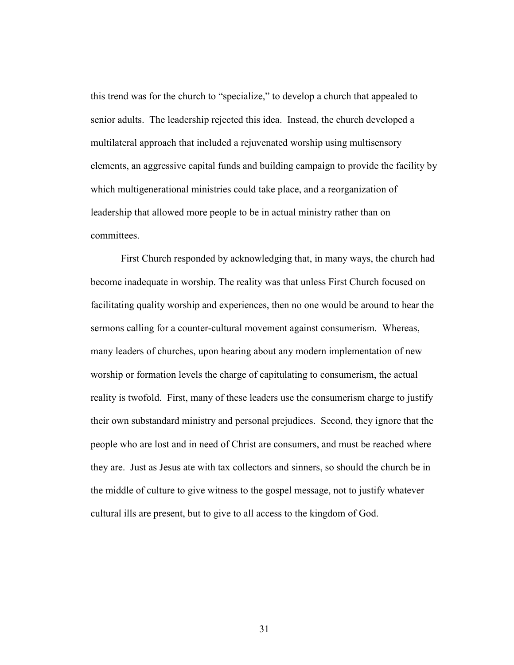this trend was for the church to "specialize," to develop a church that appealed to senior adults. The leadership rejected this idea. Instead, the church developed a multilateral approach that included a rejuvenated worship using multisensory elements, an aggressive capital funds and building campaign to provide the facility by which multigenerational ministries could take place, and a reorganization of leadership that allowed more people to be in actual ministry rather than on committees.

 First Church responded by acknowledging that, in many ways, the church had become inadequate in worship. The reality was that unless First Church focused on facilitating quality worship and experiences, then no one would be around to hear the sermons calling for a counter-cultural movement against consumerism. Whereas, many leaders of churches, upon hearing about any modern implementation of new worship or formation levels the charge of capitulating to consumerism, the actual reality is twofold. First, many of these leaders use the consumerism charge to justify their own substandard ministry and personal prejudices. Second, they ignore that the people who are lost and in need of Christ are consumers, and must be reached where they are. Just as Jesus ate with tax collectors and sinners, so should the church be in the middle of culture to give witness to the gospel message, not to justify whatever cultural ills are present, but to give to all access to the kingdom of God.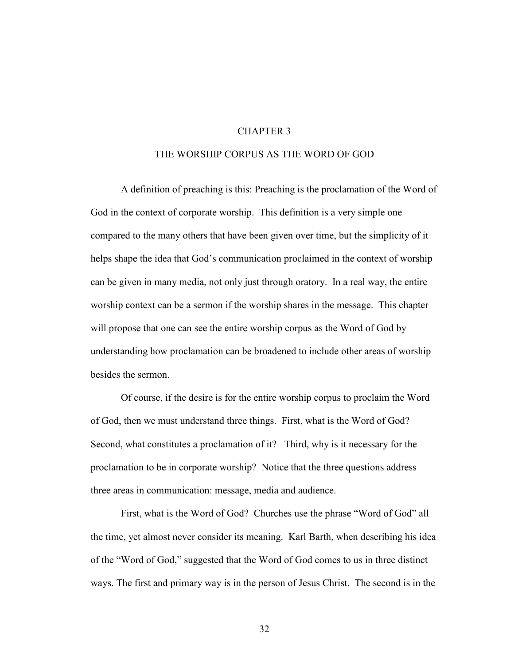### CHAPTER 3

# THE WORSHIP CORPUS AS THE WORD OF GOD

A definition of preaching is this: Preaching is the proclamation of the Word of God in the context of corporate worship. This definition is a very simple one compared to the many others that have been given over time, but the simplicity of it helps shape the idea that God's communication proclaimed in the context of worship can be given in many media, not only just through oratory. In a real way, the entire worship context can be a sermon if the worship shares in the message. This chapter will propose that one can see the entire worship corpus as the Word of God by understanding how proclamation can be broadened to include other areas of worship besides the sermon.

Of course, if the desire is for the entire worship corpus to proclaim the Word of God, then we must understand three things. First, what is the Word of God? Second, what constitutes a proclamation of it? Third, why is it necessary for the proclamation to be in corporate worship? Notice that the three questions address three areas in communication: message, media and audience.

 First, what is the Word of God? Churches use the phrase "Word of God" all the time, yet almost never consider its meaning. Karl Barth, when describing his idea of the "Word of God," suggested that the Word of God comes to us in three distinct ways. The first and primary way is in the person of Jesus Christ. The second is in the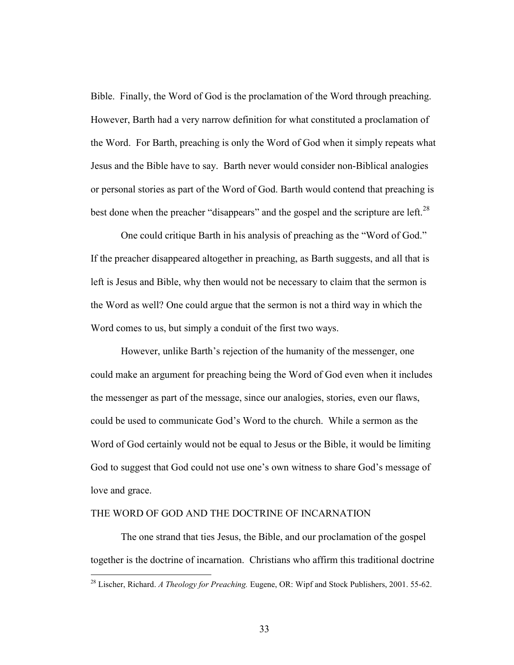Bible. Finally, the Word of God is the proclamation of the Word through preaching. However, Barth had a very narrow definition for what constituted a proclamation of the Word. For Barth, preaching is only the Word of God when it simply repeats what Jesus and the Bible have to say. Barth never would consider non-Biblical analogies or personal stories as part of the Word of God. Barth would contend that preaching is best done when the preacher "disappears" and the gospel and the scripture are left.<sup>28</sup>

 One could critique Barth in his analysis of preaching as the "Word of God." If the preacher disappeared altogether in preaching, as Barth suggests, and all that is left is Jesus and Bible, why then would not be necessary to claim that the sermon is the Word as well? One could argue that the sermon is not a third way in which the Word comes to us, but simply a conduit of the first two ways.

However, unlike Barth's rejection of the humanity of the messenger, one could make an argument for preaching being the Word of God even when it includes the messenger as part of the message, since our analogies, stories, even our flaws, could be used to communicate God's Word to the church. While a sermon as the Word of God certainly would not be equal to Jesus or the Bible, it would be limiting God to suggest that God could not use one's own witness to share God's message of love and grace.

### THE WORD OF GOD AND THE DOCTRINE OF INCARNATION

 $\overline{a}$ 

The one strand that ties Jesus, the Bible, and our proclamation of the gospel together is the doctrine of incarnation. Christians who affirm this traditional doctrine

 $^{28}$  Lischer, Richard. A Theology for Preaching. Eugene, OR: Wipf and Stock Publishers, 2001. 55-62.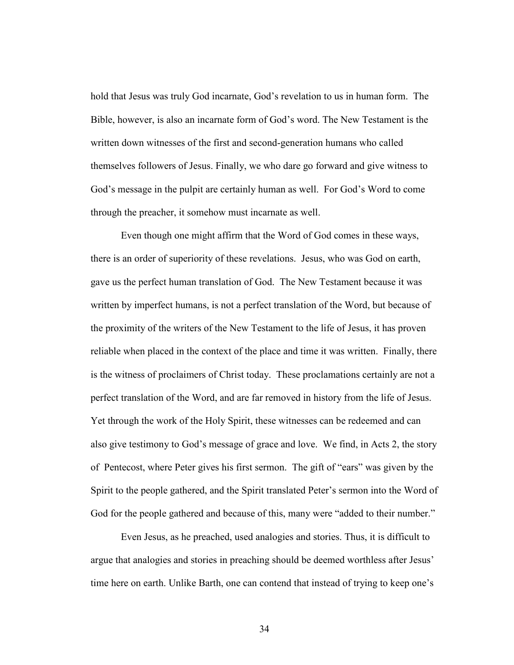hold that Jesus was truly God incarnate, God's revelation to us in human form. The Bible, however, is also an incarnate form of God's word. The New Testament is the written down witnesses of the first and second-generation humans who called themselves followers of Jesus. Finally, we who dare go forward and give witness to God's message in the pulpit are certainly human as well. For God's Word to come through the preacher, it somehow must incarnate as well.

Even though one might affirm that the Word of God comes in these ways, there is an order of superiority of these revelations. Jesus, who was God on earth, gave us the perfect human translation of God. The New Testament because it was written by imperfect humans, is not a perfect translation of the Word, but because of the proximity of the writers of the New Testament to the life of Jesus, it has proven reliable when placed in the context of the place and time it was written. Finally, there is the witness of proclaimers of Christ today. These proclamations certainly are not a perfect translation of the Word, and are far removed in history from the life of Jesus. Yet through the work of the Holy Spirit, these witnesses can be redeemed and can also give testimony to God's message of grace and love. We find, in Acts 2, the story of Pentecost, where Peter gives his first sermon. The gift of "ears" was given by the Spirit to the people gathered, and the Spirit translated Peter's sermon into the Word of God for the people gathered and because of this, many were "added to their number."

 Even Jesus, as he preached, used analogies and stories. Thus, it is difficult to argue that analogies and stories in preaching should be deemed worthless after Jesus' time here on earth. Unlike Barth, one can contend that instead of trying to keep one's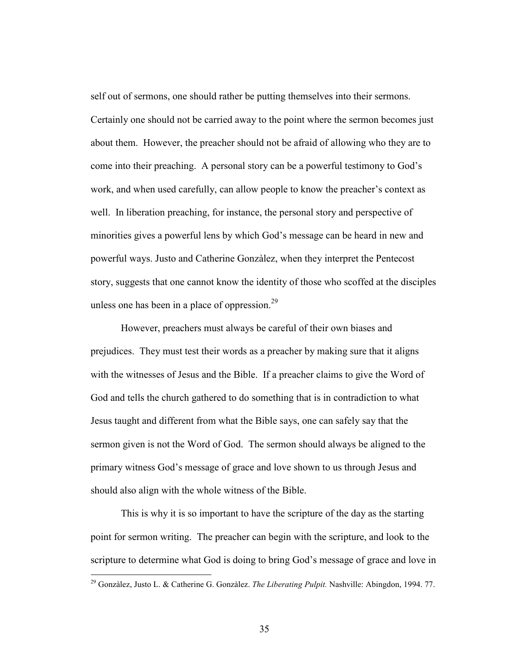self out of sermons, one should rather be putting themselves into their sermons. Certainly one should not be carried away to the point where the sermon becomes just about them. However, the preacher should not be afraid of allowing who they are to come into their preaching. A personal story can be a powerful testimony to God's work, and when used carefully, can allow people to know the preacher's context as well. In liberation preaching, for instance, the personal story and perspective of minorities gives a powerful lens by which God's message can be heard in new and powerful ways. Justo and Catherine Gonzàlez, when they interpret the Pentecost story, suggests that one cannot know the identity of those who scoffed at the disciples unless one has been in a place of oppression. $29$ 

However, preachers must always be careful of their own biases and prejudices. They must test their words as a preacher by making sure that it aligns with the witnesses of Jesus and the Bible. If a preacher claims to give the Word of God and tells the church gathered to do something that is in contradiction to what Jesus taught and different from what the Bible says, one can safely say that the sermon given is not the Word of God. The sermon should always be aligned to the primary witness God's message of grace and love shown to us through Jesus and should also align with the whole witness of the Bible.

This is why it is so important to have the scripture of the day as the starting point for sermon writing. The preacher can begin with the scripture, and look to the scripture to determine what God is doing to bring God's message of grace and love in

 $\overline{a}$ 

<sup>&</sup>lt;sup>29</sup> Gonzàlez, Justo L. & Catherine G. Gonzàlez. The Liberating Pulpit. Nashville: Abingdon, 1994. 77.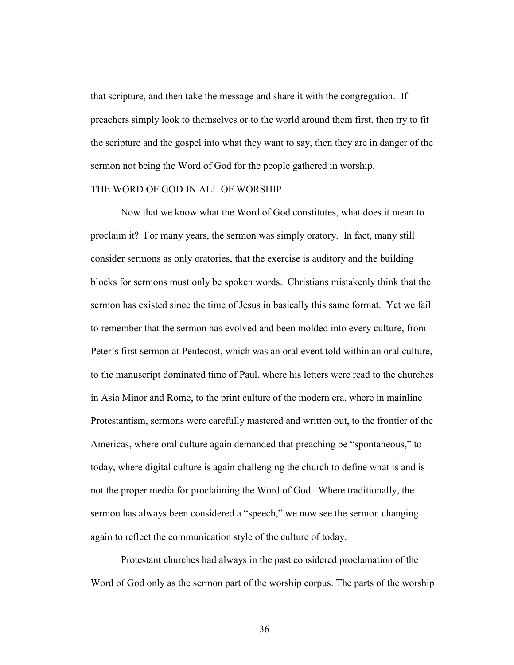that scripture, and then take the message and share it with the congregation. If preachers simply look to themselves or to the world around them first, then try to fit the scripture and the gospel into what they want to say, then they are in danger of the sermon not being the Word of God for the people gathered in worship.

### THE WORD OF GOD IN ALL OF WORSHIP

 Now that we know what the Word of God constitutes, what does it mean to proclaim it? For many years, the sermon was simply oratory. In fact, many still consider sermons as only oratories, that the exercise is auditory and the building blocks for sermons must only be spoken words. Christians mistakenly think that the sermon has existed since the time of Jesus in basically this same format. Yet we fail to remember that the sermon has evolved and been molded into every culture, from Peter's first sermon at Pentecost, which was an oral event told within an oral culture, to the manuscript dominated time of Paul, where his letters were read to the churches in Asia Minor and Rome, to the print culture of the modern era, where in mainline Protestantism, sermons were carefully mastered and written out, to the frontier of the Americas, where oral culture again demanded that preaching be "spontaneous," to today, where digital culture is again challenging the church to define what is and is not the proper media for proclaiming the Word of God. Where traditionally, the sermon has always been considered a "speech," we now see the sermon changing again to reflect the communication style of the culture of today.

 Protestant churches had always in the past considered proclamation of the Word of God only as the sermon part of the worship corpus. The parts of the worship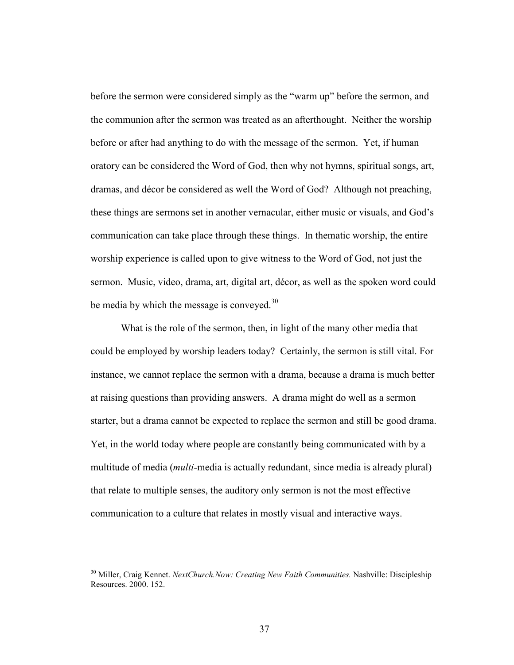before the sermon were considered simply as the "warm up" before the sermon, and the communion after the sermon was treated as an afterthought. Neither the worship before or after had anything to do with the message of the sermon. Yet, if human oratory can be considered the Word of God, then why not hymns, spiritual songs, art, dramas, and décor be considered as well the Word of God? Although not preaching, these things are sermons set in another vernacular, either music or visuals, and God's communication can take place through these things. In thematic worship, the entire worship experience is called upon to give witness to the Word of God, not just the sermon. Music, video, drama, art, digital art, décor, as well as the spoken word could be media by which the message is conveyed. $30$ 

What is the role of the sermon, then, in light of the many other media that could be employed by worship leaders today? Certainly, the sermon is still vital. For instance, we cannot replace the sermon with a drama, because a drama is much better at raising questions than providing answers. A drama might do well as a sermon starter, but a drama cannot be expected to replace the sermon and still be good drama. Yet, in the world today where people are constantly being communicated with by a multitude of media *(multi-media is actually redundant, since media is already plural)* that relate to multiple senses, the auditory only sermon is not the most effective communication to a culture that relates in mostly visual and interactive ways.

l

 $30$  Miller, Craig Kennet. NextChurch.Now: Creating New Faith Communities. Nashville: Discipleship Resources. 2000. 152.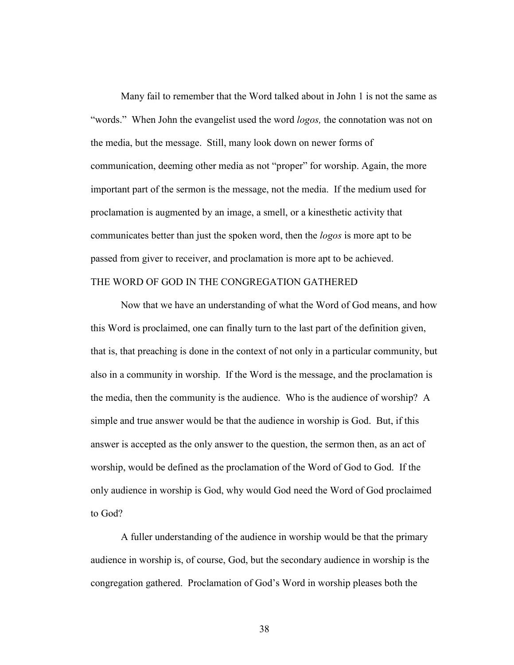Many fail to remember that the Word talked about in John 1 is not the same as "words." When John the evangelist used the word *logos*, the connotation was not on the media, but the message. Still, many look down on newer forms of communication, deeming other media as not "proper" for worship. Again, the more important part of the sermon is the message, not the media. If the medium used for proclamation is augmented by an image, a smell, or a kinesthetic activity that communicates better than just the spoken word, then the logos is more apt to be passed from giver to receiver, and proclamation is more apt to be achieved. THE WORD OF GOD IN THE CONGREGATION GATHERED

Now that we have an understanding of what the Word of God means, and how this Word is proclaimed, one can finally turn to the last part of the definition given, that is, that preaching is done in the context of not only in a particular community, but also in a community in worship. If the Word is the message, and the proclamation is the media, then the community is the audience. Who is the audience of worship? A simple and true answer would be that the audience in worship is God. But, if this answer is accepted as the only answer to the question, the sermon then, as an act of worship, would be defined as the proclamation of the Word of God to God. If the only audience in worship is God, why would God need the Word of God proclaimed to God?

A fuller understanding of the audience in worship would be that the primary audience in worship is, of course, God, but the secondary audience in worship is the congregation gathered. Proclamation of God's Word in worship pleases both the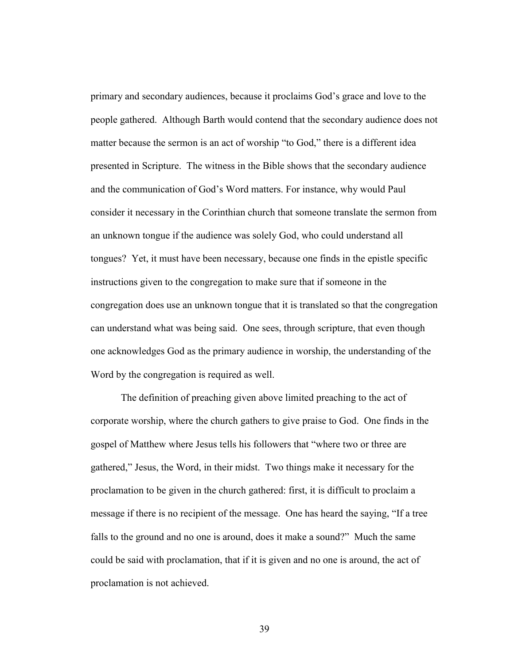primary and secondary audiences, because it proclaims God's grace and love to the people gathered. Although Barth would contend that the secondary audience does not matter because the sermon is an act of worship "to God," there is a different idea presented in Scripture. The witness in the Bible shows that the secondary audience and the communication of God's Word matters. For instance, why would Paul consider it necessary in the Corinthian church that someone translate the sermon from an unknown tongue if the audience was solely God, who could understand all tongues? Yet, it must have been necessary, because one finds in the epistle specific instructions given to the congregation to make sure that if someone in the congregation does use an unknown tongue that it is translated so that the congregation can understand what was being said. One sees, through scripture, that even though one acknowledges God as the primary audience in worship, the understanding of the Word by the congregation is required as well.

The definition of preaching given above limited preaching to the act of corporate worship, where the church gathers to give praise to God. One finds in the gospel of Matthew where Jesus tells his followers that "where two or three are gathered," Jesus, the Word, in their midst. Two things make it necessary for the proclamation to be given in the church gathered: first, it is difficult to proclaim a message if there is no recipient of the message. One has heard the saying, "If a tree falls to the ground and no one is around, does it make a sound?" Much the same could be said with proclamation, that if it is given and no one is around, the act of proclamation is not achieved.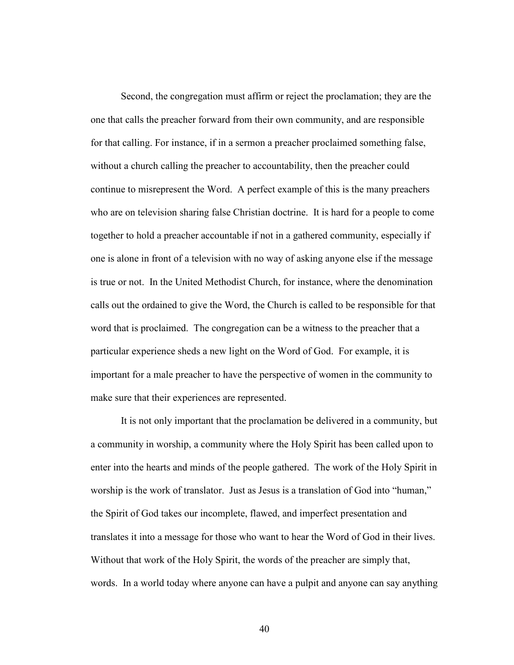Second, the congregation must affirm or reject the proclamation; they are the one that calls the preacher forward from their own community, and are responsible for that calling. For instance, if in a sermon a preacher proclaimed something false, without a church calling the preacher to accountability, then the preacher could continue to misrepresent the Word. A perfect example of this is the many preachers who are on television sharing false Christian doctrine. It is hard for a people to come together to hold a preacher accountable if not in a gathered community, especially if one is alone in front of a television with no way of asking anyone else if the message is true or not. In the United Methodist Church, for instance, where the denomination calls out the ordained to give the Word, the Church is called to be responsible for that word that is proclaimed. The congregation can be a witness to the preacher that a particular experience sheds a new light on the Word of God. For example, it is important for a male preacher to have the perspective of women in the community to make sure that their experiences are represented.

It is not only important that the proclamation be delivered in a community, but a community in worship, a community where the Holy Spirit has been called upon to enter into the hearts and minds of the people gathered. The work of the Holy Spirit in worship is the work of translator. Just as Jesus is a translation of God into "human," the Spirit of God takes our incomplete, flawed, and imperfect presentation and translates it into a message for those who want to hear the Word of God in their lives. Without that work of the Holy Spirit, the words of the preacher are simply that, words. In a world today where anyone can have a pulpit and anyone can say anything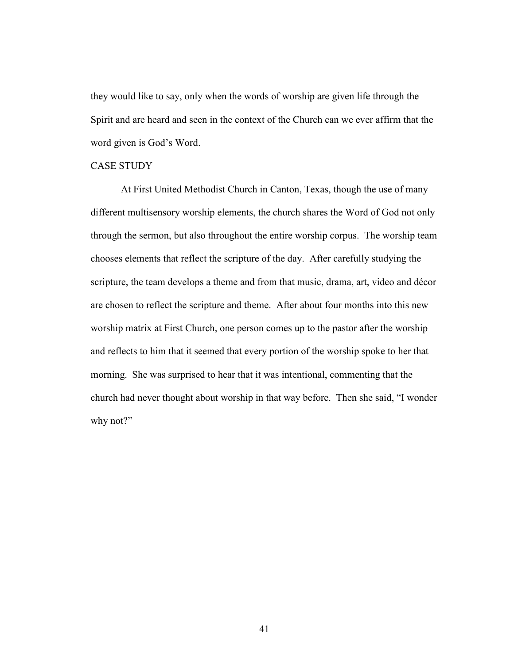they would like to say, only when the words of worship are given life through the Spirit and are heard and seen in the context of the Church can we ever affirm that the word given is God's Word.

# CASE STUDY

 At First United Methodist Church in Canton, Texas, though the use of many different multisensory worship elements, the church shares the Word of God not only through the sermon, but also throughout the entire worship corpus. The worship team chooses elements that reflect the scripture of the day. After carefully studying the scripture, the team develops a theme and from that music, drama, art, video and décor are chosen to reflect the scripture and theme. After about four months into this new worship matrix at First Church, one person comes up to the pastor after the worship and reflects to him that it seemed that every portion of the worship spoke to her that morning. She was surprised to hear that it was intentional, commenting that the church had never thought about worship in that way before. Then she said, "I wonder why not?"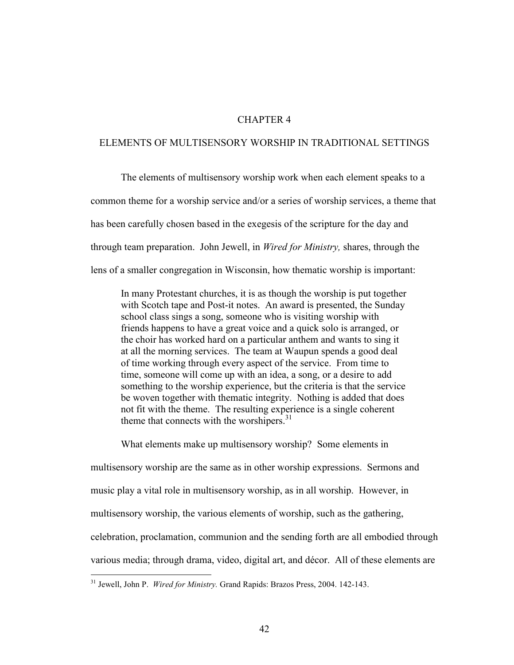### CHAPTER 4

### ELEMENTS OF MULTISENSORY WORSHIP IN TRADITIONAL SETTINGS

 The elements of multisensory worship work when each element speaks to a common theme for a worship service and/or a series of worship services, a theme that has been carefully chosen based in the exegesis of the scripture for the day and through team preparation. John Jewell, in Wired for Ministry, shares, through the lens of a smaller congregation in Wisconsin, how thematic worship is important:

In many Protestant churches, it is as though the worship is put together with Scotch tape and Post-it notes. An award is presented, the Sunday school class sings a song, someone who is visiting worship with friends happens to have a great voice and a quick solo is arranged, or the choir has worked hard on a particular anthem and wants to sing it at all the morning services. The team at Waupun spends a good deal of time working through every aspect of the service. From time to time, someone will come up with an idea, a song, or a desire to add something to the worship experience, but the criteria is that the service be woven together with thematic integrity. Nothing is added that does not fit with the theme. The resulting experience is a single coherent theme that connects with the worshipers.<sup>31</sup>

What elements make up multisensory worship? Some elements in

multisensory worship are the same as in other worship expressions. Sermons and music play a vital role in multisensory worship, as in all worship. However, in multisensory worship, the various elements of worship, such as the gathering, celebration, proclamation, communion and the sending forth are all embodied through various media; through drama, video, digital art, and décor. All of these elements are

 $\overline{a}$ 

<sup>&</sup>lt;sup>31</sup> Jewell, John P. Wired for Ministry. Grand Rapids: Brazos Press, 2004. 142-143.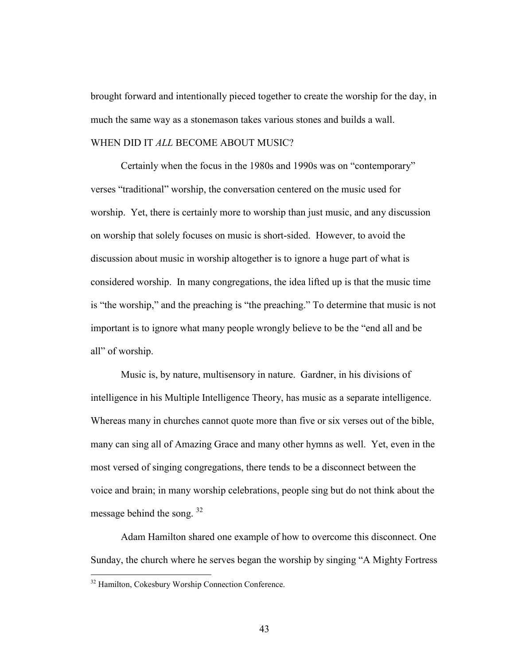brought forward and intentionally pieced together to create the worship for the day, in much the same way as a stonemason takes various stones and builds a wall.

### WHEN DID IT ALL BECOME ABOUT MUSIC?

 Certainly when the focus in the 1980s and 1990s was on "contemporary" verses "traditional" worship, the conversation centered on the music used for worship. Yet, there is certainly more to worship than just music, and any discussion on worship that solely focuses on music is short-sided. However, to avoid the discussion about music in worship altogether is to ignore a huge part of what is considered worship. In many congregations, the idea lifted up is that the music time is "the worship," and the preaching is "the preaching." To determine that music is not important is to ignore what many people wrongly believe to be the "end all and be all" of worship.

 Music is, by nature, multisensory in nature. Gardner, in his divisions of intelligence in his Multiple Intelligence Theory, has music as a separate intelligence. Whereas many in churches cannot quote more than five or six verses out of the bible, many can sing all of Amazing Grace and many other hymns as well. Yet, even in the most versed of singing congregations, there tends to be a disconnect between the voice and brain; in many worship celebrations, people sing but do not think about the message behind the song. <sup>32</sup>

 Adam Hamilton shared one example of how to overcome this disconnect. One Sunday, the church where he serves began the worship by singing "A Mighty Fortress

 $\overline{a}$ 

<sup>&</sup>lt;sup>32</sup> Hamilton, Cokesbury Worship Connection Conference.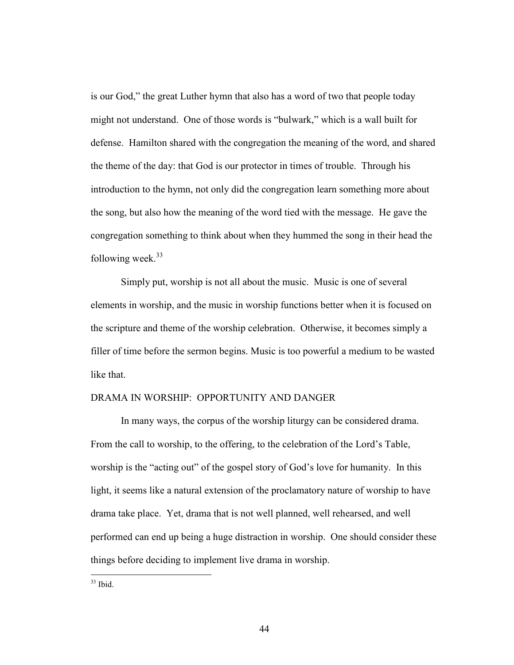is our God," the great Luther hymn that also has a word of two that people today might not understand. One of those words is "bulwark," which is a wall built for defense. Hamilton shared with the congregation the meaning of the word, and shared the theme of the day: that God is our protector in times of trouble. Through his introduction to the hymn, not only did the congregation learn something more about the song, but also how the meaning of the word tied with the message. He gave the congregation something to think about when they hummed the song in their head the following week. $33$ 

 Simply put, worship is not all about the music. Music is one of several elements in worship, and the music in worship functions better when it is focused on the scripture and theme of the worship celebration. Otherwise, it becomes simply a filler of time before the sermon begins. Music is too powerful a medium to be wasted like that.

### DRAMA IN WORSHIP: OPPORTUNITY AND DANGER

 In many ways, the corpus of the worship liturgy can be considered drama. From the call to worship, to the offering, to the celebration of the Lord's Table, worship is the "acting out" of the gospel story of God's love for humanity. In this light, it seems like a natural extension of the proclamatory nature of worship to have drama take place. Yet, drama that is not well planned, well rehearsed, and well performed can end up being a huge distraction in worship. One should consider these things before deciding to implement live drama in worship.

 $\overline{a}$  $33$  Ibid.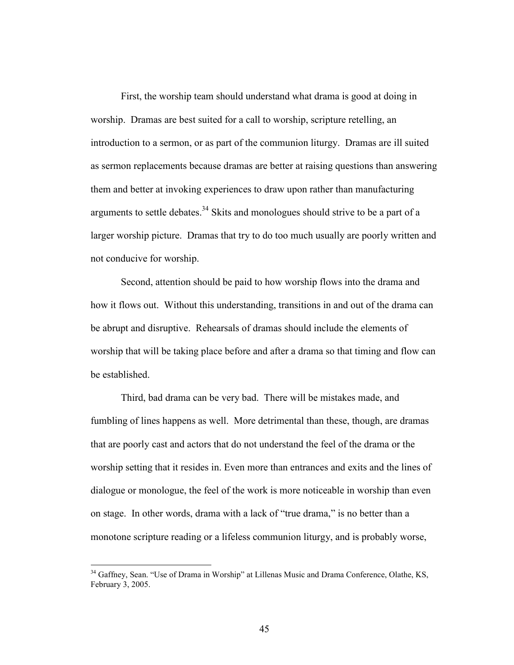First, the worship team should understand what drama is good at doing in worship. Dramas are best suited for a call to worship, scripture retelling, an introduction to a sermon, or as part of the communion liturgy. Dramas are ill suited as sermon replacements because dramas are better at raising questions than answering them and better at invoking experiences to draw upon rather than manufacturing arguments to settle debates.<sup>34</sup> Skits and monologues should strive to be a part of a larger worship picture. Dramas that try to do too much usually are poorly written and not conducive for worship.

 Second, attention should be paid to how worship flows into the drama and how it flows out. Without this understanding, transitions in and out of the drama can be abrupt and disruptive. Rehearsals of dramas should include the elements of worship that will be taking place before and after a drama so that timing and flow can be established.

 Third, bad drama can be very bad. There will be mistakes made, and fumbling of lines happens as well. More detrimental than these, though, are dramas that are poorly cast and actors that do not understand the feel of the drama or the worship setting that it resides in. Even more than entrances and exits and the lines of dialogue or monologue, the feel of the work is more noticeable in worship than even on stage. In other words, drama with a lack of "true drama," is no better than a monotone scripture reading or a lifeless communion liturgy, and is probably worse,

l

<sup>&</sup>lt;sup>34</sup> Gaffney, Sean. "Use of Drama in Worship" at Lillenas Music and Drama Conference, Olathe, KS, February 3, 2005.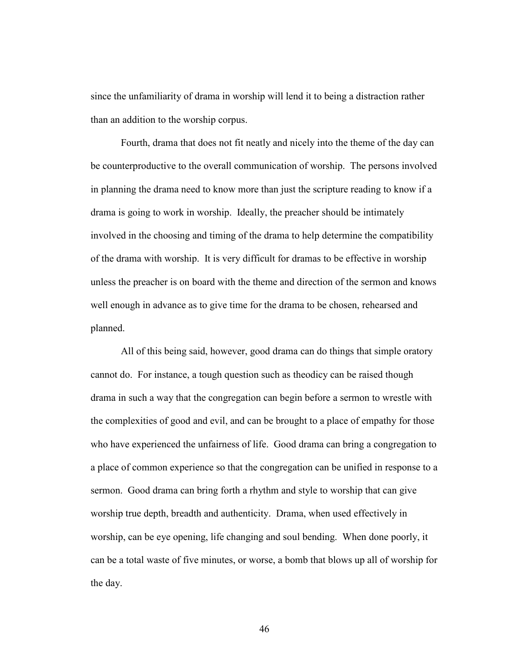since the unfamiliarity of drama in worship will lend it to being a distraction rather than an addition to the worship corpus.

 Fourth, drama that does not fit neatly and nicely into the theme of the day can be counterproductive to the overall communication of worship. The persons involved in planning the drama need to know more than just the scripture reading to know if a drama is going to work in worship. Ideally, the preacher should be intimately involved in the choosing and timing of the drama to help determine the compatibility of the drama with worship. It is very difficult for dramas to be effective in worship unless the preacher is on board with the theme and direction of the sermon and knows well enough in advance as to give time for the drama to be chosen, rehearsed and planned.

 All of this being said, however, good drama can do things that simple oratory cannot do. For instance, a tough question such as theodicy can be raised though drama in such a way that the congregation can begin before a sermon to wrestle with the complexities of good and evil, and can be brought to a place of empathy for those who have experienced the unfairness of life. Good drama can bring a congregation to a place of common experience so that the congregation can be unified in response to a sermon. Good drama can bring forth a rhythm and style to worship that can give worship true depth, breadth and authenticity. Drama, when used effectively in worship, can be eye opening, life changing and soul bending. When done poorly, it can be a total waste of five minutes, or worse, a bomb that blows up all of worship for the day.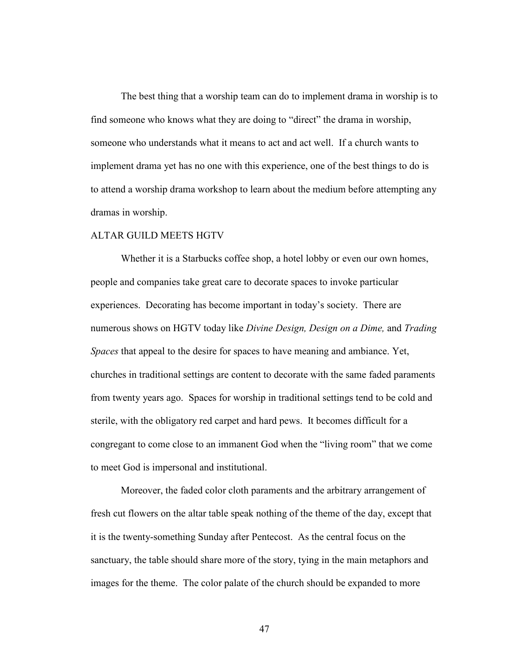The best thing that a worship team can do to implement drama in worship is to find someone who knows what they are doing to "direct" the drama in worship, someone who understands what it means to act and act well. If a church wants to implement drama yet has no one with this experience, one of the best things to do is to attend a worship drama workshop to learn about the medium before attempting any dramas in worship.

#### ALTAR GUILD MEETS HGTV

 Whether it is a Starbucks coffee shop, a hotel lobby or even our own homes, people and companies take great care to decorate spaces to invoke particular experiences. Decorating has become important in today's society. There are numerous shows on HGTV today like Divine Design, Design on a Dime, and Trading Spaces that appeal to the desire for spaces to have meaning and ambiance. Yet, churches in traditional settings are content to decorate with the same faded paraments from twenty years ago. Spaces for worship in traditional settings tend to be cold and sterile, with the obligatory red carpet and hard pews. It becomes difficult for a congregant to come close to an immanent God when the "living room" that we come to meet God is impersonal and institutional.

 Moreover, the faded color cloth paraments and the arbitrary arrangement of fresh cut flowers on the altar table speak nothing of the theme of the day, except that it is the twenty-something Sunday after Pentecost. As the central focus on the sanctuary, the table should share more of the story, tying in the main metaphors and images for the theme. The color palate of the church should be expanded to more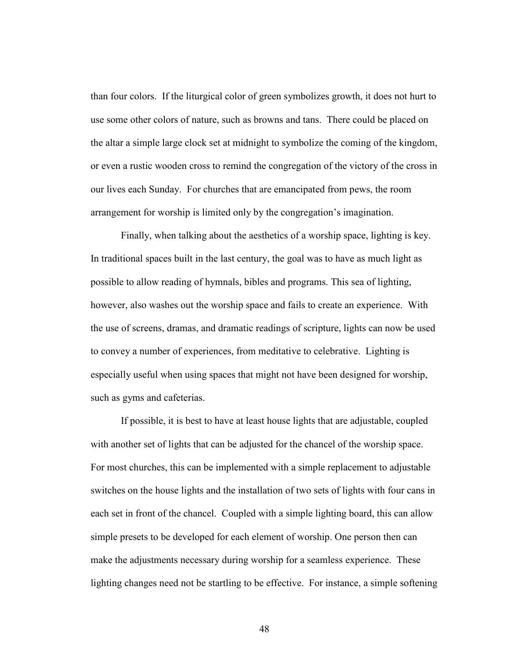than four colors. If the liturgical color of green symbolizes growth, it does not hurt to use some other colors of nature, such as browns and tans. There could be placed on the altar a simple large clock set at midnight to symbolize the coming of the kingdom, or even a rustic wooden cross to remind the congregation of the victory of the cross in our lives each Sunday. For churches that are emancipated from pews, the room arrangement for worship is limited only by the congregation's imagination.

 Finally, when talking about the aesthetics of a worship space, lighting is key. In traditional spaces built in the last century, the goal was to have as much light as possible to allow reading of hymnals, bibles and programs. This sea of lighting, however, also washes out the worship space and fails to create an experience. With the use of screens, dramas, and dramatic readings of scripture, lights can now be used to convey a number of experiences, from meditative to celebrative. Lighting is especially useful when using spaces that might not have been designed for worship, such as gyms and cafeterias.

 If possible, it is best to have at least house lights that are adjustable, coupled with another set of lights that can be adjusted for the chancel of the worship space. For most churches, this can be implemented with a simple replacement to adjustable switches on the house lights and the installation of two sets of lights with four cans in each set in front of the chancel. Coupled with a simple lighting board, this can allow simple presets to be developed for each element of worship. One person then can make the adjustments necessary during worship for a seamless experience. These lighting changes need not be startling to be effective. For instance, a simple softening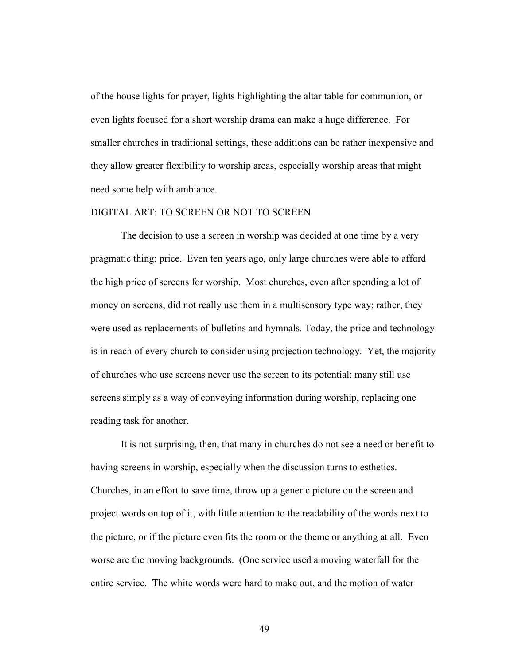of the house lights for prayer, lights highlighting the altar table for communion, or even lights focused for a short worship drama can make a huge difference. For smaller churches in traditional settings, these additions can be rather inexpensive and they allow greater flexibility to worship areas, especially worship areas that might need some help with ambiance.

#### DIGITAL ART: TO SCREEN OR NOT TO SCREEN

 The decision to use a screen in worship was decided at one time by a very pragmatic thing: price. Even ten years ago, only large churches were able to afford the high price of screens for worship. Most churches, even after spending a lot of money on screens, did not really use them in a multisensory type way; rather, they were used as replacements of bulletins and hymnals. Today, the price and technology is in reach of every church to consider using projection technology. Yet, the majority of churches who use screens never use the screen to its potential; many still use screens simply as a way of conveying information during worship, replacing one reading task for another.

 It is not surprising, then, that many in churches do not see a need or benefit to having screens in worship, especially when the discussion turns to esthetics. Churches, in an effort to save time, throw up a generic picture on the screen and project words on top of it, with little attention to the readability of the words next to the picture, or if the picture even fits the room or the theme or anything at all. Even worse are the moving backgrounds. (One service used a moving waterfall for the entire service. The white words were hard to make out, and the motion of water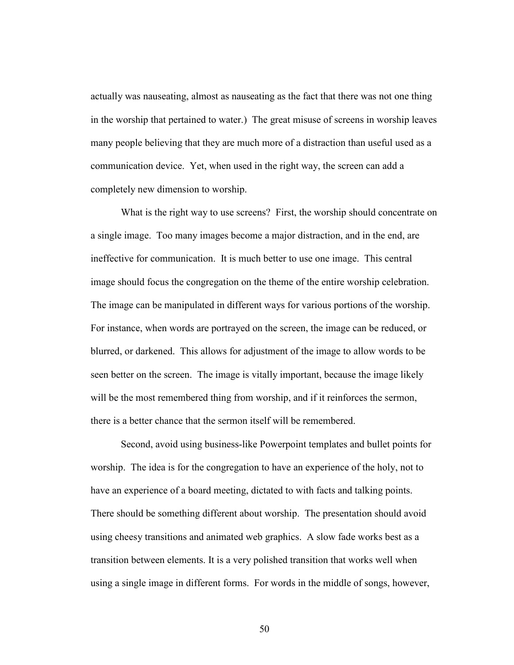actually was nauseating, almost as nauseating as the fact that there was not one thing in the worship that pertained to water.) The great misuse of screens in worship leaves many people believing that they are much more of a distraction than useful used as a communication device. Yet, when used in the right way, the screen can add a completely new dimension to worship.

 What is the right way to use screens? First, the worship should concentrate on a single image. Too many images become a major distraction, and in the end, are ineffective for communication. It is much better to use one image. This central image should focus the congregation on the theme of the entire worship celebration. The image can be manipulated in different ways for various portions of the worship. For instance, when words are portrayed on the screen, the image can be reduced, or blurred, or darkened. This allows for adjustment of the image to allow words to be seen better on the screen. The image is vitally important, because the image likely will be the most remembered thing from worship, and if it reinforces the sermon, there is a better chance that the sermon itself will be remembered.

Second, avoid using business-like Powerpoint templates and bullet points for worship. The idea is for the congregation to have an experience of the holy, not to have an experience of a board meeting, dictated to with facts and talking points. There should be something different about worship. The presentation should avoid using cheesy transitions and animated web graphics. A slow fade works best as a transition between elements. It is a very polished transition that works well when using a single image in different forms. For words in the middle of songs, however,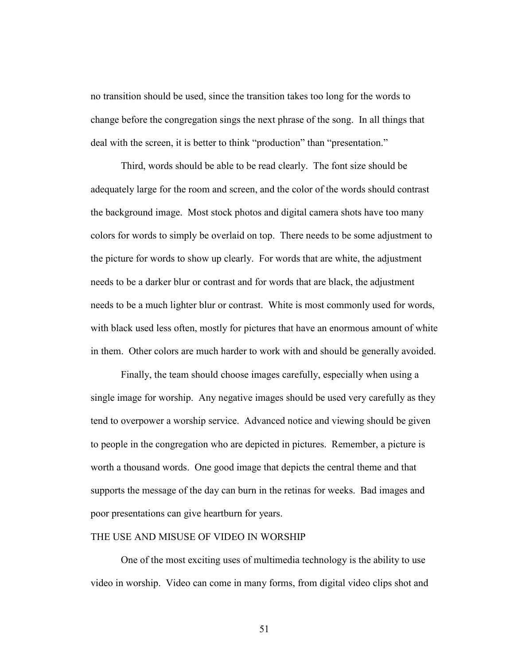no transition should be used, since the transition takes too long for the words to change before the congregation sings the next phrase of the song. In all things that deal with the screen, it is better to think "production" than "presentation."

Third, words should be able to be read clearly. The font size should be adequately large for the room and screen, and the color of the words should contrast the background image. Most stock photos and digital camera shots have too many colors for words to simply be overlaid on top. There needs to be some adjustment to the picture for words to show up clearly. For words that are white, the adjustment needs to be a darker blur or contrast and for words that are black, the adjustment needs to be a much lighter blur or contrast. White is most commonly used for words, with black used less often, mostly for pictures that have an enormous amount of white in them. Other colors are much harder to work with and should be generally avoided.

Finally, the team should choose images carefully, especially when using a single image for worship. Any negative images should be used very carefully as they tend to overpower a worship service. Advanced notice and viewing should be given to people in the congregation who are depicted in pictures. Remember, a picture is worth a thousand words. One good image that depicts the central theme and that supports the message of the day can burn in the retinas for weeks. Bad images and poor presentations can give heartburn for years.

### THE USE AND MISUSE OF VIDEO IN WORSHIP

 One of the most exciting uses of multimedia technology is the ability to use video in worship. Video can come in many forms, from digital video clips shot and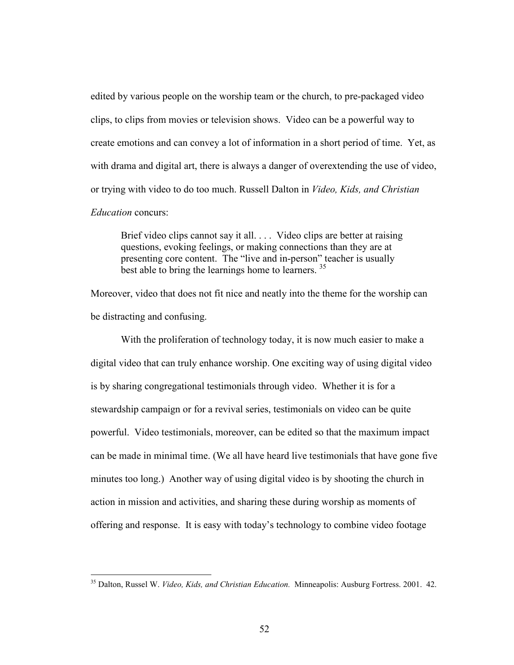edited by various people on the worship team or the church, to pre-packaged video clips, to clips from movies or television shows. Video can be a powerful way to create emotions and can convey a lot of information in a short period of time. Yet, as with drama and digital art, there is always a danger of overextending the use of video, or trying with video to do too much. Russell Dalton in Video, Kids, and Christian Education concurs:

Brief video clips cannot say it all. . . . Video clips are better at raising questions, evoking feelings, or making connections than they are at presenting core content. The "live and in-person" teacher is usually best able to bring the learnings home to learners.<sup>35</sup>

Moreover, video that does not fit nice and neatly into the theme for the worship can be distracting and confusing.

 With the proliferation of technology today, it is now much easier to make a digital video that can truly enhance worship. One exciting way of using digital video is by sharing congregational testimonials through video. Whether it is for a stewardship campaign or for a revival series, testimonials on video can be quite powerful. Video testimonials, moreover, can be edited so that the maximum impact can be made in minimal time. (We all have heard live testimonials that have gone five minutes too long.) Another way of using digital video is by shooting the church in action in mission and activities, and sharing these during worship as moments of offering and response. It is easy with today's technology to combine video footage

 $\overline{a}$ 

<sup>&</sup>lt;sup>35</sup> Dalton, Russel W. Video, Kids, and Christian Education. Minneapolis: Ausburg Fortress. 2001. 42.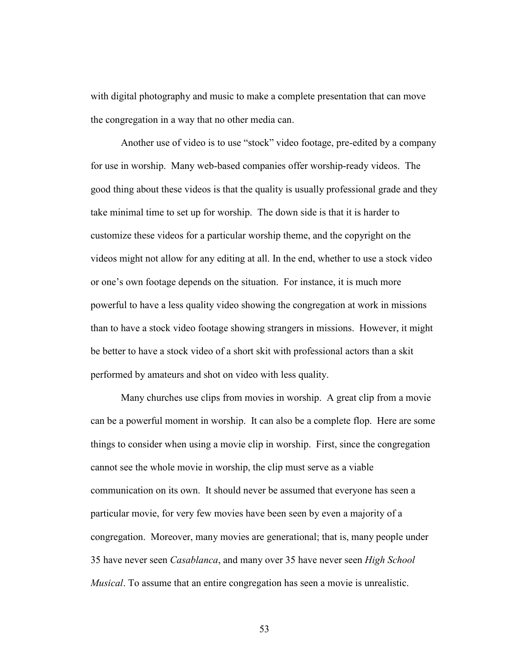with digital photography and music to make a complete presentation that can move the congregation in a way that no other media can.

 Another use of video is to use "stock" video footage, pre-edited by a company for use in worship. Many web-based companies offer worship-ready videos. The good thing about these videos is that the quality is usually professional grade and they take minimal time to set up for worship. The down side is that it is harder to customize these videos for a particular worship theme, and the copyright on the videos might not allow for any editing at all. In the end, whether to use a stock video or one's own footage depends on the situation. For instance, it is much more powerful to have a less quality video showing the congregation at work in missions than to have a stock video footage showing strangers in missions. However, it might be better to have a stock video of a short skit with professional actors than a skit performed by amateurs and shot on video with less quality.

 Many churches use clips from movies in worship. A great clip from a movie can be a powerful moment in worship. It can also be a complete flop. Here are some things to consider when using a movie clip in worship. First, since the congregation cannot see the whole movie in worship, the clip must serve as a viable communication on its own. It should never be assumed that everyone has seen a particular movie, for very few movies have been seen by even a majority of a congregation. Moreover, many movies are generational; that is, many people under 35 have never seen *Casablanca*, and many over 35 have never seen *High School* Musical. To assume that an entire congregation has seen a movie is unrealistic.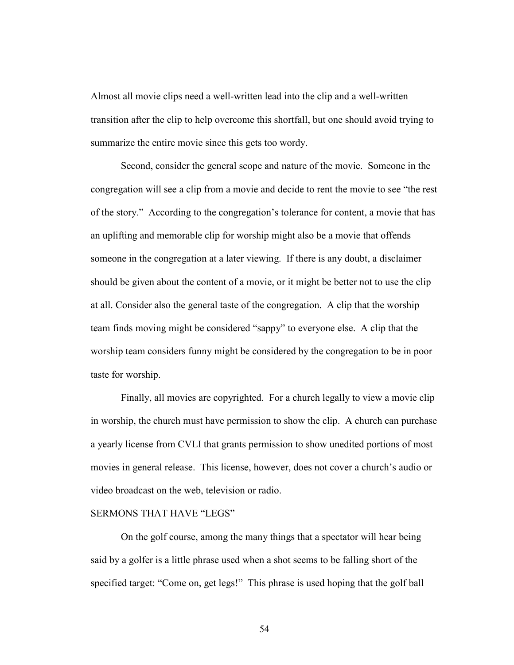Almost all movie clips need a well-written lead into the clip and a well-written transition after the clip to help overcome this shortfall, but one should avoid trying to summarize the entire movie since this gets too wordy.

 Second, consider the general scope and nature of the movie. Someone in the congregation will see a clip from a movie and decide to rent the movie to see "the rest of the story." According to the congregation's tolerance for content, a movie that has an uplifting and memorable clip for worship might also be a movie that offends someone in the congregation at a later viewing. If there is any doubt, a disclaimer should be given about the content of a movie, or it might be better not to use the clip at all. Consider also the general taste of the congregation. A clip that the worship team finds moving might be considered "sappy" to everyone else. A clip that the worship team considers funny might be considered by the congregation to be in poor taste for worship.

 Finally, all movies are copyrighted. For a church legally to view a movie clip in worship, the church must have permission to show the clip. A church can purchase a yearly license from CVLI that grants permission to show unedited portions of most movies in general release. This license, however, does not cover a church's audio or video broadcast on the web, television or radio.

### SERMONS THAT HAVE "LEGS"

 On the golf course, among the many things that a spectator will hear being said by a golfer is a little phrase used when a shot seems to be falling short of the specified target: "Come on, get legs!" This phrase is used hoping that the golf ball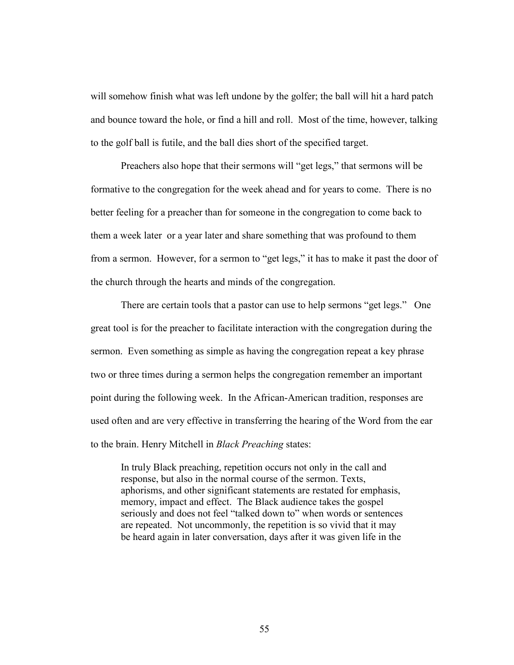will somehow finish what was left undone by the golfer; the ball will hit a hard patch and bounce toward the hole, or find a hill and roll. Most of the time, however, talking to the golf ball is futile, and the ball dies short of the specified target.

 Preachers also hope that their sermons will "get legs," that sermons will be formative to the congregation for the week ahead and for years to come. There is no better feeling for a preacher than for someone in the congregation to come back to them a week later or a year later and share something that was profound to them from a sermon. However, for a sermon to "get legs," it has to make it past the door of the church through the hearts and minds of the congregation.

 There are certain tools that a pastor can use to help sermons "get legs." One great tool is for the preacher to facilitate interaction with the congregation during the sermon. Even something as simple as having the congregation repeat a key phrase two or three times during a sermon helps the congregation remember an important point during the following week. In the African-American tradition, responses are used often and are very effective in transferring the hearing of the Word from the ear to the brain. Henry Mitchell in Black Preaching states:

In truly Black preaching, repetition occurs not only in the call and response, but also in the normal course of the sermon. Texts, aphorisms, and other significant statements are restated for emphasis, memory, impact and effect. The Black audience takes the gospel seriously and does not feel "talked down to" when words or sentences are repeated. Not uncommonly, the repetition is so vivid that it may be heard again in later conversation, days after it was given life in the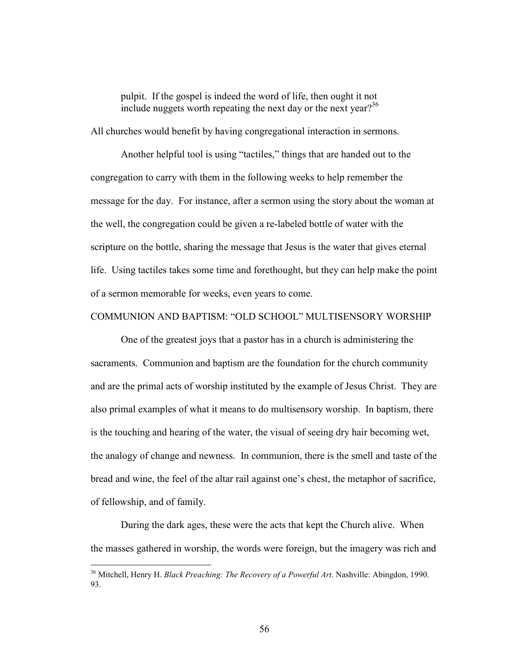pulpit. If the gospel is indeed the word of life, then ought it not include nuggets worth repeating the next day or the next year?<sup>36</sup>

All churches would benefit by having congregational interaction in sermons.

 Another helpful tool is using "tactiles," things that are handed out to the congregation to carry with them in the following weeks to help remember the message for the day. For instance, after a sermon using the story about the woman at the well, the congregation could be given a re-labeled bottle of water with the scripture on the bottle, sharing the message that Jesus is the water that gives eternal life. Using tactiles takes some time and forethought, but they can help make the point of a sermon memorable for weeks, even years to come.

#### COMMUNION AND BAPTISM: "OLD SCHOOL" MULTISENSORY WORSHIP

 One of the greatest joys that a pastor has in a church is administering the sacraments. Communion and baptism are the foundation for the church community and are the primal acts of worship instituted by the example of Jesus Christ. They are also primal examples of what it means to do multisensory worship. In baptism, there is the touching and hearing of the water, the visual of seeing dry hair becoming wet, the analogy of change and newness. In communion, there is the smell and taste of the bread and wine, the feel of the altar rail against one's chest, the metaphor of sacrifice, of fellowship, and of family.

 During the dark ages, these were the acts that kept the Church alive. When the masses gathered in worship, the words were foreign, but the imagery was rich and

l

<sup>&</sup>lt;sup>36</sup> Mitchell, Henry H. Black Preaching: The Recovery of a Powerful Art. Nashville: Abingdon, 1990. 93.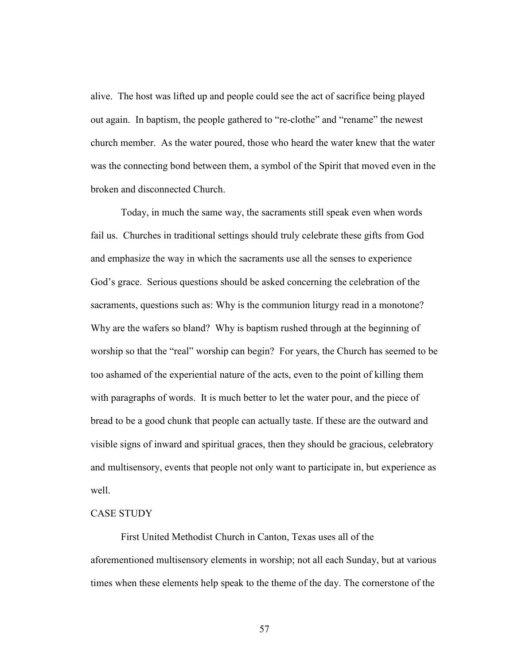alive. The host was lifted up and people could see the act of sacrifice being played out again. In baptism, the people gathered to "re-clothe" and "rename" the newest church member. As the water poured, those who heard the water knew that the water was the connecting bond between them, a symbol of the Spirit that moved even in the broken and disconnected Church.

 Today, in much the same way, the sacraments still speak even when words fail us. Churches in traditional settings should truly celebrate these gifts from God and emphasize the way in which the sacraments use all the senses to experience God's grace. Serious questions should be asked concerning the celebration of the sacraments, questions such as: Why is the communion liturgy read in a monotone? Why are the wafers so bland? Why is baptism rushed through at the beginning of worship so that the "real" worship can begin? For years, the Church has seemed to be too ashamed of the experiential nature of the acts, even to the point of killing them with paragraphs of words. It is much better to let the water pour, and the piece of bread to be a good chunk that people can actually taste. If these are the outward and visible signs of inward and spiritual graces, then they should be gracious, celebratory and multisensory, events that people not only want to participate in, but experience as well.

# CASE STUDY

 First United Methodist Church in Canton, Texas uses all of the aforementioned multisensory elements in worship; not all each Sunday, but at various times when these elements help speak to the theme of the day. The cornerstone of the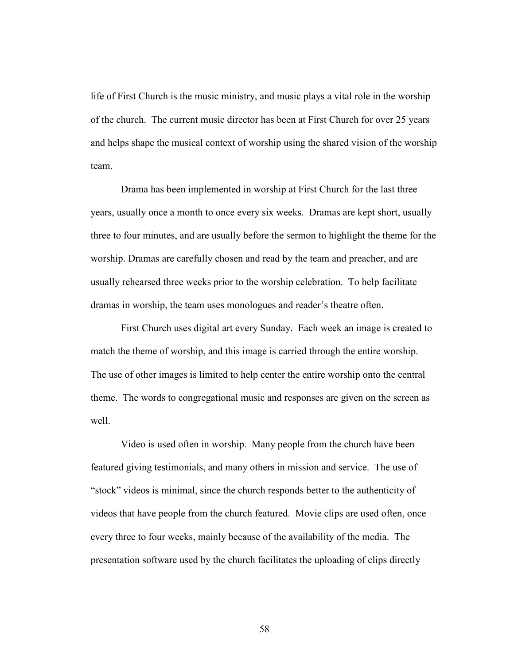life of First Church is the music ministry, and music plays a vital role in the worship of the church. The current music director has been at First Church for over 25 years and helps shape the musical context of worship using the shared vision of the worship team.

 Drama has been implemented in worship at First Church for the last three years, usually once a month to once every six weeks. Dramas are kept short, usually three to four minutes, and are usually before the sermon to highlight the theme for the worship. Dramas are carefully chosen and read by the team and preacher, and are usually rehearsed three weeks prior to the worship celebration. To help facilitate dramas in worship, the team uses monologues and reader's theatre often.

 First Church uses digital art every Sunday. Each week an image is created to match the theme of worship, and this image is carried through the entire worship. The use of other images is limited to help center the entire worship onto the central theme. The words to congregational music and responses are given on the screen as well.

 Video is used often in worship. Many people from the church have been featured giving testimonials, and many others in mission and service. The use of "stock" videos is minimal, since the church responds better to the authenticity of videos that have people from the church featured. Movie clips are used often, once every three to four weeks, mainly because of the availability of the media. The presentation software used by the church facilitates the uploading of clips directly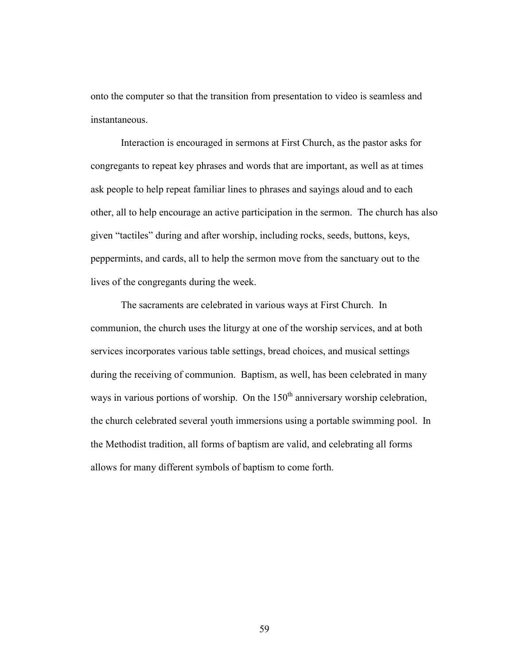onto the computer so that the transition from presentation to video is seamless and instantaneous.

 Interaction is encouraged in sermons at First Church, as the pastor asks for congregants to repeat key phrases and words that are important, as well as at times ask people to help repeat familiar lines to phrases and sayings aloud and to each other, all to help encourage an active participation in the sermon. The church has also given "tactiles" during and after worship, including rocks, seeds, buttons, keys, peppermints, and cards, all to help the sermon move from the sanctuary out to the lives of the congregants during the week.

 The sacraments are celebrated in various ways at First Church. In communion, the church uses the liturgy at one of the worship services, and at both services incorporates various table settings, bread choices, and musical settings during the receiving of communion. Baptism, as well, has been celebrated in many ways in various portions of worship. On the  $150<sup>th</sup>$  anniversary worship celebration, the church celebrated several youth immersions using a portable swimming pool. In the Methodist tradition, all forms of baptism are valid, and celebrating all forms allows for many different symbols of baptism to come forth.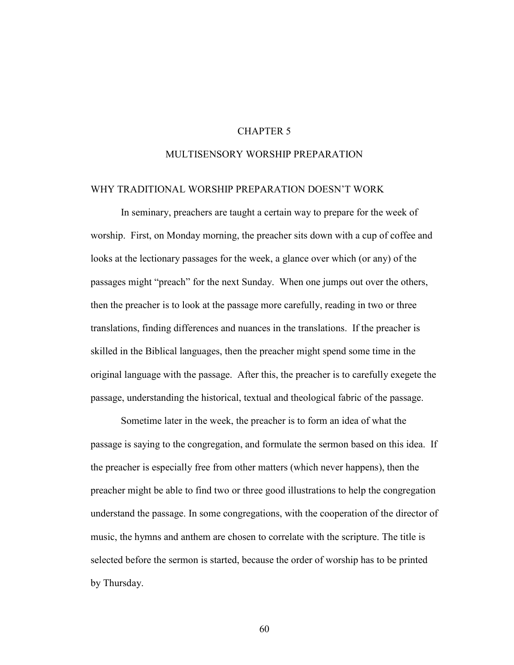# CHAPTER 5

# MULTISENSORY WORSHIP PREPARATION

### WHY TRADITIONAL WORSHIP PREPARATION DOESN'T WORK

 In seminary, preachers are taught a certain way to prepare for the week of worship. First, on Monday morning, the preacher sits down with a cup of coffee and looks at the lectionary passages for the week, a glance over which (or any) of the passages might "preach" for the next Sunday. When one jumps out over the others, then the preacher is to look at the passage more carefully, reading in two or three translations, finding differences and nuances in the translations. If the preacher is skilled in the Biblical languages, then the preacher might spend some time in the original language with the passage. After this, the preacher is to carefully exegete the passage, understanding the historical, textual and theological fabric of the passage.

 Sometime later in the week, the preacher is to form an idea of what the passage is saying to the congregation, and formulate the sermon based on this idea. If the preacher is especially free from other matters (which never happens), then the preacher might be able to find two or three good illustrations to help the congregation understand the passage. In some congregations, with the cooperation of the director of music, the hymns and anthem are chosen to correlate with the scripture. The title is selected before the sermon is started, because the order of worship has to be printed by Thursday.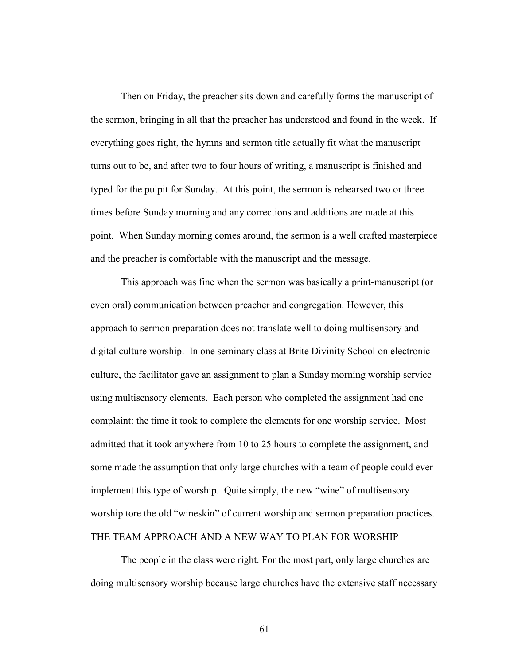Then on Friday, the preacher sits down and carefully forms the manuscript of the sermon, bringing in all that the preacher has understood and found in the week. If everything goes right, the hymns and sermon title actually fit what the manuscript turns out to be, and after two to four hours of writing, a manuscript is finished and typed for the pulpit for Sunday. At this point, the sermon is rehearsed two or three times before Sunday morning and any corrections and additions are made at this point. When Sunday morning comes around, the sermon is a well crafted masterpiece and the preacher is comfortable with the manuscript and the message.

This approach was fine when the sermon was basically a print-manuscript (or even oral) communication between preacher and congregation. However, this approach to sermon preparation does not translate well to doing multisensory and digital culture worship. In one seminary class at Brite Divinity School on electronic culture, the facilitator gave an assignment to plan a Sunday morning worship service using multisensory elements. Each person who completed the assignment had one complaint: the time it took to complete the elements for one worship service. Most admitted that it took anywhere from 10 to 25 hours to complete the assignment, and some made the assumption that only large churches with a team of people could ever implement this type of worship. Quite simply, the new "wine" of multisensory worship tore the old "wineskin" of current worship and sermon preparation practices. THE TEAM APPROACH AND A NEW WAY TO PLAN FOR WORSHIP

 The people in the class were right. For the most part, only large churches are doing multisensory worship because large churches have the extensive staff necessary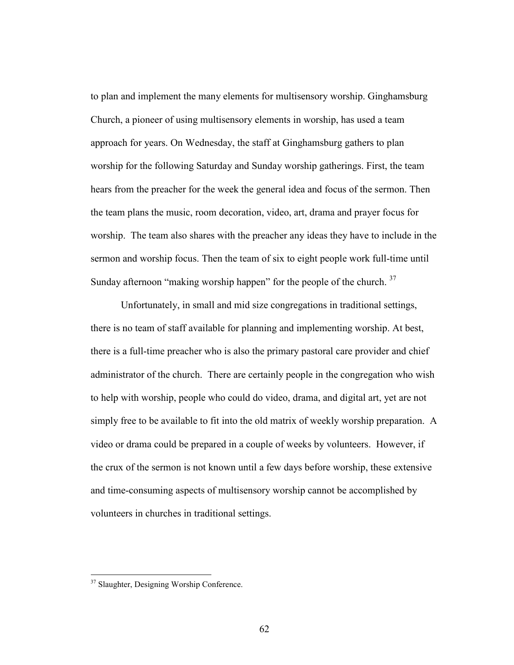to plan and implement the many elements for multisensory worship. Ginghamsburg Church, a pioneer of using multisensory elements in worship, has used a team approach for years. On Wednesday, the staff at Ginghamsburg gathers to plan worship for the following Saturday and Sunday worship gatherings. First, the team hears from the preacher for the week the general idea and focus of the sermon. Then the team plans the music, room decoration, video, art, drama and prayer focus for worship. The team also shares with the preacher any ideas they have to include in the sermon and worship focus. Then the team of six to eight people work full-time until Sunday afternoon "making worship happen" for the people of the church.  $37$ 

 Unfortunately, in small and mid size congregations in traditional settings, there is no team of staff available for planning and implementing worship. At best, there is a full-time preacher who is also the primary pastoral care provider and chief administrator of the church. There are certainly people in the congregation who wish to help with worship, people who could do video, drama, and digital art, yet are not simply free to be available to fit into the old matrix of weekly worship preparation. A video or drama could be prepared in a couple of weeks by volunteers. However, if the crux of the sermon is not known until a few days before worship, these extensive and time-consuming aspects of multisensory worship cannot be accomplished by volunteers in churches in traditional settings.

 $\overline{a}$ 

<sup>&</sup>lt;sup>37</sup> Slaughter, Designing Worship Conference.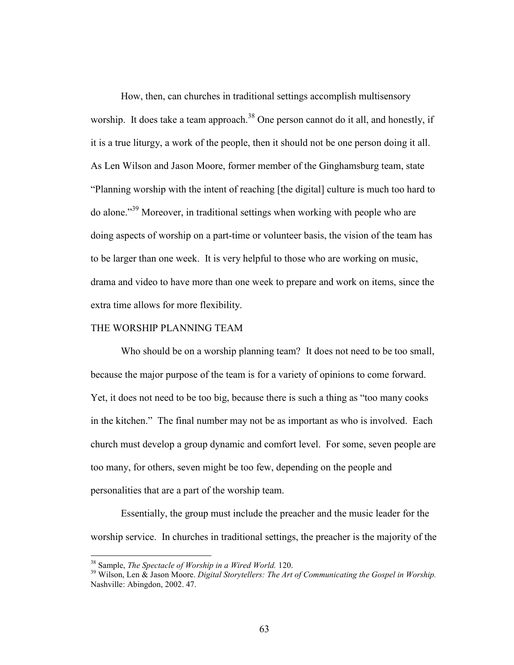How, then, can churches in traditional settings accomplish multisensory worship. It does take a team approach.<sup>38</sup> One person cannot do it all, and honestly, if it is a true liturgy, a work of the people, then it should not be one person doing it all. As Len Wilson and Jason Moore, former member of the Ginghamsburg team, state "Planning worship with the intent of reaching [the digital] culture is much too hard to do alone."<sup>39</sup> Moreover, in traditional settings when working with people who are doing aspects of worship on a part-time or volunteer basis, the vision of the team has to be larger than one week. It is very helpful to those who are working on music, drama and video to have more than one week to prepare and work on items, since the extra time allows for more flexibility.

#### THE WORSHIP PLANNING TEAM

Who should be on a worship planning team? It does not need to be too small, because the major purpose of the team is for a variety of opinions to come forward. Yet, it does not need to be too big, because there is such a thing as "too many cooks in the kitchen." The final number may not be as important as who is involved. Each church must develop a group dynamic and comfort level. For some, seven people are too many, for others, seven might be too few, depending on the people and personalities that are a part of the worship team.

 Essentially, the group must include the preacher and the music leader for the worship service. In churches in traditional settings, the preacher is the majority of the

 $\overline{a}$ 

 $38$  Sample, The Spectacle of Worship in a Wired World. 120.

 $39$  Wilson, Len  $\&$  Jason Moore. Digital Storytellers: The Art of Communicating the Gospel in Worship. Nashville: Abingdon, 2002. 47.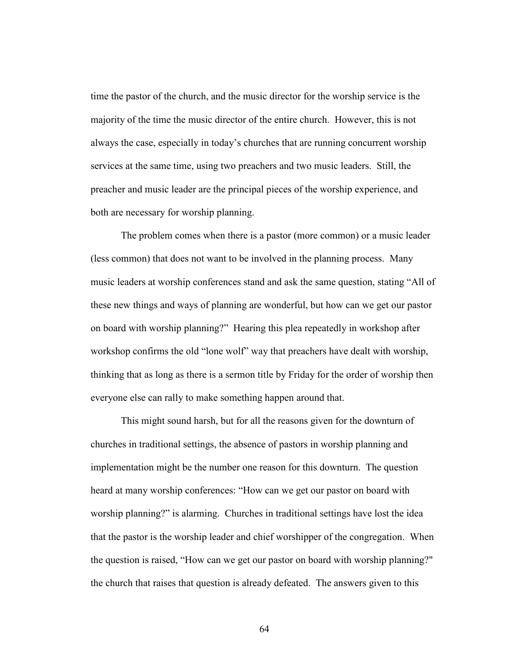time the pastor of the church, and the music director for the worship service is the majority of the time the music director of the entire church. However, this is not always the case, especially in today's churches that are running concurrent worship services at the same time, using two preachers and two music leaders. Still, the preacher and music leader are the principal pieces of the worship experience, and both are necessary for worship planning.

 The problem comes when there is a pastor (more common) or a music leader (less common) that does not want to be involved in the planning process. Many music leaders at worship conferences stand and ask the same question, stating "All of these new things and ways of planning are wonderful, but how can we get our pastor on board with worship planning?" Hearing this plea repeatedly in workshop after workshop confirms the old "lone wolf" way that preachers have dealt with worship, thinking that as long as there is a sermon title by Friday for the order of worship then everyone else can rally to make something happen around that.

 This might sound harsh, but for all the reasons given for the downturn of churches in traditional settings, the absence of pastors in worship planning and implementation might be the number one reason for this downturn. The question heard at many worship conferences: "How can we get our pastor on board with worship planning?" is alarming. Churches in traditional settings have lost the idea that the pastor is the worship leader and chief worshipper of the congregation. When the question is raised, "How can we get our pastor on board with worship planning?" the church that raises that question is already defeated. The answers given to this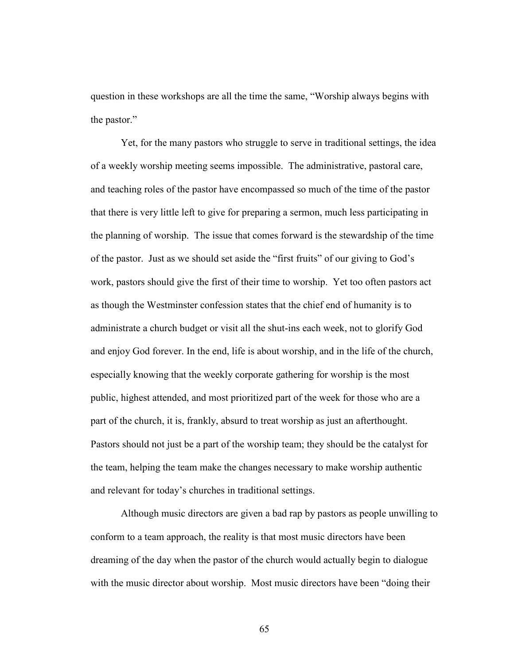question in these workshops are all the time the same, "Worship always begins with the pastor."

 Yet, for the many pastors who struggle to serve in traditional settings, the idea of a weekly worship meeting seems impossible. The administrative, pastoral care, and teaching roles of the pastor have encompassed so much of the time of the pastor that there is very little left to give for preparing a sermon, much less participating in the planning of worship. The issue that comes forward is the stewardship of the time of the pastor. Just as we should set aside the "first fruits" of our giving to God's work, pastors should give the first of their time to worship. Yet too often pastors act as though the Westminster confession states that the chief end of humanity is to administrate a church budget or visit all the shut-ins each week, not to glorify God and enjoy God forever. In the end, life is about worship, and in the life of the church, especially knowing that the weekly corporate gathering for worship is the most public, highest attended, and most prioritized part of the week for those who are a part of the church, it is, frankly, absurd to treat worship as just an afterthought. Pastors should not just be a part of the worship team; they should be the catalyst for the team, helping the team make the changes necessary to make worship authentic and relevant for today's churches in traditional settings.

 Although music directors are given a bad rap by pastors as people unwilling to conform to a team approach, the reality is that most music directors have been dreaming of the day when the pastor of the church would actually begin to dialogue with the music director about worship. Most music directors have been "doing their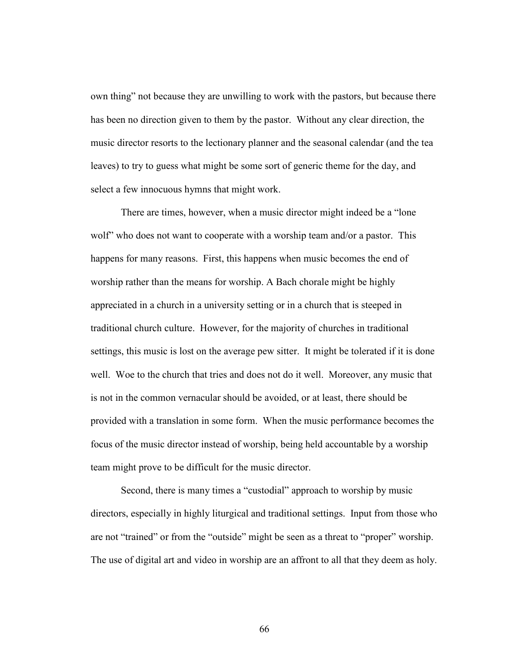own thing" not because they are unwilling to work with the pastors, but because there has been no direction given to them by the pastor. Without any clear direction, the music director resorts to the lectionary planner and the seasonal calendar (and the tea leaves) to try to guess what might be some sort of generic theme for the day, and select a few innocuous hymns that might work.

 There are times, however, when a music director might indeed be a "lone wolf" who does not want to cooperate with a worship team and/or a pastor. This happens for many reasons. First, this happens when music becomes the end of worship rather than the means for worship. A Bach chorale might be highly appreciated in a church in a university setting or in a church that is steeped in traditional church culture. However, for the majority of churches in traditional settings, this music is lost on the average pew sitter. It might be tolerated if it is done well. Woe to the church that tries and does not do it well. Moreover, any music that is not in the common vernacular should be avoided, or at least, there should be provided with a translation in some form. When the music performance becomes the focus of the music director instead of worship, being held accountable by a worship team might prove to be difficult for the music director.

 Second, there is many times a "custodial" approach to worship by music directors, especially in highly liturgical and traditional settings. Input from those who are not "trained" or from the "outside" might be seen as a threat to "proper" worship. The use of digital art and video in worship are an affront to all that they deem as holy.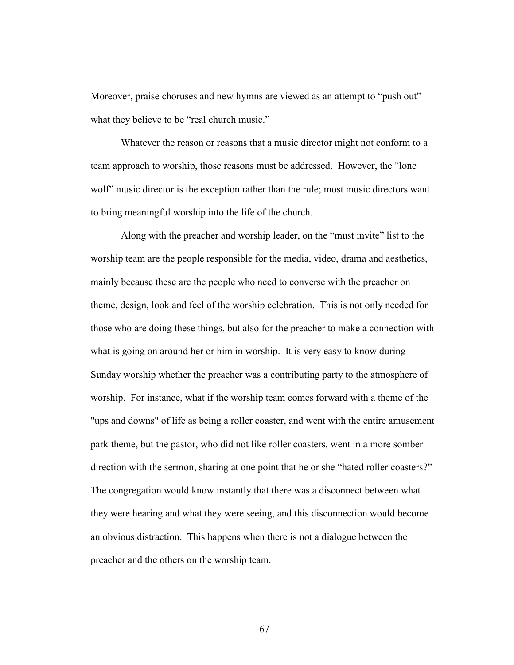Moreover, praise choruses and new hymns are viewed as an attempt to "push out" what they believe to be "real church music."

 Whatever the reason or reasons that a music director might not conform to a team approach to worship, those reasons must be addressed. However, the "lone wolf" music director is the exception rather than the rule; most music directors want to bring meaningful worship into the life of the church.

 Along with the preacher and worship leader, on the "must invite" list to the worship team are the people responsible for the media, video, drama and aesthetics, mainly because these are the people who need to converse with the preacher on theme, design, look and feel of the worship celebration. This is not only needed for those who are doing these things, but also for the preacher to make a connection with what is going on around her or him in worship. It is very easy to know during Sunday worship whether the preacher was a contributing party to the atmosphere of worship. For instance, what if the worship team comes forward with a theme of the "ups and downs" of life as being a roller coaster, and went with the entire amusement park theme, but the pastor, who did not like roller coasters, went in a more somber direction with the sermon, sharing at one point that he or she "hated roller coasters?" The congregation would know instantly that there was a disconnect between what they were hearing and what they were seeing, and this disconnection would become an obvious distraction. This happens when there is not a dialogue between the preacher and the others on the worship team.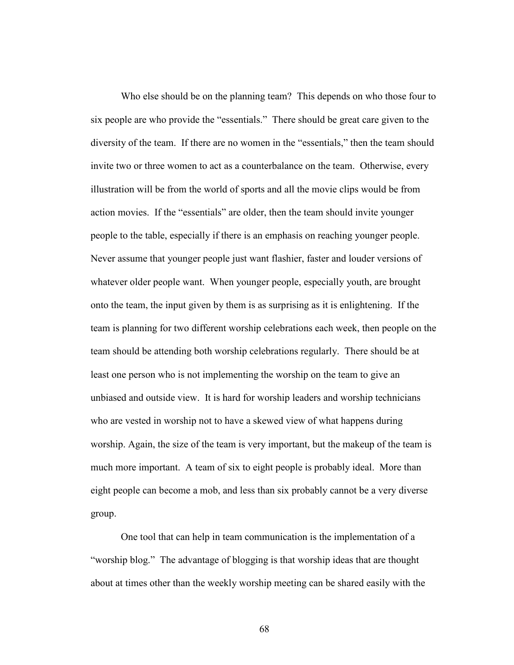Who else should be on the planning team? This depends on who those four to six people are who provide the "essentials." There should be great care given to the diversity of the team. If there are no women in the "essentials," then the team should invite two or three women to act as a counterbalance on the team. Otherwise, every illustration will be from the world of sports and all the movie clips would be from action movies. If the "essentials" are older, then the team should invite younger people to the table, especially if there is an emphasis on reaching younger people. Never assume that younger people just want flashier, faster and louder versions of whatever older people want. When younger people, especially youth, are brought onto the team, the input given by them is as surprising as it is enlightening. If the team is planning for two different worship celebrations each week, then people on the team should be attending both worship celebrations regularly. There should be at least one person who is not implementing the worship on the team to give an unbiased and outside view. It is hard for worship leaders and worship technicians who are vested in worship not to have a skewed view of what happens during worship. Again, the size of the team is very important, but the makeup of the team is much more important. A team of six to eight people is probably ideal. More than eight people can become a mob, and less than six probably cannot be a very diverse group.

 One tool that can help in team communication is the implementation of a "worship blog." The advantage of blogging is that worship ideas that are thought about at times other than the weekly worship meeting can be shared easily with the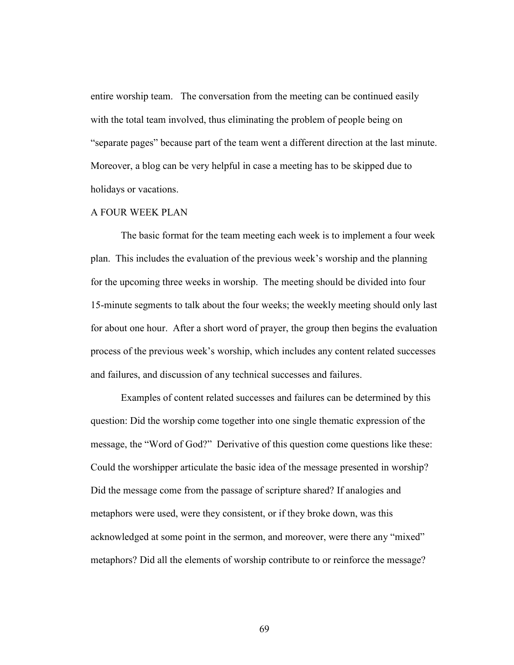entire worship team. The conversation from the meeting can be continued easily with the total team involved, thus eliminating the problem of people being on "separate pages" because part of the team went a different direction at the last minute. Moreover, a blog can be very helpful in case a meeting has to be skipped due to holidays or vacations.

### A FOUR WEEK PLAN

 The basic format for the team meeting each week is to implement a four week plan. This includes the evaluation of the previous week's worship and the planning for the upcoming three weeks in worship. The meeting should be divided into four 15-minute segments to talk about the four weeks; the weekly meeting should only last for about one hour. After a short word of prayer, the group then begins the evaluation process of the previous week's worship, which includes any content related successes and failures, and discussion of any technical successes and failures.

Examples of content related successes and failures can be determined by this question: Did the worship come together into one single thematic expression of the message, the "Word of God?" Derivative of this question come questions like these: Could the worshipper articulate the basic idea of the message presented in worship? Did the message come from the passage of scripture shared? If analogies and metaphors were used, were they consistent, or if they broke down, was this acknowledged at some point in the sermon, and moreover, were there any "mixed" metaphors? Did all the elements of worship contribute to or reinforce the message?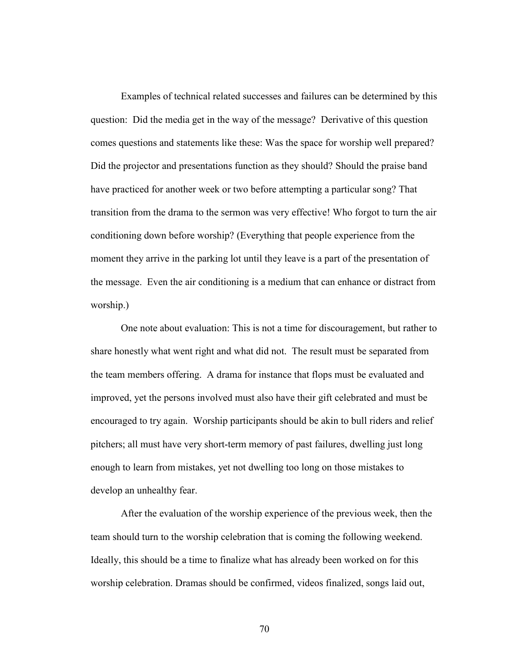Examples of technical related successes and failures can be determined by this question: Did the media get in the way of the message? Derivative of this question comes questions and statements like these: Was the space for worship well prepared? Did the projector and presentations function as they should? Should the praise band have practiced for another week or two before attempting a particular song? That transition from the drama to the sermon was very effective! Who forgot to turn the air conditioning down before worship? (Everything that people experience from the moment they arrive in the parking lot until they leave is a part of the presentation of the message. Even the air conditioning is a medium that can enhance or distract from worship.)

One note about evaluation: This is not a time for discouragement, but rather to share honestly what went right and what did not. The result must be separated from the team members offering. A drama for instance that flops must be evaluated and improved, yet the persons involved must also have their gift celebrated and must be encouraged to try again. Worship participants should be akin to bull riders and relief pitchers; all must have very short-term memory of past failures, dwelling just long enough to learn from mistakes, yet not dwelling too long on those mistakes to develop an unhealthy fear.

After the evaluation of the worship experience of the previous week, then the team should turn to the worship celebration that is coming the following weekend. Ideally, this should be a time to finalize what has already been worked on for this worship celebration. Dramas should be confirmed, videos finalized, songs laid out,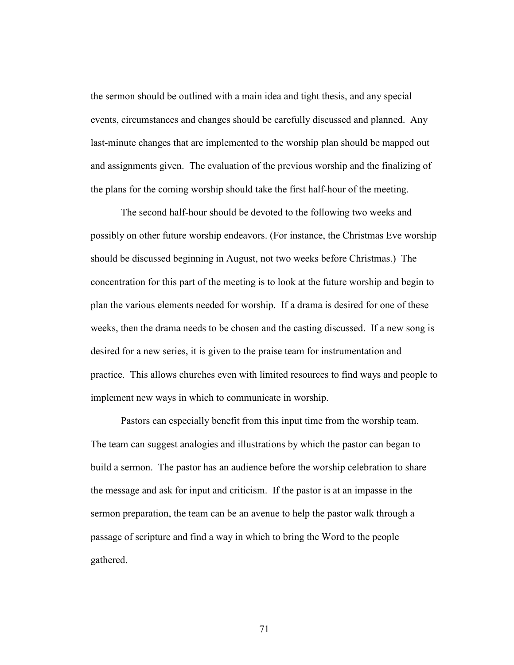the sermon should be outlined with a main idea and tight thesis, and any special events, circumstances and changes should be carefully discussed and planned. Any last-minute changes that are implemented to the worship plan should be mapped out and assignments given. The evaluation of the previous worship and the finalizing of the plans for the coming worship should take the first half-hour of the meeting.

The second half-hour should be devoted to the following two weeks and possibly on other future worship endeavors. (For instance, the Christmas Eve worship should be discussed beginning in August, not two weeks before Christmas.) The concentration for this part of the meeting is to look at the future worship and begin to plan the various elements needed for worship. If a drama is desired for one of these weeks, then the drama needs to be chosen and the casting discussed. If a new song is desired for a new series, it is given to the praise team for instrumentation and practice. This allows churches even with limited resources to find ways and people to implement new ways in which to communicate in worship.

Pastors can especially benefit from this input time from the worship team. The team can suggest analogies and illustrations by which the pastor can began to build a sermon. The pastor has an audience before the worship celebration to share the message and ask for input and criticism. If the pastor is at an impasse in the sermon preparation, the team can be an avenue to help the pastor walk through a passage of scripture and find a way in which to bring the Word to the people gathered.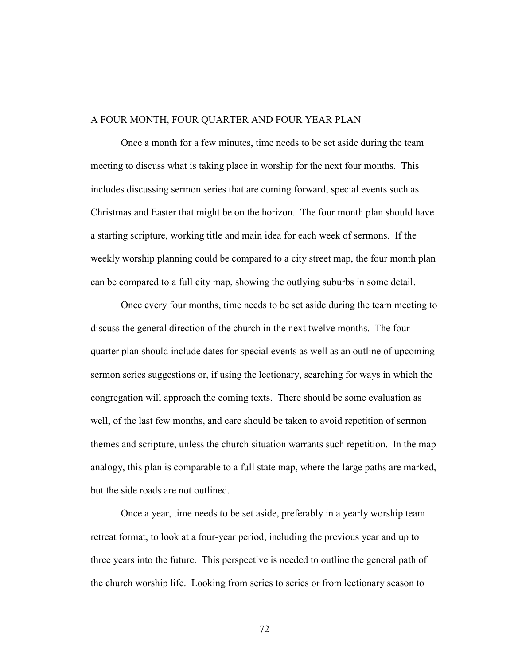### A FOUR MONTH, FOUR QUARTER AND FOUR YEAR PLAN

 Once a month for a few minutes, time needs to be set aside during the team meeting to discuss what is taking place in worship for the next four months. This includes discussing sermon series that are coming forward, special events such as Christmas and Easter that might be on the horizon. The four month plan should have a starting scripture, working title and main idea for each week of sermons. If the weekly worship planning could be compared to a city street map, the four month plan can be compared to a full city map, showing the outlying suburbs in some detail.

Once every four months, time needs to be set aside during the team meeting to discuss the general direction of the church in the next twelve months. The four quarter plan should include dates for special events as well as an outline of upcoming sermon series suggestions or, if using the lectionary, searching for ways in which the congregation will approach the coming texts. There should be some evaluation as well, of the last few months, and care should be taken to avoid repetition of sermon themes and scripture, unless the church situation warrants such repetition. In the map analogy, this plan is comparable to a full state map, where the large paths are marked, but the side roads are not outlined.

Once a year, time needs to be set aside, preferably in a yearly worship team retreat format, to look at a four-year period, including the previous year and up to three years into the future. This perspective is needed to outline the general path of the church worship life. Looking from series to series or from lectionary season to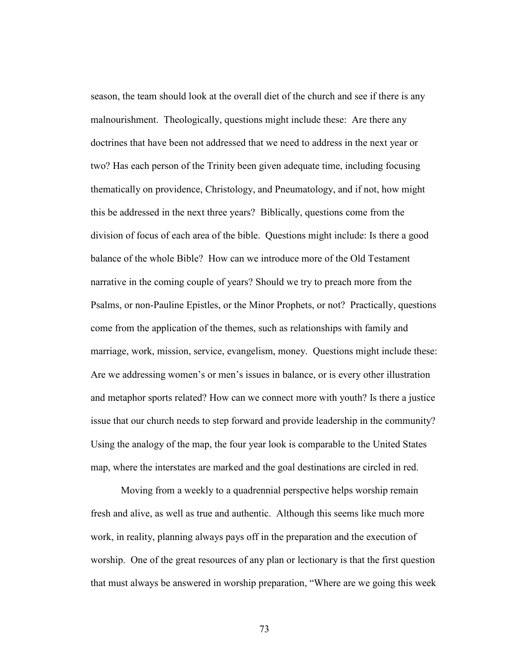season, the team should look at the overall diet of the church and see if there is any malnourishment. Theologically, questions might include these: Are there any doctrines that have been not addressed that we need to address in the next year or two? Has each person of the Trinity been given adequate time, including focusing thematically on providence, Christology, and Pneumatology, and if not, how might this be addressed in the next three years? Biblically, questions come from the division of focus of each area of the bible. Questions might include: Is there a good balance of the whole Bible? How can we introduce more of the Old Testament narrative in the coming couple of years? Should we try to preach more from the Psalms, or non-Pauline Epistles, or the Minor Prophets, or not? Practically, questions come from the application of the themes, such as relationships with family and marriage, work, mission, service, evangelism, money. Questions might include these: Are we addressing women's or men's issues in balance, or is every other illustration and metaphor sports related? How can we connect more with youth? Is there a justice issue that our church needs to step forward and provide leadership in the community? Using the analogy of the map, the four year look is comparable to the United States map, where the interstates are marked and the goal destinations are circled in red.

Moving from a weekly to a quadrennial perspective helps worship remain fresh and alive, as well as true and authentic. Although this seems like much more work, in reality, planning always pays off in the preparation and the execution of worship. One of the great resources of any plan or lectionary is that the first question that must always be answered in worship preparation, "Where are we going this week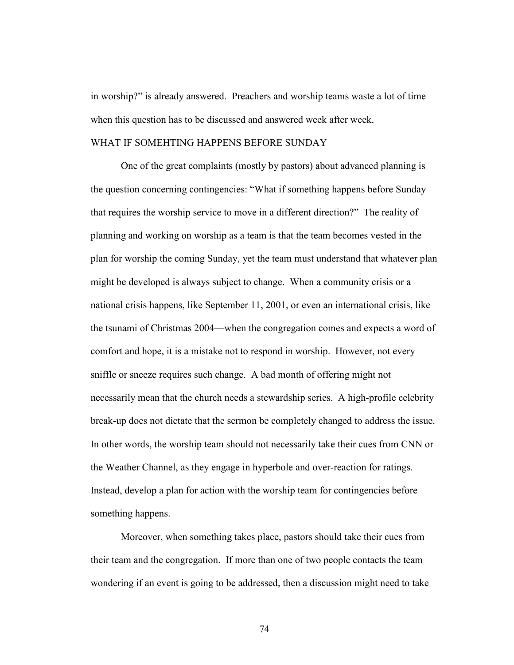in worship?" is already answered. Preachers and worship teams waste a lot of time when this question has to be discussed and answered week after week.

### WHAT IF SOMEHTING HAPPENS BEFORE SUNDAY

 One of the great complaints (mostly by pastors) about advanced planning is the question concerning contingencies: "What if something happens before Sunday that requires the worship service to move in a different direction?" The reality of planning and working on worship as a team is that the team becomes vested in the plan for worship the coming Sunday, yet the team must understand that whatever plan might be developed is always subject to change. When a community crisis or a national crisis happens, like September 11, 2001, or even an international crisis, like the tsunami of Christmas 2004—when the congregation comes and expects a word of comfort and hope, it is a mistake not to respond in worship. However, not every sniffle or sneeze requires such change. A bad month of offering might not necessarily mean that the church needs a stewardship series. A high-profile celebrity break-up does not dictate that the sermon be completely changed to address the issue. In other words, the worship team should not necessarily take their cues from CNN or the Weather Channel, as they engage in hyperbole and over-reaction for ratings. Instead, develop a plan for action with the worship team for contingencies before something happens.

 Moreover, when something takes place, pastors should take their cues from their team and the congregation. If more than one of two people contacts the team wondering if an event is going to be addressed, then a discussion might need to take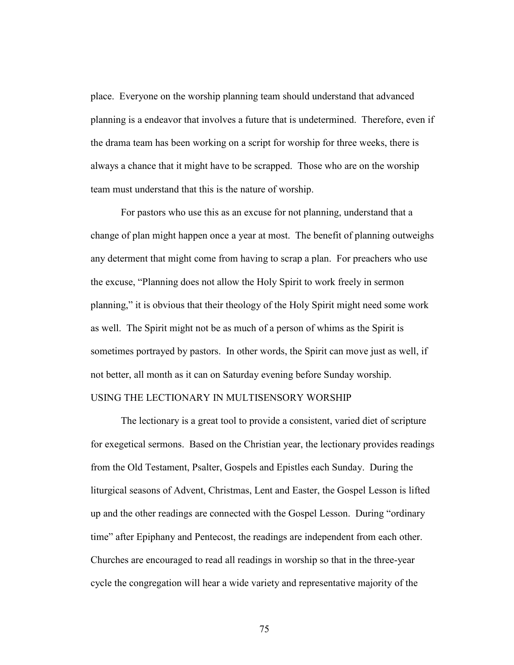place. Everyone on the worship planning team should understand that advanced planning is a endeavor that involves a future that is undetermined. Therefore, even if the drama team has been working on a script for worship for three weeks, there is always a chance that it might have to be scrapped. Those who are on the worship team must understand that this is the nature of worship.

 For pastors who use this as an excuse for not planning, understand that a change of plan might happen once a year at most. The benefit of planning outweighs any determent that might come from having to scrap a plan. For preachers who use the excuse, "Planning does not allow the Holy Spirit to work freely in sermon planning," it is obvious that their theology of the Holy Spirit might need some work as well. The Spirit might not be as much of a person of whims as the Spirit is sometimes portrayed by pastors. In other words, the Spirit can move just as well, if not better, all month as it can on Saturday evening before Sunday worship.

## USING THE LECTIONARY IN MULTISENSORY WORSHIP

 The lectionary is a great tool to provide a consistent, varied diet of scripture for exegetical sermons. Based on the Christian year, the lectionary provides readings from the Old Testament, Psalter, Gospels and Epistles each Sunday. During the liturgical seasons of Advent, Christmas, Lent and Easter, the Gospel Lesson is lifted up and the other readings are connected with the Gospel Lesson. During "ordinary time" after Epiphany and Pentecost, the readings are independent from each other. Churches are encouraged to read all readings in worship so that in the three-year cycle the congregation will hear a wide variety and representative majority of the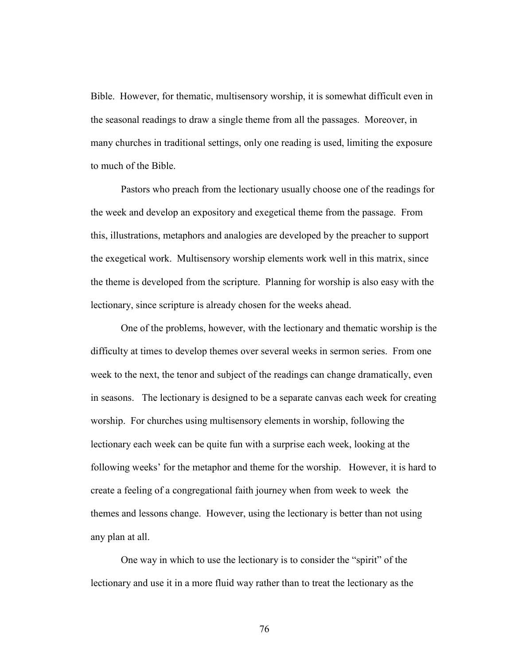Bible. However, for thematic, multisensory worship, it is somewhat difficult even in the seasonal readings to draw a single theme from all the passages. Moreover, in many churches in traditional settings, only one reading is used, limiting the exposure to much of the Bible.

 Pastors who preach from the lectionary usually choose one of the readings for the week and develop an expository and exegetical theme from the passage. From this, illustrations, metaphors and analogies are developed by the preacher to support the exegetical work. Multisensory worship elements work well in this matrix, since the theme is developed from the scripture. Planning for worship is also easy with the lectionary, since scripture is already chosen for the weeks ahead.

 One of the problems, however, with the lectionary and thematic worship is the difficulty at times to develop themes over several weeks in sermon series. From one week to the next, the tenor and subject of the readings can change dramatically, even in seasons. The lectionary is designed to be a separate canvas each week for creating worship. For churches using multisensory elements in worship, following the lectionary each week can be quite fun with a surprise each week, looking at the following weeks' for the metaphor and theme for the worship. However, it is hard to create a feeling of a congregational faith journey when from week to week the themes and lessons change. However, using the lectionary is better than not using any plan at all.

One way in which to use the lectionary is to consider the "spirit" of the lectionary and use it in a more fluid way rather than to treat the lectionary as the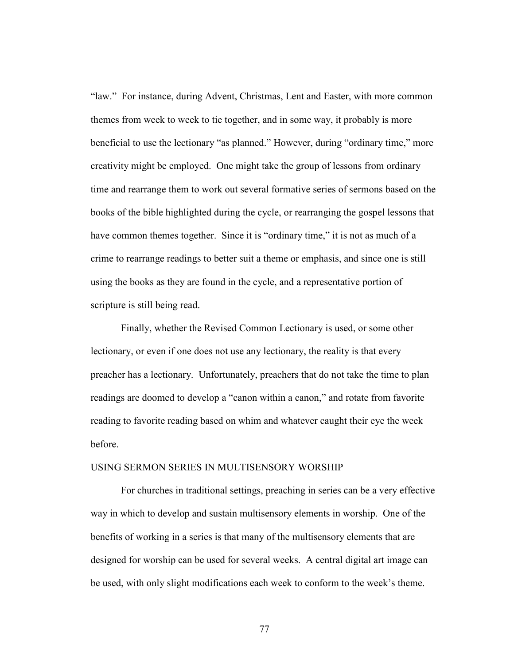"law." For instance, during Advent, Christmas, Lent and Easter, with more common themes from week to week to tie together, and in some way, it probably is more beneficial to use the lectionary "as planned." However, during "ordinary time," more creativity might be employed. One might take the group of lessons from ordinary time and rearrange them to work out several formative series of sermons based on the books of the bible highlighted during the cycle, or rearranging the gospel lessons that have common themes together. Since it is "ordinary time," it is not as much of a crime to rearrange readings to better suit a theme or emphasis, and since one is still using the books as they are found in the cycle, and a representative portion of scripture is still being read.

Finally, whether the Revised Common Lectionary is used, or some other lectionary, or even if one does not use any lectionary, the reality is that every preacher has a lectionary. Unfortunately, preachers that do not take the time to plan readings are doomed to develop a "canon within a canon," and rotate from favorite reading to favorite reading based on whim and whatever caught their eye the week before.

### USING SERMON SERIES IN MULTISENSORY WORSHIP

 For churches in traditional settings, preaching in series can be a very effective way in which to develop and sustain multisensory elements in worship. One of the benefits of working in a series is that many of the multisensory elements that are designed for worship can be used for several weeks. A central digital art image can be used, with only slight modifications each week to conform to the week's theme.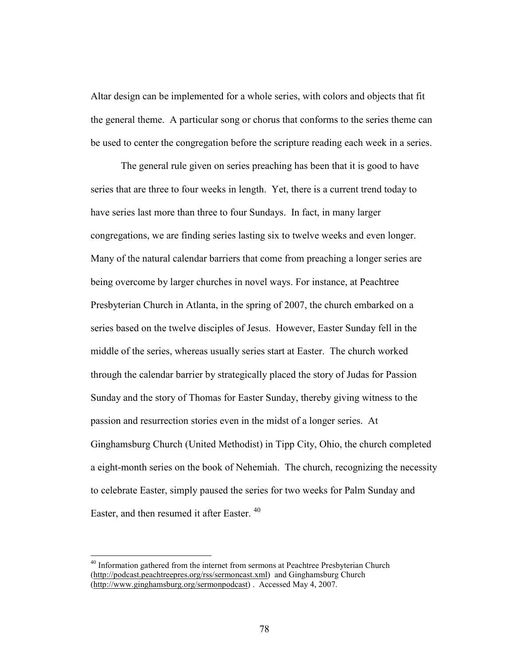Altar design can be implemented for a whole series, with colors and objects that fit the general theme. A particular song or chorus that conforms to the series theme can be used to center the congregation before the scripture reading each week in a series.

The general rule given on series preaching has been that it is good to have series that are three to four weeks in length. Yet, there is a current trend today to have series last more than three to four Sundays. In fact, in many larger congregations, we are finding series lasting six to twelve weeks and even longer. Many of the natural calendar barriers that come from preaching a longer series are being overcome by larger churches in novel ways. For instance, at Peachtree Presbyterian Church in Atlanta, in the spring of 2007, the church embarked on a series based on the twelve disciples of Jesus. However, Easter Sunday fell in the middle of the series, whereas usually series start at Easter. The church worked through the calendar barrier by strategically placed the story of Judas for Passion Sunday and the story of Thomas for Easter Sunday, thereby giving witness to the passion and resurrection stories even in the midst of a longer series. At Ginghamsburg Church (United Methodist) in Tipp City, Ohio, the church completed a eight-month series on the book of Nehemiah. The church, recognizing the necessity to celebrate Easter, simply paused the series for two weeks for Palm Sunday and Easter, and then resumed it after Easter.<sup>40</sup>

 $\overline{a}$ 

<sup>&</sup>lt;sup>40</sup> Information gathered from the internet from sermons at Peachtree Presbyterian Church (http://podcast.peachtreepres.org/rss/sermoncast.xml) and Ginghamsburg Church (http://www.ginghamsburg.org/sermonpodcast) . Accessed May 4, 2007.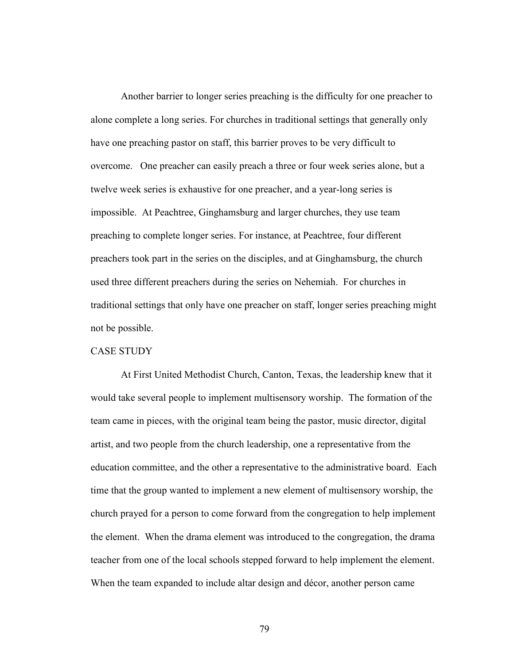Another barrier to longer series preaching is the difficulty for one preacher to alone complete a long series. For churches in traditional settings that generally only have one preaching pastor on staff, this barrier proves to be very difficult to overcome. One preacher can easily preach a three or four week series alone, but a twelve week series is exhaustive for one preacher, and a year-long series is impossible. At Peachtree, Ginghamsburg and larger churches, they use team preaching to complete longer series. For instance, at Peachtree, four different preachers took part in the series on the disciples, and at Ginghamsburg, the church used three different preachers during the series on Nehemiah. For churches in traditional settings that only have one preacher on staff, longer series preaching might not be possible.

## CASE STUDY

 At First United Methodist Church, Canton, Texas, the leadership knew that it would take several people to implement multisensory worship. The formation of the team came in pieces, with the original team being the pastor, music director, digital artist, and two people from the church leadership, one a representative from the education committee, and the other a representative to the administrative board. Each time that the group wanted to implement a new element of multisensory worship, the church prayed for a person to come forward from the congregation to help implement the element. When the drama element was introduced to the congregation, the drama teacher from one of the local schools stepped forward to help implement the element. When the team expanded to include altar design and décor, another person came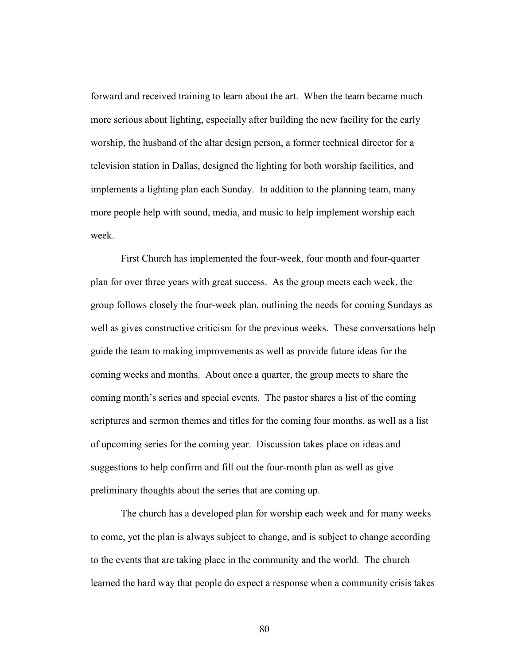forward and received training to learn about the art. When the team became much more serious about lighting, especially after building the new facility for the early worship, the husband of the altar design person, a former technical director for a television station in Dallas, designed the lighting for both worship facilities, and implements a lighting plan each Sunday. In addition to the planning team, many more people help with sound, media, and music to help implement worship each week.

 First Church has implemented the four-week, four month and four-quarter plan for over three years with great success. As the group meets each week, the group follows closely the four-week plan, outlining the needs for coming Sundays as well as gives constructive criticism for the previous weeks. These conversations help guide the team to making improvements as well as provide future ideas for the coming weeks and months. About once a quarter, the group meets to share the coming month's series and special events. The pastor shares a list of the coming scriptures and sermon themes and titles for the coming four months, as well as a list of upcoming series for the coming year. Discussion takes place on ideas and suggestions to help confirm and fill out the four-month plan as well as give preliminary thoughts about the series that are coming up.

 The church has a developed plan for worship each week and for many weeks to come, yet the plan is always subject to change, and is subject to change according to the events that are taking place in the community and the world. The church learned the hard way that people do expect a response when a community crisis takes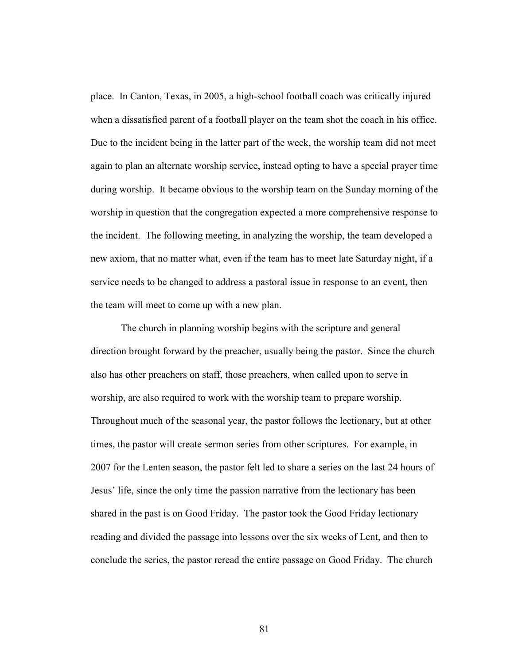place. In Canton, Texas, in 2005, a high-school football coach was critically injured when a dissatisfied parent of a football player on the team shot the coach in his office. Due to the incident being in the latter part of the week, the worship team did not meet again to plan an alternate worship service, instead opting to have a special prayer time during worship. It became obvious to the worship team on the Sunday morning of the worship in question that the congregation expected a more comprehensive response to the incident. The following meeting, in analyzing the worship, the team developed a new axiom, that no matter what, even if the team has to meet late Saturday night, if a service needs to be changed to address a pastoral issue in response to an event, then the team will meet to come up with a new plan.

 The church in planning worship begins with the scripture and general direction brought forward by the preacher, usually being the pastor. Since the church also has other preachers on staff, those preachers, when called upon to serve in worship, are also required to work with the worship team to prepare worship. Throughout much of the seasonal year, the pastor follows the lectionary, but at other times, the pastor will create sermon series from other scriptures. For example, in 2007 for the Lenten season, the pastor felt led to share a series on the last 24 hours of Jesus' life, since the only time the passion narrative from the lectionary has been shared in the past is on Good Friday. The pastor took the Good Friday lectionary reading and divided the passage into lessons over the six weeks of Lent, and then to conclude the series, the pastor reread the entire passage on Good Friday. The church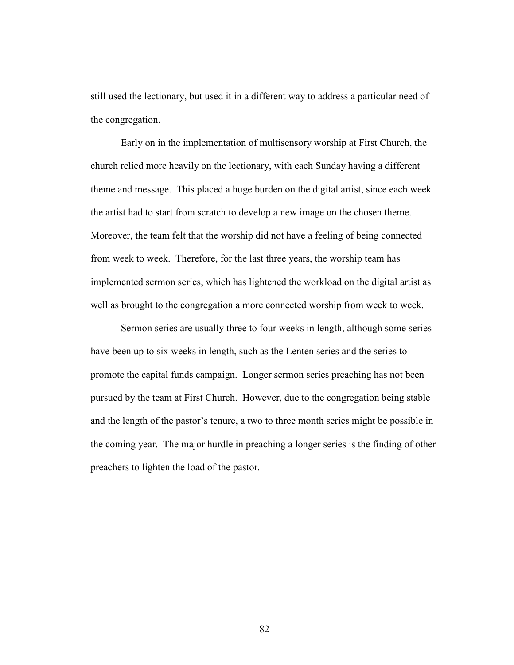still used the lectionary, but used it in a different way to address a particular need of the congregation.

 Early on in the implementation of multisensory worship at First Church, the church relied more heavily on the lectionary, with each Sunday having a different theme and message. This placed a huge burden on the digital artist, since each week the artist had to start from scratch to develop a new image on the chosen theme. Moreover, the team felt that the worship did not have a feeling of being connected from week to week. Therefore, for the last three years, the worship team has implemented sermon series, which has lightened the workload on the digital artist as well as brought to the congregation a more connected worship from week to week.

 Sermon series are usually three to four weeks in length, although some series have been up to six weeks in length, such as the Lenten series and the series to promote the capital funds campaign. Longer sermon series preaching has not been pursued by the team at First Church. However, due to the congregation being stable and the length of the pastor's tenure, a two to three month series might be possible in the coming year. The major hurdle in preaching a longer series is the finding of other preachers to lighten the load of the pastor.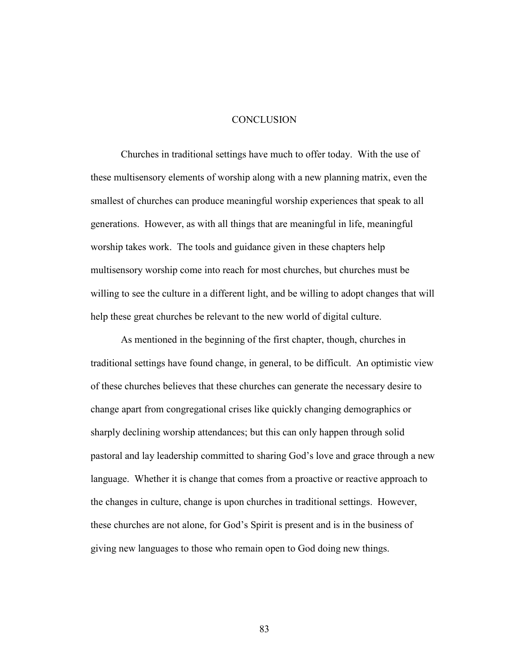### **CONCLUSION**

 Churches in traditional settings have much to offer today. With the use of these multisensory elements of worship along with a new planning matrix, even the smallest of churches can produce meaningful worship experiences that speak to all generations. However, as with all things that are meaningful in life, meaningful worship takes work. The tools and guidance given in these chapters help multisensory worship come into reach for most churches, but churches must be willing to see the culture in a different light, and be willing to adopt changes that will help these great churches be relevant to the new world of digital culture.

 As mentioned in the beginning of the first chapter, though, churches in traditional settings have found change, in general, to be difficult. An optimistic view of these churches believes that these churches can generate the necessary desire to change apart from congregational crises like quickly changing demographics or sharply declining worship attendances; but this can only happen through solid pastoral and lay leadership committed to sharing God's love and grace through a new language. Whether it is change that comes from a proactive or reactive approach to the changes in culture, change is upon churches in traditional settings. However, these churches are not alone, for God's Spirit is present and is in the business of giving new languages to those who remain open to God doing new things.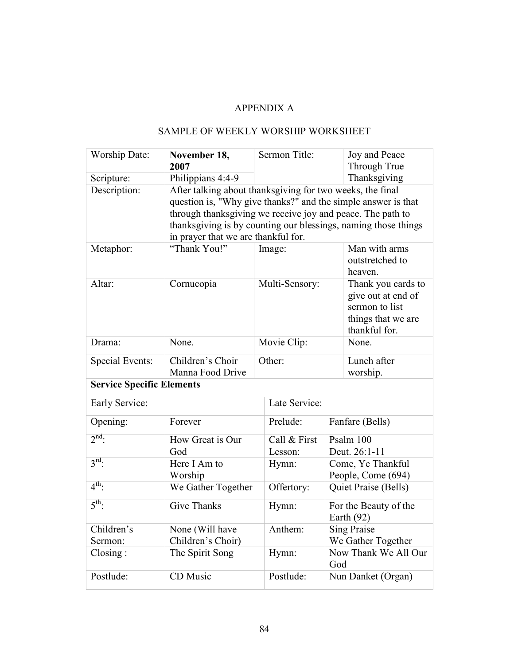# APPENDIX A

# SAMPLE OF WEEKLY WORSHIP WORKSHEET

| <b>Worship Date:</b>             | November 18,<br>2007                                           | Sermon Title:      |                             | Joy and Peace<br>Through True       |
|----------------------------------|----------------------------------------------------------------|--------------------|-----------------------------|-------------------------------------|
| Scripture:                       | Philippians 4:4-9                                              |                    |                             | Thanksgiving                        |
| Description:                     | After talking about thanksgiving for two weeks, the final      |                    |                             |                                     |
|                                  | question is, "Why give thanks?" and the simple answer is that  |                    |                             |                                     |
|                                  | through thanksgiving we receive joy and peace. The path to     |                    |                             |                                     |
|                                  | thanksgiving is by counting our blessings, naming those things |                    |                             |                                     |
|                                  | in prayer that we are thankful for.                            |                    |                             |                                     |
| Metaphor:                        | "Thank You!"                                                   | Image:             |                             | Man with arms                       |
|                                  |                                                                |                    |                             | outstretched to                     |
|                                  |                                                                |                    |                             | heaven.                             |
| Altar:                           | Cornucopia                                                     | Multi-Sensory:     |                             | Thank you cards to                  |
|                                  |                                                                |                    |                             | give out at end of                  |
|                                  |                                                                |                    |                             | sermon to list                      |
|                                  |                                                                |                    |                             | things that we are<br>thankful for. |
| Drama:                           | None.                                                          | Movie Clip:        |                             | None.                               |
|                                  |                                                                |                    |                             |                                     |
| <b>Special Events:</b>           | Children's Choir                                               | Other:             |                             | Lunch after                         |
|                                  | Manna Food Drive                                               |                    |                             | worship.                            |
| <b>Service Specific Elements</b> |                                                                |                    |                             |                                     |
| Early Service:                   |                                                                | Late Service:      |                             |                                     |
| Opening:                         | Forever                                                        | Prelude:           | Fanfare (Bells)             |                                     |
| $2nd$ .                          | How Great is Our                                               | Call & First       | Psalm 100                   |                                     |
|                                  | God                                                            | Lesson:            | Deut. 26:1-11               |                                     |
| $3^{\text{rd}}$ .                | Here I Am to                                                   | Hymn:              | Come, Ye Thankful           |                                     |
|                                  | Worship                                                        |                    | People, Come (694)          |                                     |
| $4^{\text{th}}$                  | We Gather Together                                             | Offertory:         | Quiet Praise (Bells)        |                                     |
| $5^{\text{th}}$ :                | Give Thanks                                                    | Hymn:              |                             | For the Beauty of the               |
|                                  |                                                                |                    |                             | Earth $(92)$                        |
| Children's                       | None (Will have                                                | Anthem:            | Sing Praise                 |                                     |
| Sermon:                          | Children's Choir)                                              | We Gather Together |                             |                                     |
| $\text{Closing}:$                | The Spirit Song                                                | Hymn:              | Now Thank We All Our<br>God |                                     |
| Postlude:                        | CD Music                                                       | Postlude:          | Nun Danket (Organ)          |                                     |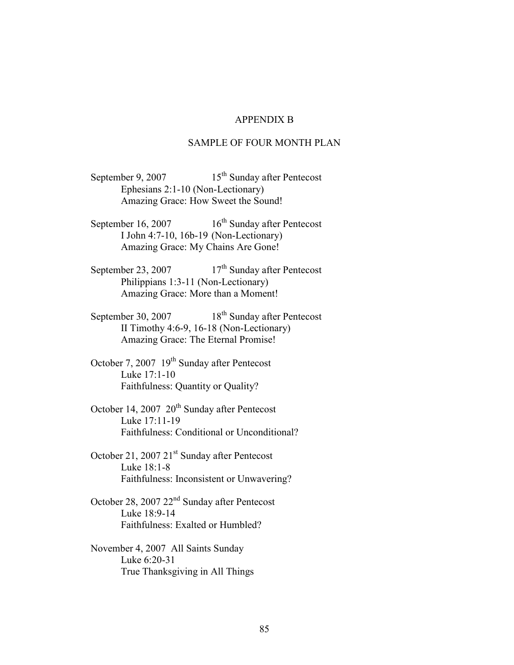## APPENDIX B

### SAMPLE OF FOUR MONTH PLAN

September 9, 2007  $15<sup>th</sup>$  Sunday after Pentecost Ephesians 2:1-10 (Non-Lectionary) Amazing Grace: How Sweet the Sound!

September 16, 2007  $16^{th}$  Sunday after Pentecost I John 4:7-10, 16b-19 (Non-Lectionary) Amazing Grace: My Chains Are Gone!

September 23, 2007  $17<sup>th</sup>$  Sunday after Pentecost Philippians 1:3-11 (Non-Lectionary) Amazing Grace: More than a Moment!

September 30, 2007  $18^{th}$  Sunday after Pentecost II Timothy 4:6-9, 16-18 (Non-Lectionary) Amazing Grace: The Eternal Promise!

October 7, 2007  $19<sup>th</sup>$  Sunday after Pentecost Luke 17:1-10 Faithfulness: Quantity or Quality?

October 14, 2007 20<sup>th</sup> Sunday after Pentecost Luke 17:11-19 Faithfulness: Conditional or Unconditional?

October 21, 2007 21<sup>st</sup> Sunday after Pentecost Luke 18:1-8 Faithfulness: Inconsistent or Unwavering?

October 28, 2007 22nd Sunday after Pentecost Luke 18:9-14 Faithfulness: Exalted or Humbled?

November 4, 2007 All Saints Sunday Luke 6:20-31 True Thanksgiving in All Things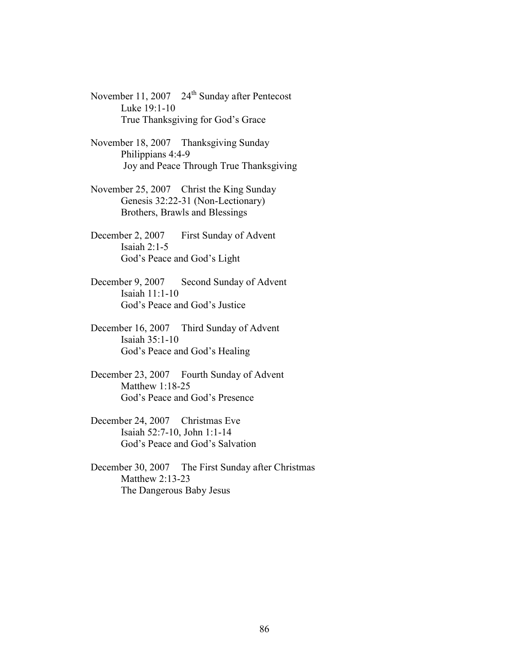November 11, 2007 24<sup>th</sup> Sunday after Pentecost Luke 19:1-10 True Thanksgiving for God's Grace

November 18, 2007 Thanksgiving Sunday Philippians 4:4-9 Joy and Peace Through True Thanksgiving

- November 25, 2007 Christ the King Sunday Genesis 32:22-31 (Non-Lectionary) Brothers, Brawls and Blessings
- December 2, 2007 First Sunday of Advent Isaiah  $2:1-5$ God's Peace and God's Light
- December 9, 2007 Second Sunday of Advent Isaiah 11:1-10 God's Peace and God's Justice
- December 16, 2007 Third Sunday of Advent Isaiah 35:1-10 God's Peace and God's Healing
- December 23, 2007 Fourth Sunday of Advent Matthew 1:18-25 God's Peace and God's Presence
- December 24, 2007 Christmas Eve Isaiah 52:7-10, John 1:1-14 God's Peace and God's Salvation
- December 30, 2007 The First Sunday after Christmas Matthew 2:13-23 The Dangerous Baby Jesus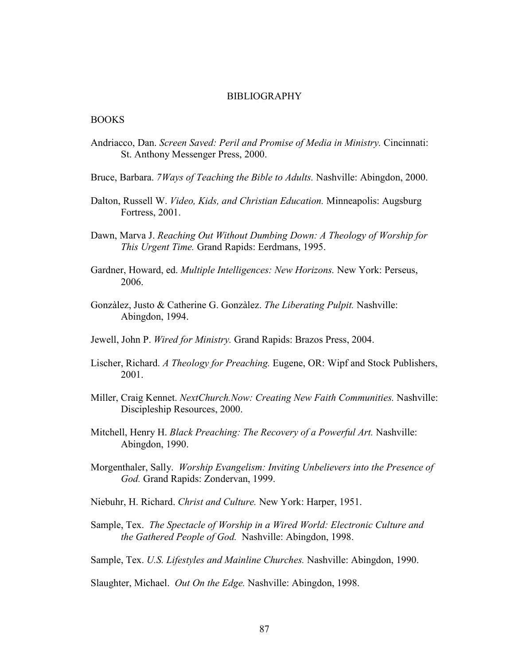#### BIBLIOGRAPHY

### BOOKS

- Andriacco, Dan. Screen Saved: Peril and Promise of Media in Ministry. Cincinnati: St. Anthony Messenger Press, 2000.
- Bruce, Barbara. 7 *Ways of Teaching the Bible to Adults*. Nashville: Abingdon, 2000.
- Dalton, Russell W. Video, Kids, and Christian Education. Minneapolis: Augsburg Fortress, 2001.
- Dawn, Marva J. Reaching Out Without Dumbing Down: A Theology of Worship for This Urgent Time. Grand Rapids: Eerdmans, 1995.
- Gardner, Howard, ed. *Multiple Intelligences: New Horizons*. New York: Perseus, 2006.
- Gonzàlez, Justo & Catherine G. Gonzàlez. The Liberating Pulpit. Nashville: Abingdon, 1994.
- Jewell, John P. Wired for Ministry. Grand Rapids: Brazos Press, 2004.
- Lischer, Richard. A Theology for Preaching. Eugene, OR: Wipf and Stock Publishers, 2001.
- Miller, Craig Kennet. NextChurch.Now: Creating New Faith Communities. Nashville: Discipleship Resources, 2000.
- Mitchell, Henry H. Black Preaching: The Recovery of a Powerful Art. Nashville: Abingdon, 1990.
- Morgenthaler, Sally. Worship Evangelism: Inviting Unbelievers into the Presence of God. Grand Rapids: Zondervan, 1999.
- Niebuhr, H. Richard. Christ and Culture. New York: Harper, 1951.
- Sample, Tex. The Spectacle of Worship in a Wired World: Electronic Culture and the Gathered People of God. Nashville: Abingdon, 1998.
- Sample, Tex. U.S. Lifestyles and Mainline Churches. Nashville: Abingdon, 1990.

Slaughter, Michael. Out On the Edge. Nashville: Abingdon, 1998.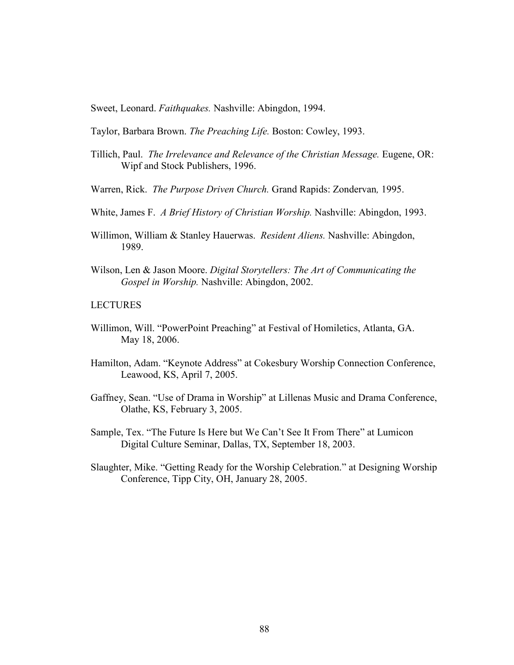Sweet, Leonard. Faithquakes. Nashville: Abingdon, 1994.

Taylor, Barbara Brown. The Preaching Life. Boston: Cowley, 1993.

- Tillich, Paul. The Irrelevance and Relevance of the Christian Message. Eugene, OR: Wipf and Stock Publishers, 1996.
- Warren, Rick. The Purpose Driven Church. Grand Rapids: Zondervan, 1995.
- White, James F. A Brief History of Christian Worship. Nashville: Abingdon, 1993.
- Willimon, William & Stanley Hauerwas. Resident Aliens. Nashville: Abingdon, 1989.
- Wilson, Len & Jason Moore. Digital Storytellers: The Art of Communicating the Gospel in Worship. Nashville: Abingdon, 2002.

## LECTURES

- Willimon, Will. "PowerPoint Preaching" at Festival of Homiletics, Atlanta, GA. May 18, 2006.
- Hamilton, Adam. "Keynote Address" at Cokesbury Worship Connection Conference, Leawood, KS, April 7, 2005.
- Gaffney, Sean. "Use of Drama in Worship" at Lillenas Music and Drama Conference, Olathe, KS, February 3, 2005.
- Sample, Tex. "The Future Is Here but We Can't See It From There" at Lumicon Digital Culture Seminar, Dallas, TX, September 18, 2003.
- Slaughter, Mike. "Getting Ready for the Worship Celebration." at Designing Worship Conference, Tipp City, OH, January 28, 2005.